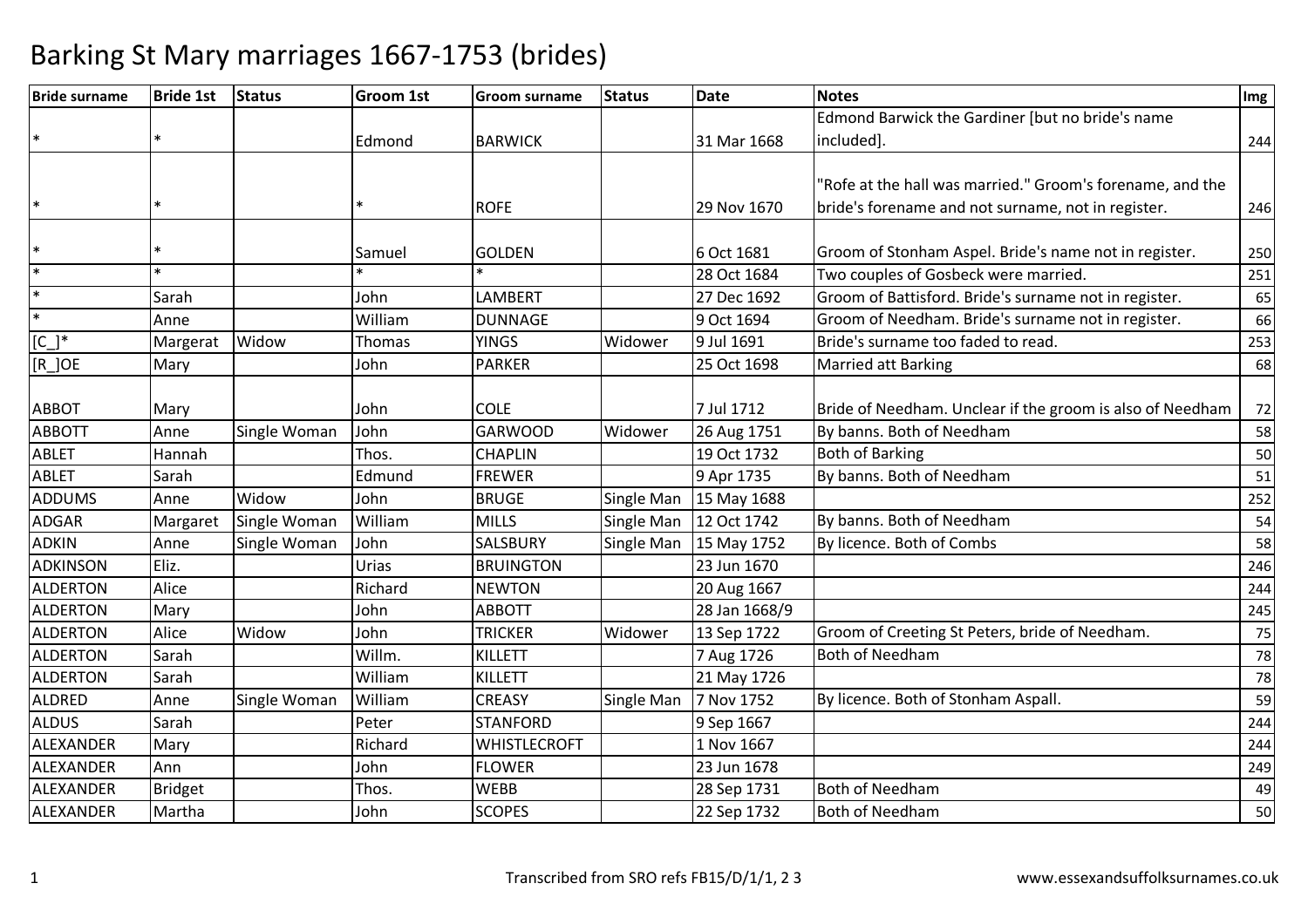| <b>Bride surname</b> | <b>Bride 1st</b> | <b>Status</b> | <b>Groom 1st</b> | <b>Groom surname</b> | <b>Status</b> | <b>Date</b>   | <b>Notes</b>                                              | Img |
|----------------------|------------------|---------------|------------------|----------------------|---------------|---------------|-----------------------------------------------------------|-----|
|                      |                  |               |                  |                      |               |               | Edmond Barwick the Gardiner [but no bride's name          |     |
| $\ast$               |                  |               | Edmond           | <b>BARWICK</b>       |               | 31 Mar 1668   | included].                                                | 244 |
|                      |                  |               |                  |                      |               |               |                                                           |     |
|                      |                  |               |                  |                      |               |               | 'Rofe at the hall was married." Groom's forename, and the |     |
| $\ast$               |                  |               |                  | <b>ROFE</b>          |               | 29 Nov 1670   | bride's forename and not surname, not in register.        | 246 |
| $\ast$               |                  |               | Samuel           | <b>GOLDEN</b>        |               | 6 Oct 1681    | Groom of Stonham Aspel. Bride's name not in register.     |     |
| $\ast$               |                  |               |                  |                      |               | 28 Oct 1684   | Two couples of Gosbeck were married.                      | 250 |
| $\ast$               | Sarah            |               |                  | <b>LAMBERT</b>       |               | 27 Dec 1692   |                                                           | 251 |
| $\ast$               |                  |               | John             |                      |               |               | Groom of Battisford. Bride's surname not in register.     | 65  |
|                      | Anne             |               | William          | <b>DUNNAGE</b>       |               | 9 Oct 1694    | Groom of Needham. Bride's surname not in register.        | 66  |
| $[C_$ <sup>*</sup>   | Margerat         | Widow         | Thomas           | <b>YINGS</b>         | Widower       | 9 Jul 1691    | Bride's surname too faded to read.                        | 253 |
| $[R_$ JOE            | Mary             |               | John             | <b>PARKER</b>        |               | 25 Oct 1698   | <b>Married att Barking</b>                                | 68  |
| <b>ABBOT</b>         | Mary             |               | John             | <b>COLE</b>          |               | 7 Jul 1712    | Bride of Needham. Unclear if the groom is also of Needham | 72  |
| <b>ABBOTT</b>        | Anne             | Single Woman  | John             | <b>GARWOOD</b>       | Widower       | 26 Aug 1751   | By banns. Both of Needham                                 | 58  |
| <b>ABLET</b>         | Hannah           |               | Thos.            | <b>CHAPLIN</b>       |               | 19 Oct 1732   | <b>Both of Barking</b>                                    | 50  |
| <b>ABLET</b>         | Sarah            |               | Edmund           | <b>FREWER</b>        |               | 9 Apr 1735    | By banns. Both of Needham                                 | 51  |
| <b>ADDUMS</b>        | Anne             | Widow         | John             | <b>BRUGE</b>         | Single Man    | 15 May 1688   |                                                           | 252 |
| <b>ADGAR</b>         | Margaret         | Single Woman  | William          | <b>MILLS</b>         | Single Man    | 12 Oct 1742   | By banns. Both of Needham                                 | 54  |
| <b>ADKIN</b>         | Anne             | Single Woman  | John             | SALSBURY             | Single Man    | 15 May 1752   | By licence. Both of Combs                                 | 58  |
| <b>ADKINSON</b>      | Eliz.            |               | Urias            | <b>BRUINGTON</b>     |               | 23 Jun 1670   |                                                           | 246 |
| <b>ALDERTON</b>      | Alice            |               | Richard          | <b>NEWTON</b>        |               | 20 Aug 1667   |                                                           | 244 |
| <b>ALDERTON</b>      | Mary             |               | John             | <b>ABBOTT</b>        |               | 28 Jan 1668/9 |                                                           | 245 |
| <b>ALDERTON</b>      | Alice            | Widow         | John             | <b>TRICKER</b>       | Widower       | 13 Sep 1722   | Groom of Creeting St Peters, bride of Needham.            | 75  |
| <b>ALDERTON</b>      | Sarah            |               | Willm.           | KILLETT              |               | 7 Aug 1726    | <b>Both of Needham</b>                                    | 78  |
| <b>ALDERTON</b>      | Sarah            |               | William          | <b>KILLETT</b>       |               | 21 May 1726   |                                                           | 78  |
| ALDRED               | Anne             | Single Woman  | William          | <b>CREASY</b>        | Single Man    | 7 Nov 1752    | By licence. Both of Stonham Aspall.                       | 59  |
| <b>ALDUS</b>         | Sarah            |               | Peter            | <b>STANFORD</b>      |               | 9 Sep 1667    |                                                           | 244 |
| ALEXANDER            | Mary             |               | Richard          | <b>WHISTLECROFT</b>  |               | 1 Nov 1667    |                                                           | 244 |
| ALEXANDER            | Ann              |               | John             | <b>FLOWER</b>        |               | 23 Jun 1678   |                                                           | 249 |
| ALEXANDER            | <b>Bridget</b>   |               | Thos.            | <b>WEBB</b>          |               | 28 Sep 1731   | <b>Both of Needham</b>                                    | 49  |
| ALEXANDER            | Martha           |               | John             | <b>SCOPES</b>        |               | 22 Sep 1732   | <b>Both of Needham</b>                                    | 50  |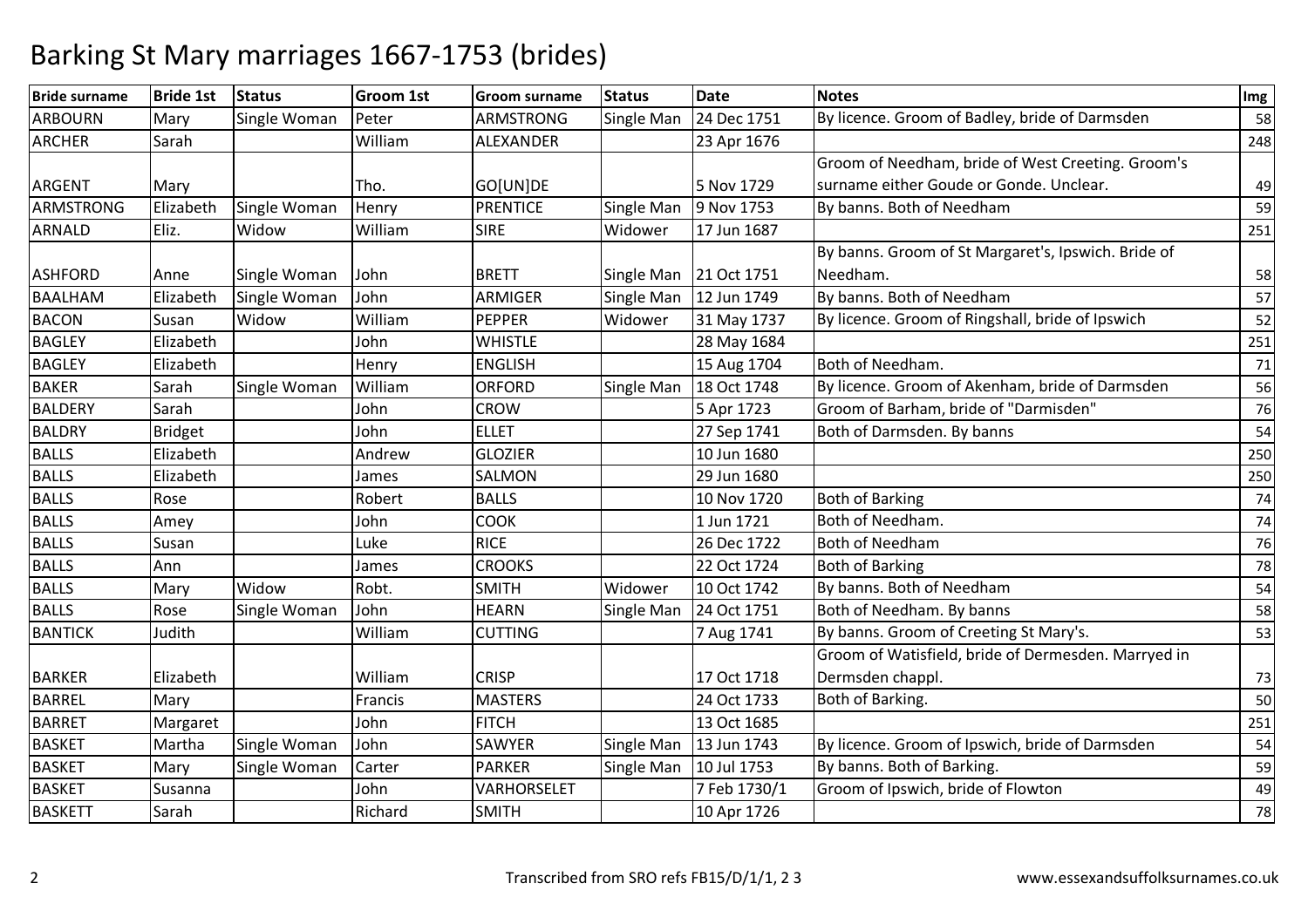| <b>Bride surname</b> | <b>Bride 1st</b> | <b>Status</b> | <b>Groom 1st</b> | <b>Groom surname</b> | <b>Status</b> | <b>Date</b>  | <b>Notes</b>                                        | Img |
|----------------------|------------------|---------------|------------------|----------------------|---------------|--------------|-----------------------------------------------------|-----|
| <b>ARBOURN</b>       | Mary             | Single Woman  | Peter            | <b>ARMSTRONG</b>     | Single Man    | 24 Dec 1751  | By licence. Groom of Badley, bride of Darmsden      | 58  |
| <b>ARCHER</b>        | Sarah            |               | William          | ALEXANDER            |               | 23 Apr 1676  |                                                     | 248 |
|                      |                  |               |                  |                      |               |              | Groom of Needham, bride of West Creeting. Groom's   |     |
| <b>ARGENT</b>        | Mary             |               | Tho.             | GO[UN]DE             |               | 5 Nov 1729   | surname either Goude or Gonde. Unclear.             | 49  |
| <b>ARMSTRONG</b>     | Elizabeth        | Single Woman  | Henry            | <b>PRENTICE</b>      | Single Man    | 9 Nov 1753   | By banns. Both of Needham                           | 59  |
| <b>ARNALD</b>        | Eliz.            | Widow         | William          | <b>SIRE</b>          | Widower       | 17 Jun 1687  |                                                     | 251 |
|                      |                  |               |                  |                      |               |              | By banns. Groom of St Margaret's, Ipswich. Bride of |     |
| <b>ASHFORD</b>       | Anne             | Single Woman  | John             | <b>BRETT</b>         | Single Man    | 21 Oct 1751  | Needham.                                            | 58  |
| <b>BAALHAM</b>       | Elizabeth        | Single Woman  | John             | ARMIGER              | Single Man    | 12 Jun 1749  | By banns. Both of Needham                           | 57  |
| <b>BACON</b>         | Susan            | Widow         | William          | <b>PEPPER</b>        | Widower       | 31 May 1737  | By licence. Groom of Ringshall, bride of Ipswich    | 52  |
| <b>BAGLEY</b>        | Elizabeth        |               | John             | <b>WHISTLE</b>       |               | 28 May 1684  |                                                     | 251 |
| <b>BAGLEY</b>        | Elizabeth        |               | Henry            | <b>ENGLISH</b>       |               | 15 Aug 1704  | Both of Needham.                                    | 71  |
| <b>BAKER</b>         | Sarah            | Single Woman  | William          | <b>ORFORD</b>        | Single Man    | 18 Oct 1748  | By licence. Groom of Akenham, bride of Darmsden     | 56  |
| <b>BALDERY</b>       | Sarah            |               | John             | <b>CROW</b>          |               | 5 Apr 1723   | Groom of Barham, bride of "Darmisden"               | 76  |
| <b>BALDRY</b>        | <b>Bridget</b>   |               | John             | <b>ELLET</b>         |               | 27 Sep 1741  | Both of Darmsden. By banns                          | 54  |
| <b>BALLS</b>         | Elizabeth        |               | Andrew           | <b>GLOZIER</b>       |               | 10 Jun 1680  |                                                     | 250 |
| <b>BALLS</b>         | Elizabeth        |               | James            | <b>SALMON</b>        |               | 29 Jun 1680  |                                                     | 250 |
| <b>BALLS</b>         | Rose             |               | Robert           | <b>BALLS</b>         |               | 10 Nov 1720  | <b>Both of Barking</b>                              | 74  |
| <b>BALLS</b>         | Amey             |               | John             | <b>COOK</b>          |               | 1 Jun 1721   | Both of Needham.                                    | 74  |
| <b>BALLS</b>         | Susan            |               | Luke             | <b>RICE</b>          |               | 26 Dec 1722  | <b>Both of Needham</b>                              | 76  |
| <b>BALLS</b>         | Ann              |               | James            | <b>CROOKS</b>        |               | 22 Oct 1724  | <b>Both of Barking</b>                              | 78  |
| <b>BALLS</b>         | Mary             | Widow         | Robt.            | <b>SMITH</b>         | Widower       | 10 Oct 1742  | By banns. Both of Needham                           | 54  |
| <b>BALLS</b>         | Rose             | Single Woman  | John             | <b>HEARN</b>         | Single Man    | 24 Oct 1751  | Both of Needham. By banns                           | 58  |
| <b>BANTICK</b>       | Judith           |               | William          | <b>CUTTING</b>       |               | 7 Aug 1741   | By banns. Groom of Creeting St Mary's.              | 53  |
|                      |                  |               |                  |                      |               |              | Groom of Watisfield, bride of Dermesden. Marryed in |     |
| <b>BARKER</b>        | Elizabeth        |               | William          | <b>CRISP</b>         |               | 17 Oct 1718  | Dermsden chappl.                                    | 73  |
| <b>BARREL</b>        | Mary             |               | Francis          | <b>MASTERS</b>       |               | 24 Oct 1733  | Both of Barking.                                    | 50  |
| <b>BARRET</b>        | Margaret         |               | John             | <b>FITCH</b>         |               | 13 Oct 1685  |                                                     | 251 |
| <b>BASKET</b>        | Martha           | Single Woman  | John             | <b>SAWYER</b>        | Single Man    | 13 Jun 1743  | By licence. Groom of Ipswich, bride of Darmsden     | 54  |
| <b>BASKET</b>        | Mary             | Single Woman  | Carter           | <b>PARKER</b>        | Single Man    | 10 Jul 1753  | By banns. Both of Barking.                          | 59  |
| <b>BASKET</b>        | Susanna          |               | John             | VARHORSELET          |               | 7 Feb 1730/1 | Groom of Ipswich, bride of Flowton                  | 49  |
| <b>BASKETT</b>       | Sarah            |               | Richard          | <b>SMITH</b>         |               | 10 Apr 1726  |                                                     | 78  |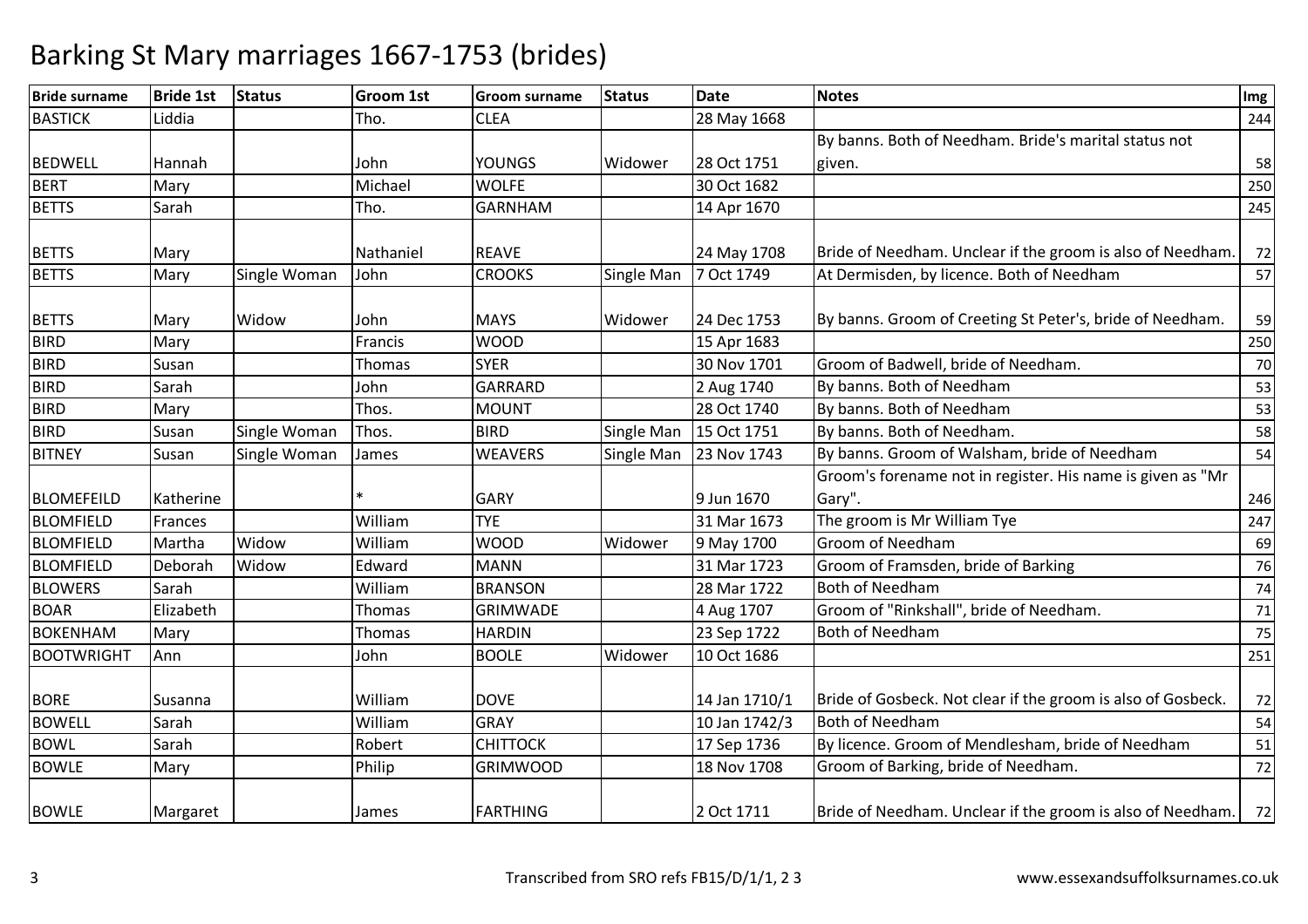| <b>Bride surname</b> | <b>Bride 1st</b> | <b>Status</b> | <b>Groom 1st</b> | Groom surname   | <b>Status</b> | <b>Date</b>   | <b>Notes</b>                                                 | Img |
|----------------------|------------------|---------------|------------------|-----------------|---------------|---------------|--------------------------------------------------------------|-----|
| <b>BASTICK</b>       | Liddia           |               | Tho.             | <b>CLEA</b>     |               | 28 May 1668   |                                                              | 244 |
|                      |                  |               |                  |                 |               |               | By banns. Both of Needham. Bride's marital status not        |     |
| <b>BEDWELL</b>       | Hannah           |               | John             | <b>YOUNGS</b>   | Widower       | 28 Oct 1751   | given.                                                       | 58  |
| <b>BERT</b>          | Mary             |               | Michael          | <b>WOLFE</b>    |               | 30 Oct 1682   |                                                              | 250 |
| <b>BETTS</b>         | Sarah            |               | Tho.             | <b>GARNHAM</b>  |               | 14 Apr 1670   |                                                              | 245 |
| <b>BETTS</b>         | Mary             |               | Nathaniel        | <b>REAVE</b>    |               | 24 May 1708   | Bride of Needham. Unclear if the groom is also of Needham.   | 72  |
| <b>BETTS</b>         | Mary             | Single Woman  | John             | <b>CROOKS</b>   | Single Man    | 7 Oct 1749    | At Dermisden, by licence. Both of Needham                    | 57  |
| <b>BETTS</b>         | Mary             | Widow         | John             | <b>MAYS</b>     | Widower       | 24 Dec 1753   | By banns. Groom of Creeting St Peter's, bride of Needham.    | 59  |
| <b>BIRD</b>          | Mary             |               | Francis          | <b>WOOD</b>     |               | 15 Apr 1683   |                                                              | 250 |
| <b>BIRD</b>          | Susan            |               | Thomas           | <b>SYER</b>     |               | 30 Nov 1701   | Groom of Badwell, bride of Needham.                          | 70  |
| <b>BIRD</b>          | Sarah            |               | John             | <b>GARRARD</b>  |               | 2 Aug 1740    | By banns. Both of Needham                                    | 53  |
| <b>BIRD</b>          | Mary             |               | Thos.            | <b>MOUNT</b>    |               | 28 Oct 1740   | By banns. Both of Needham                                    | 53  |
| <b>BIRD</b>          | Susan            | Single Woman  | Thos.            | <b>BIRD</b>     | Single Man    | 15 Oct 1751   | By banns. Both of Needham.                                   | 58  |
| <b>BITNEY</b>        | Susan            | Single Woman  | James            | <b>WEAVERS</b>  | Single Man    | 23 Nov 1743   | By banns. Groom of Walsham, bride of Needham                 | 54  |
|                      |                  |               |                  |                 |               |               | Groom's forename not in register. His name is given as "Mr   |     |
| <b>BLOMEFEILD</b>    | Katherine        |               |                  | <b>GARY</b>     |               | 9 Jun 1670    | Gary".                                                       | 246 |
| <b>BLOMFIELD</b>     | Frances          |               | William          | <b>TYE</b>      |               | 31 Mar 1673   | The groom is Mr William Tye                                  | 247 |
| <b>BLOMFIELD</b>     | Martha           | Widow         | William          | <b>WOOD</b>     | Widower       | 9 May 1700    | Groom of Needham                                             | 69  |
| <b>BLOMFIELD</b>     | Deborah          | Widow         | Edward           | <b>MANN</b>     |               | 31 Mar 1723   | Groom of Framsden, bride of Barking                          | 76  |
| <b>BLOWERS</b>       | Sarah            |               | William          | <b>BRANSON</b>  |               | 28 Mar 1722   | Both of Needham                                              | 74  |
| <b>BOAR</b>          | Elizabeth        |               | Thomas           | <b>GRIMWADE</b> |               | 4 Aug 1707    | Groom of "Rinkshall", bride of Needham.                      | 71  |
| <b>BOKENHAM</b>      | Mary             |               | Thomas           | <b>HARDIN</b>   |               | 23 Sep 1722   | Both of Needham                                              | 75  |
| <b>BOOTWRIGHT</b>    | Ann              |               | John             | <b>BOOLE</b>    | Widower       | 10 Oct 1686   |                                                              | 251 |
| <b>BORE</b>          | Susanna          |               | William          | <b>DOVE</b>     |               | 14 Jan 1710/1 | Bride of Gosbeck. Not clear if the groom is also of Gosbeck. | 72  |
| <b>BOWELL</b>        | Sarah            |               | William          | <b>GRAY</b>     |               | 10 Jan 1742/3 | <b>Both of Needham</b>                                       | 54  |
| <b>BOWL</b>          | Sarah            |               | Robert           | <b>CHITTOCK</b> |               | 17 Sep 1736   | By licence. Groom of Mendlesham, bride of Needham            | 51  |
| <b>BOWLE</b>         | Mary             |               | Philip           | <b>GRIMWOOD</b> |               | 18 Nov 1708   | Groom of Barking, bride of Needham.                          | 72  |
| <b>BOWLE</b>         | Margaret         |               | James            | <b>FARTHING</b> |               | 2 Oct 1711    | Bride of Needham. Unclear if the groom is also of Needham.   | 72  |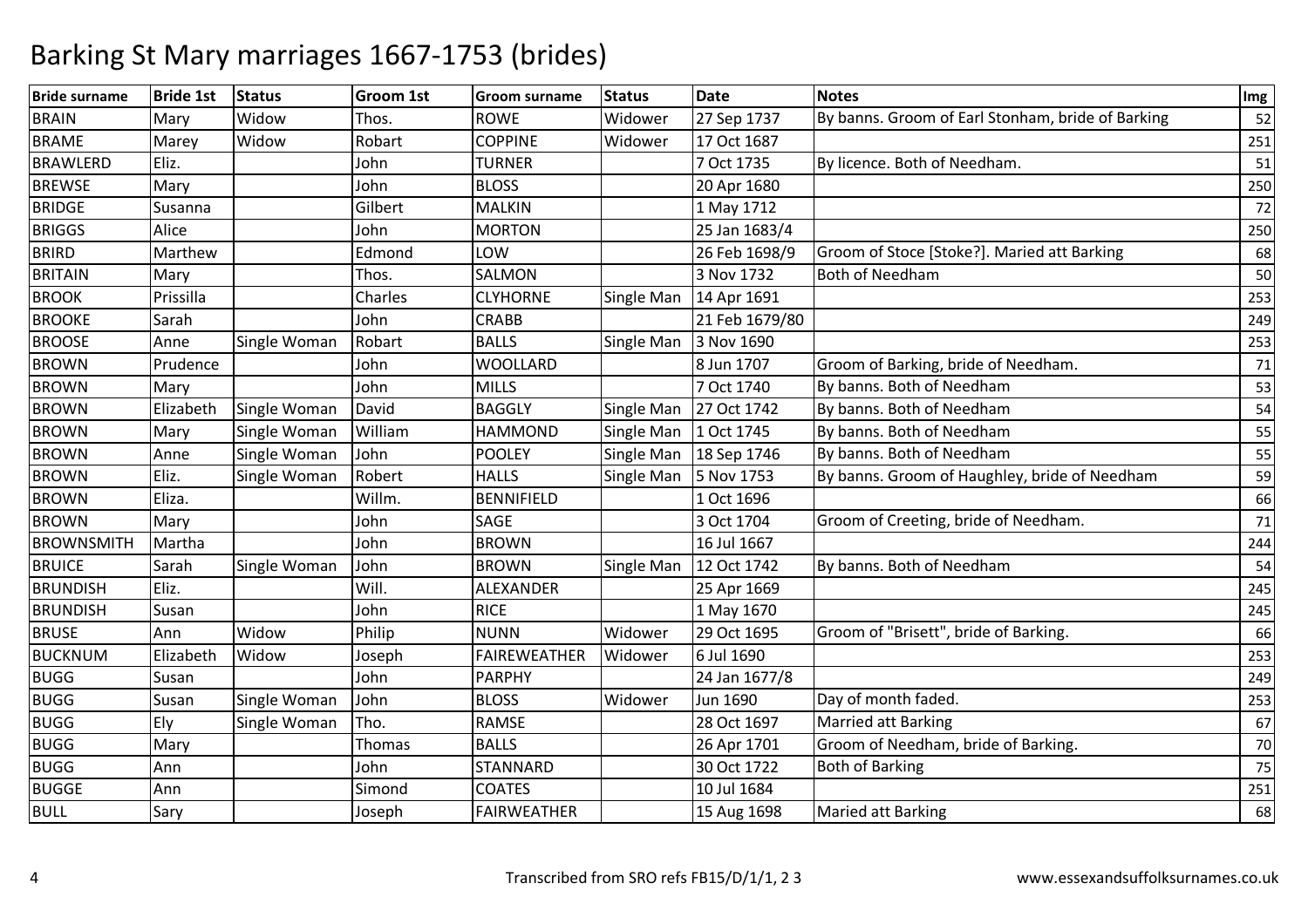| <b>Bride surname</b> | <b>Bride 1st</b> | <b>Status</b> | <b>Groom 1st</b> | Groom surname       | <b>Status</b> | <b>Date</b>    | <b>Notes</b>                                      | Img |
|----------------------|------------------|---------------|------------------|---------------------|---------------|----------------|---------------------------------------------------|-----|
| <b>BRAIN</b>         | Mary             | Widow         | Thos.            | <b>ROWE</b>         | Widower       | 27 Sep 1737    | By banns. Groom of Earl Stonham, bride of Barking | 52  |
| <b>BRAME</b>         | Marey            | Widow         | Robart           | <b>COPPINE</b>      | Widower       | 17 Oct 1687    |                                                   | 251 |
| <b>BRAWLERD</b>      | Eliz.            |               | John             | <b>TURNER</b>       |               | 7 Oct 1735     | By licence. Both of Needham.                      | 51  |
| <b>BREWSE</b>        | Mary             |               | John             | <b>BLOSS</b>        |               | 20 Apr 1680    |                                                   | 250 |
| <b>BRIDGE</b>        | Susanna          |               | Gilbert          | <b>MALKIN</b>       |               | 1 May 1712     |                                                   | 72  |
| <b>BRIGGS</b>        | Alice            |               | John             | <b>MORTON</b>       |               | 25 Jan 1683/4  |                                                   | 250 |
| <b>BRIRD</b>         | Marthew          |               | Edmond           | LOW                 |               | 26 Feb 1698/9  | Groom of Stoce [Stoke?]. Maried att Barking       | 68  |
| <b>BRITAIN</b>       | Mary             |               | Thos.            | SALMON              |               | 3 Nov 1732     | <b>Both of Needham</b>                            | 50  |
| <b>BROOK</b>         | Prissilla        |               | Charles          | <b>CLYHORNE</b>     | Single Man    | 14 Apr 1691    |                                                   | 253 |
| <b>BROOKE</b>        | Sarah            |               | John             | <b>CRABB</b>        |               | 21 Feb 1679/80 |                                                   | 249 |
| <b>BROOSE</b>        | Anne             | Single Woman  | Robart           | <b>BALLS</b>        | Single Man    | 3 Nov 1690     |                                                   | 253 |
| <b>BROWN</b>         | Prudence         |               | John             | <b>WOOLLARD</b>     |               | 8 Jun 1707     | Groom of Barking, bride of Needham.               | 71  |
| <b>BROWN</b>         | Mary             |               | John             | <b>MILLS</b>        |               | 7 Oct 1740     | By banns. Both of Needham                         | 53  |
| <b>BROWN</b>         | Elizabeth        | Single Woman  | David            | <b>BAGGLY</b>       | Single Man    | 27 Oct 1742    | By banns. Both of Needham                         | 54  |
| <b>BROWN</b>         | Mary             | Single Woman  | William          | <b>HAMMOND</b>      | Single Man    | 1 Oct 1745     | By banns. Both of Needham                         | 55  |
| <b>BROWN</b>         | Anne             | Single Woman  | John             | <b>POOLEY</b>       | Single Man    | 18 Sep 1746    | By banns. Both of Needham                         | 55  |
| <b>BROWN</b>         | Eliz.            | Single Woman  | Robert           | <b>HALLS</b>        | Single Man    | 5 Nov 1753     | By banns. Groom of Haughley, bride of Needham     | 59  |
| <b>BROWN</b>         | Eliza.           |               | Willm.           | <b>BENNIFIELD</b>   |               | 1 Oct 1696     |                                                   | 66  |
| <b>BROWN</b>         | Mary             |               | John             | SAGE                |               | 3 Oct 1704     | Groom of Creeting, bride of Needham.              | 71  |
| <b>BROWNSMITH</b>    | Martha           |               | John             | <b>BROWN</b>        |               | 16 Jul 1667    |                                                   | 244 |
| <b>BRUICE</b>        | Sarah            | Single Woman  | John             | <b>BROWN</b>        | Single Man    | 12 Oct 1742    | By banns. Both of Needham                         | 54  |
| <b>BRUNDISH</b>      | Eliz.            |               | Will.            | ALEXANDER           |               | 25 Apr 1669    |                                                   | 245 |
| <b>BRUNDISH</b>      | Susan            |               | John             | <b>RICE</b>         |               | 1 May 1670     |                                                   | 245 |
| <b>BRUSE</b>         | Ann              | Widow         | Philip           | <b>NUNN</b>         | Widower       | 29 Oct 1695    | Groom of "Brisett", bride of Barking.             | 66  |
| <b>BUCKNUM</b>       | Elizabeth        | Widow         | Joseph           | <b>FAIREWEATHER</b> | Widower       | 6 Jul 1690     |                                                   | 253 |
| <b>BUGG</b>          | Susan            |               | John             | <b>PARPHY</b>       |               | 24 Jan 1677/8  |                                                   | 249 |
| <b>BUGG</b>          | Susan            | Single Woman  | John             | <b>BLOSS</b>        | Widower       | Jun 1690       | Day of month faded.                               | 253 |
| <b>BUGG</b>          | Ely              | Single Woman  | Tho.             | <b>RAMSE</b>        |               | 28 Oct 1697    | Married att Barking                               | 67  |
| <b>BUGG</b>          | Mary             |               | <b>Thomas</b>    | <b>BALLS</b>        |               | 26 Apr 1701    | Groom of Needham, bride of Barking.               | 70  |
| <b>BUGG</b>          | Ann              |               | John             | <b>STANNARD</b>     |               | 30 Oct 1722    | <b>Both of Barking</b>                            | 75  |
| <b>BUGGE</b>         | Ann              |               | Simond           | <b>COATES</b>       |               | 10 Jul 1684    |                                                   | 251 |
| <b>BULL</b>          | Sary             |               | Joseph           | <b>FAIRWEATHER</b>  |               | 15 Aug 1698    | <b>Maried att Barking</b>                         | 68  |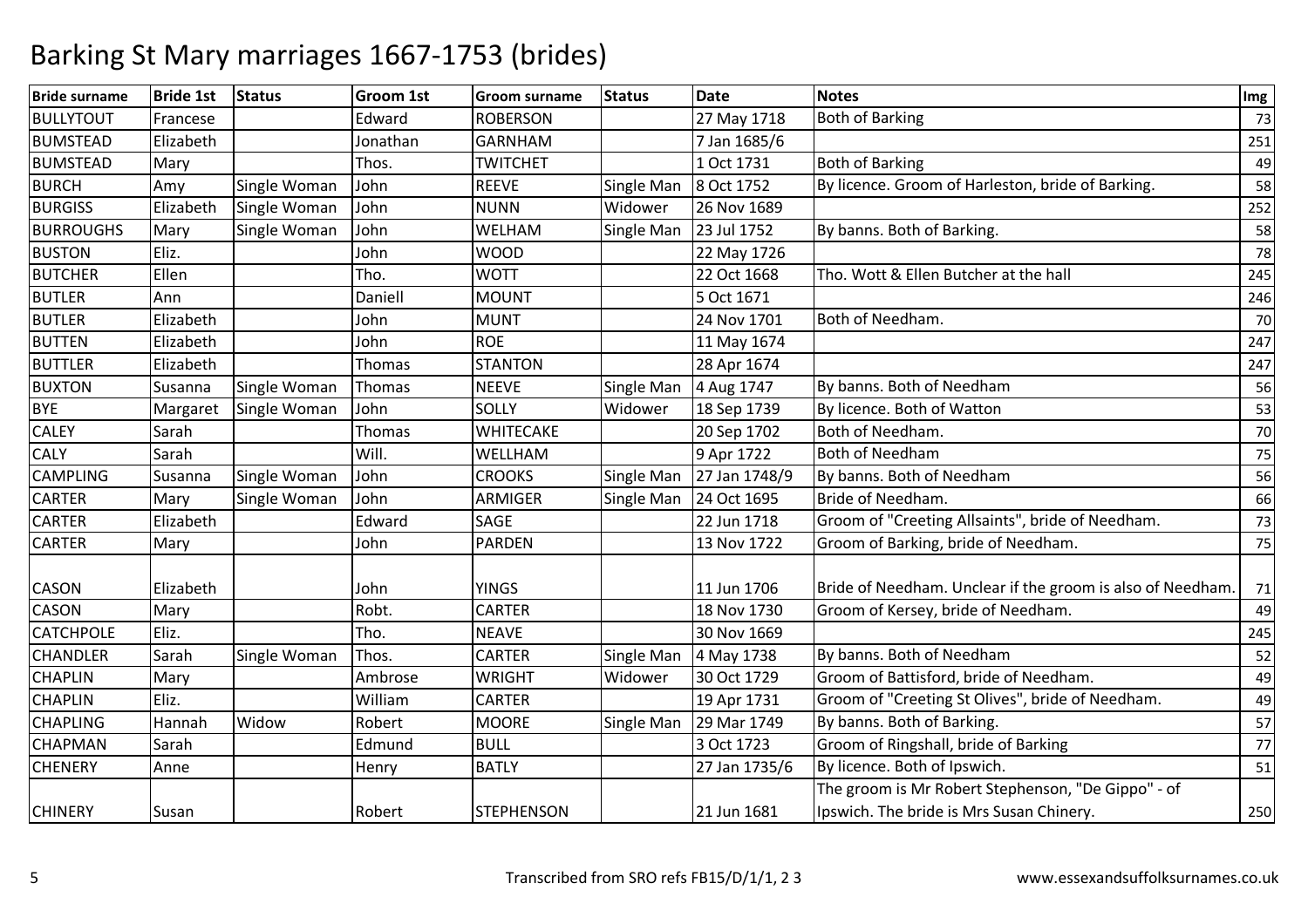| 27 May 1718<br><b>Both of Barking</b><br>Francese<br>Edward<br><b>ROBERSON</b><br>GARNHAM<br>Elizabeth<br>Jonathan<br>7 Jan 1685/6<br><b>Both of Barking</b><br>1 Oct 1731<br>Mary<br>Thos.<br><b>TWITCHET</b><br>By licence. Groom of Harleston, bride of Barking.<br>Single Woman<br><b>REEVE</b><br>Single Man<br>8 Oct 1752<br>Amy<br>John<br>Elizabeth<br>Single Woman<br>John<br><b>NUNN</b><br>Widower<br>26 Nov 1689<br>Mary<br>Single Woman<br>John<br>WELHAM<br>Single Man<br>23 Jul 1752<br>By banns. Both of Barking.<br>Eliz.<br><b>WOOD</b><br>John<br>22 May 1726<br>Tho. Wott & Ellen Butcher at the hall<br>Ellen<br><b>WOTT</b><br>22 Oct 1668<br>Tho.<br>Ann<br>Daniell<br><b>MOUNT</b><br>5 Oct 1671<br>Both of Needham.<br>Elizabeth<br><b>MUNT</b><br>24 Nov 1701<br>John<br><b>ROE</b><br>Elizabeth<br>John<br>11 May 1674<br><b>STANTON</b><br>28 Apr 1674<br>Elizabeth<br>Thomas<br>By banns. Both of Needham<br>Thomas<br><b>NEEVE</b><br>Single Man<br>4 Aug 1747<br>Susanna<br>Single Woman<br>56<br>John<br><b>SOLLY</b><br>Widower<br>18 Sep 1739<br>By licence. Both of Watton<br>Single Woman<br>Margaret<br>Both of Needham.<br>WHITECAKE<br>20 Sep 1702<br>Sarah<br>Thomas<br><b>Both of Needham</b><br>Sarah<br>Will.<br>WELLHAM<br>9 Apr 1722<br>By banns. Both of Needham<br><b>CROOKS</b><br>27 Jan 1748/9<br>Susanna<br>Single Woman<br>John<br>Single Man<br>24 Oct 1695<br>Bride of Needham.<br>Single Woman<br>John<br>ARMIGER<br>Mary<br>Single Man<br>Groom of "Creeting Allsaints", bride of Needham.<br>Edward<br>Elizabeth<br>SAGE<br>22 Jun 1718<br>Groom of Barking, bride of Needham.<br>John<br><b>PARDEN</b><br>13 Nov 1722<br>Mary<br>Bride of Needham. Unclear if the groom is also of Needham.<br><b>YINGS</b><br>11 Jun 1706<br>Elizabeth<br>John<br><b>CARTER</b><br>Robt.<br>18 Nov 1730<br>Groom of Kersey, bride of Needham.<br>Mary<br>49<br>Eliz.<br>30 Nov 1669<br>Tho.<br><b>NEAVE</b><br>By banns. Both of Needham<br>Sarah<br>Single Woman<br><b>CARTER</b><br>Thos.<br>Single Man<br>4 May 1738<br>Groom of Battisford, bride of Needham.<br><b>WRIGHT</b><br>30 Oct 1729<br>Mary<br>Ambrose<br>Widower<br>Groom of "Creeting St Olives", bride of Needham.<br>Eliz.<br>William<br><b>CARTER</b><br>19 Apr 1731<br>Robert<br>By banns. Both of Barking.<br>Hannah<br>Widow<br><b>MOORE</b><br>Single Man<br>29 Mar 1749<br>Groom of Ringshall, bride of Barking<br><b>BULL</b><br>3 Oct 1723<br>Sarah<br>Edmund<br>By licence. Both of Ipswich.<br><b>BATLY</b><br>27 Jan 1735/6<br>Anne<br>51<br>Henry<br>The groom is Mr Robert Stephenson, "De Gippo" - of<br>Ipswich. The bride is Mrs Susan Chinery.<br>21 Jun 1681<br>Robert<br><b>STEPHENSON</b><br>Susan | <b>Bride surname</b> | <b>Bride 1st</b> | <b>Status</b> | <b>Groom 1st</b> | <b>Groom surname</b> | <b>Status</b> | <b>Date</b> | <b>Notes</b> | Img |
|-------------------------------------------------------------------------------------------------------------------------------------------------------------------------------------------------------------------------------------------------------------------------------------------------------------------------------------------------------------------------------------------------------------------------------------------------------------------------------------------------------------------------------------------------------------------------------------------------------------------------------------------------------------------------------------------------------------------------------------------------------------------------------------------------------------------------------------------------------------------------------------------------------------------------------------------------------------------------------------------------------------------------------------------------------------------------------------------------------------------------------------------------------------------------------------------------------------------------------------------------------------------------------------------------------------------------------------------------------------------------------------------------------------------------------------------------------------------------------------------------------------------------------------------------------------------------------------------------------------------------------------------------------------------------------------------------------------------------------------------------------------------------------------------------------------------------------------------------------------------------------------------------------------------------------------------------------------------------------------------------------------------------------------------------------------------------------------------------------------------------------------------------------------------------------------------------------------------------------------------------------------------------------------------------------------------------------------------------------------------------------------------------------------------------------------------------------------------------------------------------------------------------------------------------------------------------------------------------------------------------------------------------------------------------------------------------------------------------------------|----------------------|------------------|---------------|------------------|----------------------|---------------|-------------|--------------|-----|
|                                                                                                                                                                                                                                                                                                                                                                                                                                                                                                                                                                                                                                                                                                                                                                                                                                                                                                                                                                                                                                                                                                                                                                                                                                                                                                                                                                                                                                                                                                                                                                                                                                                                                                                                                                                                                                                                                                                                                                                                                                                                                                                                                                                                                                                                                                                                                                                                                                                                                                                                                                                                                                                                                                                                     | <b>BULLYTOUT</b>     |                  |               |                  |                      |               |             |              | 73  |
|                                                                                                                                                                                                                                                                                                                                                                                                                                                                                                                                                                                                                                                                                                                                                                                                                                                                                                                                                                                                                                                                                                                                                                                                                                                                                                                                                                                                                                                                                                                                                                                                                                                                                                                                                                                                                                                                                                                                                                                                                                                                                                                                                                                                                                                                                                                                                                                                                                                                                                                                                                                                                                                                                                                                     | <b>BUMSTEAD</b>      |                  |               |                  |                      |               |             |              | 251 |
|                                                                                                                                                                                                                                                                                                                                                                                                                                                                                                                                                                                                                                                                                                                                                                                                                                                                                                                                                                                                                                                                                                                                                                                                                                                                                                                                                                                                                                                                                                                                                                                                                                                                                                                                                                                                                                                                                                                                                                                                                                                                                                                                                                                                                                                                                                                                                                                                                                                                                                                                                                                                                                                                                                                                     | <b>BUMSTEAD</b>      |                  |               |                  |                      |               |             |              | 49  |
|                                                                                                                                                                                                                                                                                                                                                                                                                                                                                                                                                                                                                                                                                                                                                                                                                                                                                                                                                                                                                                                                                                                                                                                                                                                                                                                                                                                                                                                                                                                                                                                                                                                                                                                                                                                                                                                                                                                                                                                                                                                                                                                                                                                                                                                                                                                                                                                                                                                                                                                                                                                                                                                                                                                                     | <b>BURCH</b>         |                  |               |                  |                      |               |             |              | 58  |
|                                                                                                                                                                                                                                                                                                                                                                                                                                                                                                                                                                                                                                                                                                                                                                                                                                                                                                                                                                                                                                                                                                                                                                                                                                                                                                                                                                                                                                                                                                                                                                                                                                                                                                                                                                                                                                                                                                                                                                                                                                                                                                                                                                                                                                                                                                                                                                                                                                                                                                                                                                                                                                                                                                                                     | <b>BURGISS</b>       |                  |               |                  |                      |               |             |              | 252 |
|                                                                                                                                                                                                                                                                                                                                                                                                                                                                                                                                                                                                                                                                                                                                                                                                                                                                                                                                                                                                                                                                                                                                                                                                                                                                                                                                                                                                                                                                                                                                                                                                                                                                                                                                                                                                                                                                                                                                                                                                                                                                                                                                                                                                                                                                                                                                                                                                                                                                                                                                                                                                                                                                                                                                     | <b>BURROUGHS</b>     |                  |               |                  |                      |               |             |              | 58  |
|                                                                                                                                                                                                                                                                                                                                                                                                                                                                                                                                                                                                                                                                                                                                                                                                                                                                                                                                                                                                                                                                                                                                                                                                                                                                                                                                                                                                                                                                                                                                                                                                                                                                                                                                                                                                                                                                                                                                                                                                                                                                                                                                                                                                                                                                                                                                                                                                                                                                                                                                                                                                                                                                                                                                     | <b>BUSTON</b>        |                  |               |                  |                      |               |             |              | 78  |
|                                                                                                                                                                                                                                                                                                                                                                                                                                                                                                                                                                                                                                                                                                                                                                                                                                                                                                                                                                                                                                                                                                                                                                                                                                                                                                                                                                                                                                                                                                                                                                                                                                                                                                                                                                                                                                                                                                                                                                                                                                                                                                                                                                                                                                                                                                                                                                                                                                                                                                                                                                                                                                                                                                                                     | <b>BUTCHER</b>       |                  |               |                  |                      |               |             |              | 245 |
|                                                                                                                                                                                                                                                                                                                                                                                                                                                                                                                                                                                                                                                                                                                                                                                                                                                                                                                                                                                                                                                                                                                                                                                                                                                                                                                                                                                                                                                                                                                                                                                                                                                                                                                                                                                                                                                                                                                                                                                                                                                                                                                                                                                                                                                                                                                                                                                                                                                                                                                                                                                                                                                                                                                                     | <b>BUTLER</b>        |                  |               |                  |                      |               |             |              | 246 |
|                                                                                                                                                                                                                                                                                                                                                                                                                                                                                                                                                                                                                                                                                                                                                                                                                                                                                                                                                                                                                                                                                                                                                                                                                                                                                                                                                                                                                                                                                                                                                                                                                                                                                                                                                                                                                                                                                                                                                                                                                                                                                                                                                                                                                                                                                                                                                                                                                                                                                                                                                                                                                                                                                                                                     | <b>BUTLER</b>        |                  |               |                  |                      |               |             |              | 70  |
|                                                                                                                                                                                                                                                                                                                                                                                                                                                                                                                                                                                                                                                                                                                                                                                                                                                                                                                                                                                                                                                                                                                                                                                                                                                                                                                                                                                                                                                                                                                                                                                                                                                                                                                                                                                                                                                                                                                                                                                                                                                                                                                                                                                                                                                                                                                                                                                                                                                                                                                                                                                                                                                                                                                                     | <b>BUTTEN</b>        |                  |               |                  |                      |               |             |              | 247 |
|                                                                                                                                                                                                                                                                                                                                                                                                                                                                                                                                                                                                                                                                                                                                                                                                                                                                                                                                                                                                                                                                                                                                                                                                                                                                                                                                                                                                                                                                                                                                                                                                                                                                                                                                                                                                                                                                                                                                                                                                                                                                                                                                                                                                                                                                                                                                                                                                                                                                                                                                                                                                                                                                                                                                     | <b>BUTTLER</b>       |                  |               |                  |                      |               |             |              | 247 |
|                                                                                                                                                                                                                                                                                                                                                                                                                                                                                                                                                                                                                                                                                                                                                                                                                                                                                                                                                                                                                                                                                                                                                                                                                                                                                                                                                                                                                                                                                                                                                                                                                                                                                                                                                                                                                                                                                                                                                                                                                                                                                                                                                                                                                                                                                                                                                                                                                                                                                                                                                                                                                                                                                                                                     | <b>BUXTON</b>        |                  |               |                  |                      |               |             |              |     |
|                                                                                                                                                                                                                                                                                                                                                                                                                                                                                                                                                                                                                                                                                                                                                                                                                                                                                                                                                                                                                                                                                                                                                                                                                                                                                                                                                                                                                                                                                                                                                                                                                                                                                                                                                                                                                                                                                                                                                                                                                                                                                                                                                                                                                                                                                                                                                                                                                                                                                                                                                                                                                                                                                                                                     | <b>BYE</b>           |                  |               |                  |                      |               |             |              | 53  |
|                                                                                                                                                                                                                                                                                                                                                                                                                                                                                                                                                                                                                                                                                                                                                                                                                                                                                                                                                                                                                                                                                                                                                                                                                                                                                                                                                                                                                                                                                                                                                                                                                                                                                                                                                                                                                                                                                                                                                                                                                                                                                                                                                                                                                                                                                                                                                                                                                                                                                                                                                                                                                                                                                                                                     | <b>CALEY</b>         |                  |               |                  |                      |               |             |              | 70  |
|                                                                                                                                                                                                                                                                                                                                                                                                                                                                                                                                                                                                                                                                                                                                                                                                                                                                                                                                                                                                                                                                                                                                                                                                                                                                                                                                                                                                                                                                                                                                                                                                                                                                                                                                                                                                                                                                                                                                                                                                                                                                                                                                                                                                                                                                                                                                                                                                                                                                                                                                                                                                                                                                                                                                     | <b>CALY</b>          |                  |               |                  |                      |               |             |              | 75  |
|                                                                                                                                                                                                                                                                                                                                                                                                                                                                                                                                                                                                                                                                                                                                                                                                                                                                                                                                                                                                                                                                                                                                                                                                                                                                                                                                                                                                                                                                                                                                                                                                                                                                                                                                                                                                                                                                                                                                                                                                                                                                                                                                                                                                                                                                                                                                                                                                                                                                                                                                                                                                                                                                                                                                     | <b>CAMPLING</b>      |                  |               |                  |                      |               |             |              | 56  |
|                                                                                                                                                                                                                                                                                                                                                                                                                                                                                                                                                                                                                                                                                                                                                                                                                                                                                                                                                                                                                                                                                                                                                                                                                                                                                                                                                                                                                                                                                                                                                                                                                                                                                                                                                                                                                                                                                                                                                                                                                                                                                                                                                                                                                                                                                                                                                                                                                                                                                                                                                                                                                                                                                                                                     | <b>CARTER</b>        |                  |               |                  |                      |               |             |              | 66  |
|                                                                                                                                                                                                                                                                                                                                                                                                                                                                                                                                                                                                                                                                                                                                                                                                                                                                                                                                                                                                                                                                                                                                                                                                                                                                                                                                                                                                                                                                                                                                                                                                                                                                                                                                                                                                                                                                                                                                                                                                                                                                                                                                                                                                                                                                                                                                                                                                                                                                                                                                                                                                                                                                                                                                     | <b>CARTER</b>        |                  |               |                  |                      |               |             |              | 73  |
|                                                                                                                                                                                                                                                                                                                                                                                                                                                                                                                                                                                                                                                                                                                                                                                                                                                                                                                                                                                                                                                                                                                                                                                                                                                                                                                                                                                                                                                                                                                                                                                                                                                                                                                                                                                                                                                                                                                                                                                                                                                                                                                                                                                                                                                                                                                                                                                                                                                                                                                                                                                                                                                                                                                                     | <b>CARTER</b>        |                  |               |                  |                      |               |             |              | 75  |
|                                                                                                                                                                                                                                                                                                                                                                                                                                                                                                                                                                                                                                                                                                                                                                                                                                                                                                                                                                                                                                                                                                                                                                                                                                                                                                                                                                                                                                                                                                                                                                                                                                                                                                                                                                                                                                                                                                                                                                                                                                                                                                                                                                                                                                                                                                                                                                                                                                                                                                                                                                                                                                                                                                                                     | <b>CASON</b>         |                  |               |                  |                      |               |             |              | 71  |
|                                                                                                                                                                                                                                                                                                                                                                                                                                                                                                                                                                                                                                                                                                                                                                                                                                                                                                                                                                                                                                                                                                                                                                                                                                                                                                                                                                                                                                                                                                                                                                                                                                                                                                                                                                                                                                                                                                                                                                                                                                                                                                                                                                                                                                                                                                                                                                                                                                                                                                                                                                                                                                                                                                                                     | <b>CASON</b>         |                  |               |                  |                      |               |             |              |     |
|                                                                                                                                                                                                                                                                                                                                                                                                                                                                                                                                                                                                                                                                                                                                                                                                                                                                                                                                                                                                                                                                                                                                                                                                                                                                                                                                                                                                                                                                                                                                                                                                                                                                                                                                                                                                                                                                                                                                                                                                                                                                                                                                                                                                                                                                                                                                                                                                                                                                                                                                                                                                                                                                                                                                     | <b>CATCHPOLE</b>     |                  |               |                  |                      |               |             |              | 245 |
|                                                                                                                                                                                                                                                                                                                                                                                                                                                                                                                                                                                                                                                                                                                                                                                                                                                                                                                                                                                                                                                                                                                                                                                                                                                                                                                                                                                                                                                                                                                                                                                                                                                                                                                                                                                                                                                                                                                                                                                                                                                                                                                                                                                                                                                                                                                                                                                                                                                                                                                                                                                                                                                                                                                                     | <b>CHANDLER</b>      |                  |               |                  |                      |               |             |              | 52  |
|                                                                                                                                                                                                                                                                                                                                                                                                                                                                                                                                                                                                                                                                                                                                                                                                                                                                                                                                                                                                                                                                                                                                                                                                                                                                                                                                                                                                                                                                                                                                                                                                                                                                                                                                                                                                                                                                                                                                                                                                                                                                                                                                                                                                                                                                                                                                                                                                                                                                                                                                                                                                                                                                                                                                     | <b>CHAPLIN</b>       |                  |               |                  |                      |               |             |              | 49  |
|                                                                                                                                                                                                                                                                                                                                                                                                                                                                                                                                                                                                                                                                                                                                                                                                                                                                                                                                                                                                                                                                                                                                                                                                                                                                                                                                                                                                                                                                                                                                                                                                                                                                                                                                                                                                                                                                                                                                                                                                                                                                                                                                                                                                                                                                                                                                                                                                                                                                                                                                                                                                                                                                                                                                     | <b>CHAPLIN</b>       |                  |               |                  |                      |               |             |              | 49  |
|                                                                                                                                                                                                                                                                                                                                                                                                                                                                                                                                                                                                                                                                                                                                                                                                                                                                                                                                                                                                                                                                                                                                                                                                                                                                                                                                                                                                                                                                                                                                                                                                                                                                                                                                                                                                                                                                                                                                                                                                                                                                                                                                                                                                                                                                                                                                                                                                                                                                                                                                                                                                                                                                                                                                     | <b>CHAPLING</b>      |                  |               |                  |                      |               |             |              | 57  |
|                                                                                                                                                                                                                                                                                                                                                                                                                                                                                                                                                                                                                                                                                                                                                                                                                                                                                                                                                                                                                                                                                                                                                                                                                                                                                                                                                                                                                                                                                                                                                                                                                                                                                                                                                                                                                                                                                                                                                                                                                                                                                                                                                                                                                                                                                                                                                                                                                                                                                                                                                                                                                                                                                                                                     | <b>CHAPMAN</b>       |                  |               |                  |                      |               |             |              | 77  |
|                                                                                                                                                                                                                                                                                                                                                                                                                                                                                                                                                                                                                                                                                                                                                                                                                                                                                                                                                                                                                                                                                                                                                                                                                                                                                                                                                                                                                                                                                                                                                                                                                                                                                                                                                                                                                                                                                                                                                                                                                                                                                                                                                                                                                                                                                                                                                                                                                                                                                                                                                                                                                                                                                                                                     | <b>CHENERY</b>       |                  |               |                  |                      |               |             |              |     |
|                                                                                                                                                                                                                                                                                                                                                                                                                                                                                                                                                                                                                                                                                                                                                                                                                                                                                                                                                                                                                                                                                                                                                                                                                                                                                                                                                                                                                                                                                                                                                                                                                                                                                                                                                                                                                                                                                                                                                                                                                                                                                                                                                                                                                                                                                                                                                                                                                                                                                                                                                                                                                                                                                                                                     |                      |                  |               |                  |                      |               |             |              |     |
|                                                                                                                                                                                                                                                                                                                                                                                                                                                                                                                                                                                                                                                                                                                                                                                                                                                                                                                                                                                                                                                                                                                                                                                                                                                                                                                                                                                                                                                                                                                                                                                                                                                                                                                                                                                                                                                                                                                                                                                                                                                                                                                                                                                                                                                                                                                                                                                                                                                                                                                                                                                                                                                                                                                                     | <b>CHINERY</b>       |                  |               |                  |                      |               |             |              | 250 |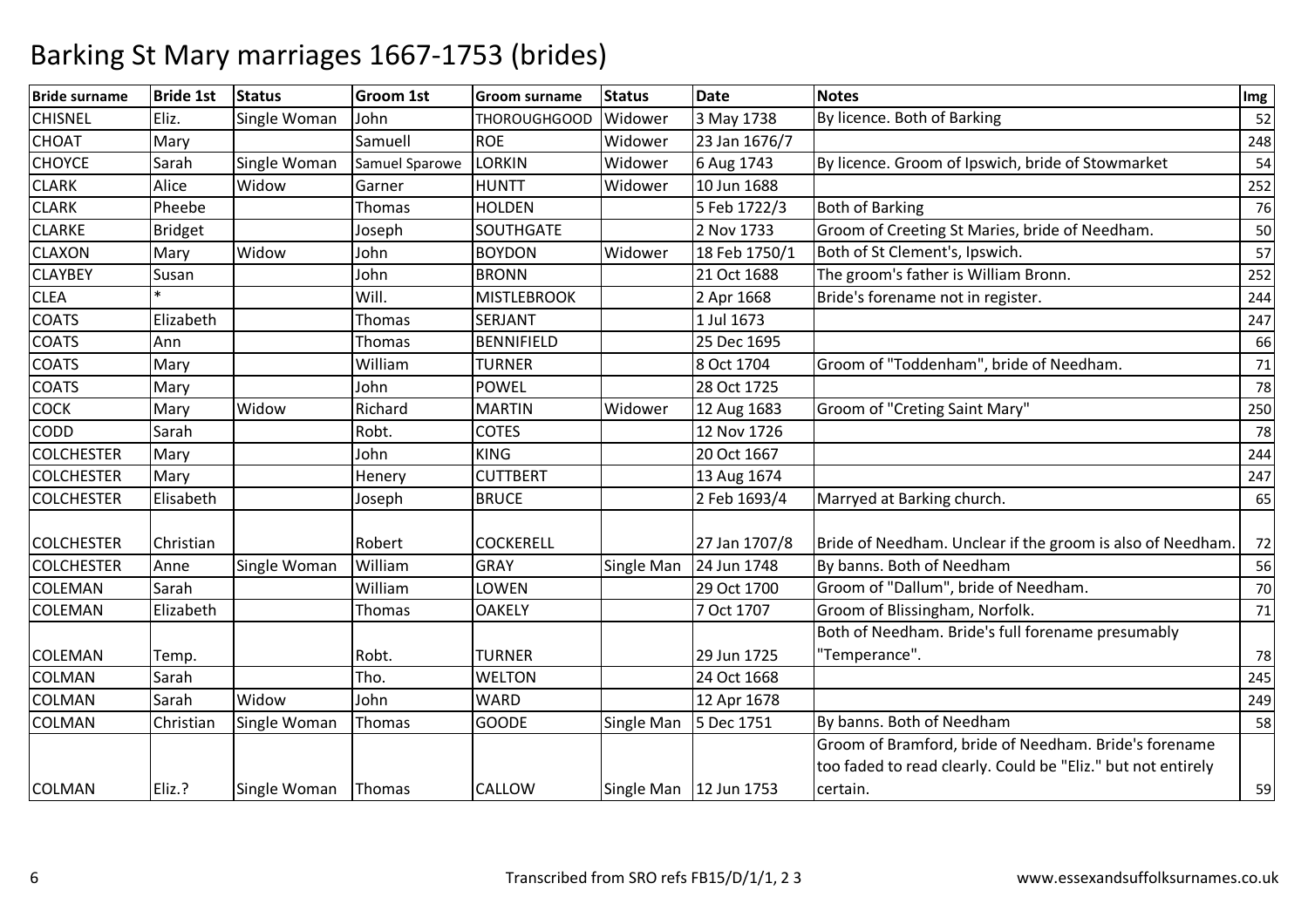| <b>Bride surname</b> | <b>Bride 1st</b> | <b>Status</b> | <b>Groom 1st</b> | <b>Groom surname</b> | <b>Status</b> | <b>Date</b>              | <b>Notes</b>                                                                                                          | $\lfloor \mathsf{Img} \rfloor$ |
|----------------------|------------------|---------------|------------------|----------------------|---------------|--------------------------|-----------------------------------------------------------------------------------------------------------------------|--------------------------------|
| <b>CHISNEL</b>       | Eliz.            | Single Woman  | John             | <b>THOROUGHGOOD</b>  | Widower       | 3 May 1738               | By licence. Both of Barking                                                                                           | 52                             |
| <b>CHOAT</b>         | Mary             |               | Samuell          | <b>ROE</b>           | Widower       | 23 Jan 1676/7            |                                                                                                                       | 248                            |
| <b>CHOYCE</b>        | Sarah            | Single Woman  | Samuel Sparowe   | <b>LORKIN</b>        | Widower       | 6 Aug 1743               | By licence. Groom of Ipswich, bride of Stowmarket                                                                     | 54                             |
| <b>CLARK</b>         | Alice            | Widow         | Garner           | <b>HUNTT</b>         | Widower       | 10 Jun 1688              |                                                                                                                       | 252                            |
| <b>CLARK</b>         | Pheebe           |               | Thomas           | <b>HOLDEN</b>        |               | 5 Feb 1722/3             | <b>Both of Barking</b>                                                                                                | 76                             |
| <b>CLARKE</b>        | <b>Bridget</b>   |               | Joseph           | SOUTHGATE            |               | 2 Nov 1733               | Groom of Creeting St Maries, bride of Needham.                                                                        | 50                             |
| <b>CLAXON</b>        | Mary             | Widow         | John             | <b>BOYDON</b>        | Widower       | 18 Feb 1750/1            | Both of St Clement's, Ipswich.                                                                                        | 57                             |
| <b>CLAYBEY</b>       | Susan            |               | John             | <b>BRONN</b>         |               | 21 Oct 1688              | The groom's father is William Bronn.                                                                                  | 252                            |
| <b>CLEA</b>          |                  |               | Will.            | <b>MISTLEBROOK</b>   |               | 2 Apr 1668               | Bride's forename not in register.                                                                                     | 244                            |
| <b>COATS</b>         | Elizabeth        |               | <b>Thomas</b>    | SERJANT              |               | 1 Jul 1673               |                                                                                                                       | 247                            |
| <b>COATS</b>         | Ann              |               | <b>Thomas</b>    | <b>BENNIFIELD</b>    |               | 25 Dec 1695              |                                                                                                                       | 66                             |
| <b>COATS</b>         | Mary             |               | William          | <b>TURNER</b>        |               | 8 Oct 1704               | Groom of "Toddenham", bride of Needham.                                                                               | 71                             |
| <b>COATS</b>         | Mary             |               | John             | <b>POWEL</b>         |               | 28 Oct 1725              |                                                                                                                       | 78                             |
| <b>COCK</b>          | Mary             | Widow         | Richard          | <b>MARTIN</b>        | Widower       | 12 Aug 1683              | Groom of "Creting Saint Mary"                                                                                         | 250                            |
| <b>CODD</b>          | Sarah            |               | Robt.            | <b>COTES</b>         |               | 12 Nov 1726              |                                                                                                                       | 78                             |
| <b>COLCHESTER</b>    | Mary             |               | John             | <b>KING</b>          |               | 20 Oct 1667              |                                                                                                                       | 244                            |
| <b>COLCHESTER</b>    | Mary             |               | Henery           | <b>CUTTBERT</b>      |               | 13 Aug 1674              |                                                                                                                       | 247                            |
| <b>COLCHESTER</b>    | Elisabeth        |               | Joseph           | <b>BRUCE</b>         |               | 2 Feb 1693/4             | Marryed at Barking church.                                                                                            | 65                             |
| <b>COLCHESTER</b>    | Christian        |               | Robert           | <b>COCKERELL</b>     |               | 27 Jan 1707/8            | Bride of Needham. Unclear if the groom is also of Needham.                                                            | 72                             |
| <b>COLCHESTER</b>    | Anne             | Single Woman  | William          | <b>GRAY</b>          | Single Man    | 24 Jun 1748              | By banns. Both of Needham                                                                                             | 56                             |
| <b>COLEMAN</b>       | Sarah            |               | William          | LOWEN                |               | 29 Oct 1700              | Groom of "Dallum", bride of Needham.                                                                                  | 70                             |
| <b>COLEMAN</b>       | Elizabeth        |               | Thomas           | <b>OAKELY</b>        |               | 7 Oct 1707               | Groom of Blissingham, Norfolk.                                                                                        | 71                             |
|                      |                  |               |                  |                      |               |                          | Both of Needham. Bride's full forename presumably                                                                     |                                |
| <b>COLEMAN</b>       | Temp.            |               | Robt.            | <b>TURNER</b>        |               | 29 Jun 1725              | 'Temperance".                                                                                                         | 78                             |
| <b>COLMAN</b>        | Sarah            |               | Tho.             | <b>WELTON</b>        |               | 24 Oct 1668              |                                                                                                                       | 245                            |
| <b>COLMAN</b>        | Sarah            | Widow         | John             | <b>WARD</b>          |               | 12 Apr 1678              |                                                                                                                       | 249                            |
| <b>COLMAN</b>        | Christian        | Single Woman  | Thomas           | <b>GOODE</b>         | Single Man    | 5 Dec 1751               | By banns. Both of Needham                                                                                             | 58                             |
|                      |                  |               |                  |                      |               |                          | Groom of Bramford, bride of Needham. Bride's forename<br>too faded to read clearly. Could be "Eliz." but not entirely |                                |
| <b>COLMAN</b>        | Eliz.?           | Single Woman  | Thomas           | <b>CALLOW</b>        |               | Single Man   12 Jun 1753 | certain.                                                                                                              | 59                             |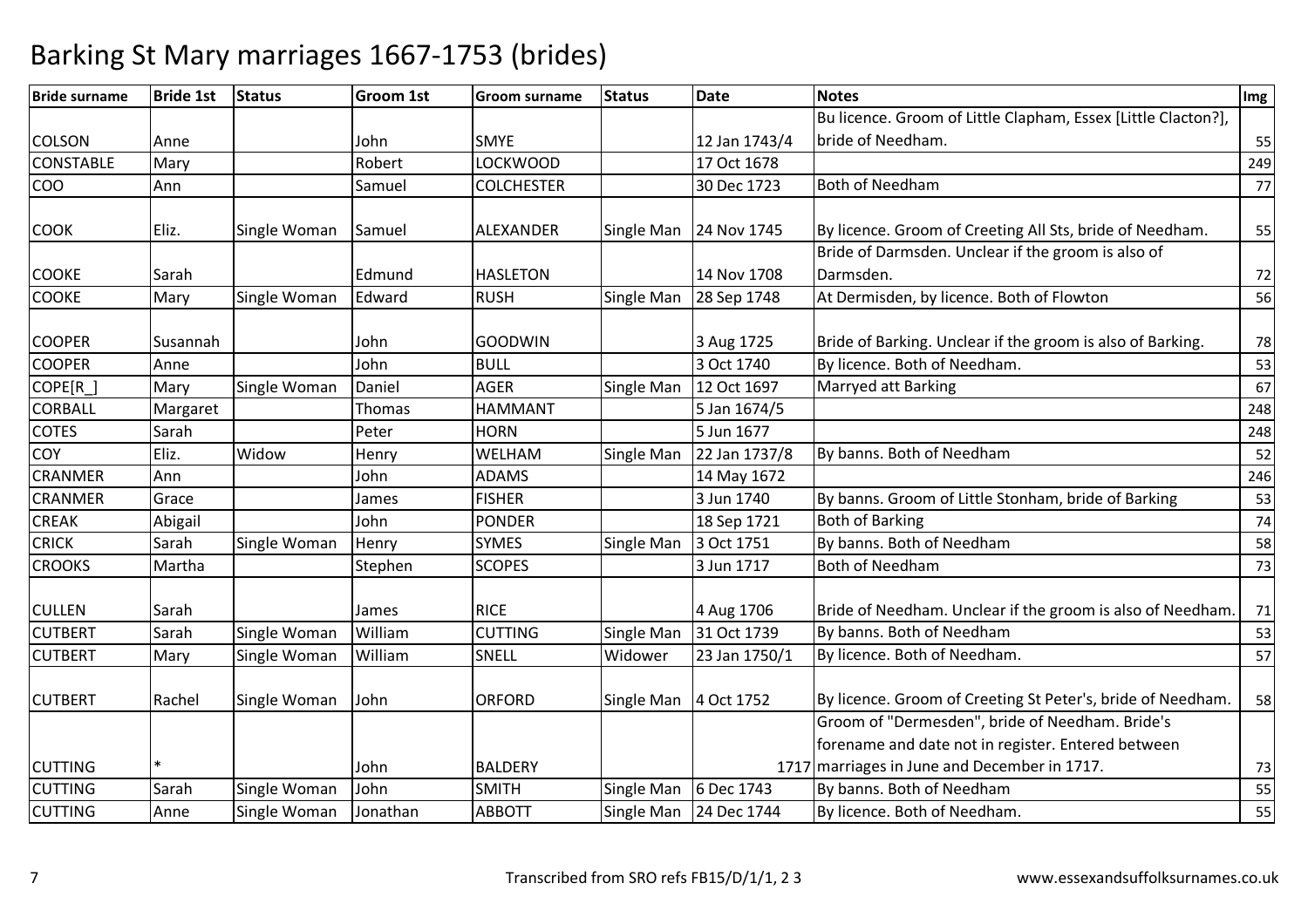| <b>Bride surname</b> | <b>Bride 1st</b> | <b>Status</b> | <b>Groom 1st</b> | <b>Groom surname</b> | <b>Status</b> | <b>Date</b>   | <b>Notes</b>                                                                                       | Img |
|----------------------|------------------|---------------|------------------|----------------------|---------------|---------------|----------------------------------------------------------------------------------------------------|-----|
|                      |                  |               |                  |                      |               |               | Bu licence. Groom of Little Clapham, Essex [Little Clacton?],                                      |     |
| <b>COLSON</b>        | Anne             |               | John             | <b>SMYE</b>          |               | 12 Jan 1743/4 | bride of Needham.                                                                                  | 55  |
| <b>CONSTABLE</b>     | Mary             |               | Robert           | <b>LOCKWOOD</b>      |               | 17 Oct 1678   |                                                                                                    | 249 |
| COO                  | Ann              |               | Samuel           | <b>COLCHESTER</b>    |               | 30 Dec 1723   | Both of Needham                                                                                    | 77  |
| <b>COOK</b>          | Eliz.            | Single Woman  | Samuel           | ALEXANDER            | Single Man    | 24 Nov 1745   | By licence. Groom of Creeting All Sts, bride of Needham.                                           | 55  |
|                      |                  |               |                  |                      |               |               | Bride of Darmsden. Unclear if the groom is also of                                                 |     |
| <b>COOKE</b>         | Sarah            |               | Edmund           | <b>HASLETON</b>      |               | 14 Nov 1708   | Darmsden.                                                                                          | 72  |
| <b>COOKE</b>         | Mary             | Single Woman  | Edward           | <b>RUSH</b>          | Single Man    | 28 Sep 1748   | At Dermisden, by licence. Both of Flowton                                                          | 56  |
| <b>COOPER</b>        | Susannah         |               | John             | <b>GOODWIN</b>       |               | 3 Aug 1725    | Bride of Barking. Unclear if the groom is also of Barking.                                         | 78  |
| <b>COOPER</b>        | Anne             |               | John             | <b>BULL</b>          |               | 3 Oct 1740    | By licence. Both of Needham.                                                                       | 53  |
| COPE[R_]             | Mary             | Single Woman  | Daniel           | <b>AGER</b>          | Single Man    | 12 Oct 1697   | Marryed att Barking                                                                                | 67  |
| <b>CORBALL</b>       | Margaret         |               | Thomas           | <b>HAMMANT</b>       |               | 5 Jan 1674/5  |                                                                                                    | 248 |
| <b>COTES</b>         | Sarah            |               | Peter            | <b>HORN</b>          |               | 5 Jun 1677    |                                                                                                    | 248 |
| COY                  | Eliz.            | Widow         | Henry            | WELHAM               | Single Man    | 22 Jan 1737/8 | By banns. Both of Needham                                                                          | 52  |
| <b>CRANMER</b>       | Ann              |               | John             | <b>ADAMS</b>         |               | 14 May 1672   |                                                                                                    | 246 |
| <b>CRANMER</b>       | Grace            |               | James            | <b>FISHER</b>        |               | 3 Jun 1740    | By banns. Groom of Little Stonham, bride of Barking                                                | 53  |
| <b>CREAK</b>         | Abigail          |               | John             | <b>PONDER</b>        |               | 18 Sep 1721   | <b>Both of Barking</b>                                                                             | 74  |
| <b>CRICK</b>         | Sarah            | Single Woman  | Henry            | <b>SYMES</b>         | Single Man    | 3 Oct 1751    | By banns. Both of Needham                                                                          | 58  |
| <b>CROOKS</b>        | Martha           |               | Stephen          | <b>SCOPES</b>        |               | 3 Jun 1717    | <b>Both of Needham</b>                                                                             | 73  |
| <b>CULLEN</b>        | Sarah            |               | James            | <b>RICE</b>          |               | 4 Aug 1706    | Bride of Needham. Unclear if the groom is also of Needham.                                         | 71  |
| <b>CUTBERT</b>       | Sarah            | Single Woman  | William          | <b>CUTTING</b>       | Single Man    | 31 Oct 1739   | By banns. Both of Needham                                                                          | 53  |
| <b>CUTBERT</b>       | Mary             | Single Woman  | William          | SNELL                | Widower       | 23 Jan 1750/1 | By licence. Both of Needham.                                                                       | 57  |
| <b>CUTBERT</b>       | Rachel           | Single Woman  | John             | <b>ORFORD</b>        | Single Man    | 4 Oct 1752    | By licence. Groom of Creeting St Peter's, bride of Needham.                                        | 58  |
|                      |                  |               |                  |                      |               |               | Groom of "Dermesden", bride of Needham. Bride's                                                    |     |
| <b>CUTTING</b>       |                  |               | John             | <b>BALDERY</b>       |               |               | forename and date not in register. Entered between<br>1717 marriages in June and December in 1717. | 73  |
| <b>CUTTING</b>       | Sarah            | Single Woman  | John             | <b>SMITH</b>         | Single Man    | 6 Dec 1743    | By banns. Both of Needham                                                                          | 55  |
| <b>CUTTING</b>       | Anne             | Single Woman  | Jonathan         | <b>ABBOTT</b>        | Single Man    | 24 Dec 1744   | By licence. Both of Needham.                                                                       | 55  |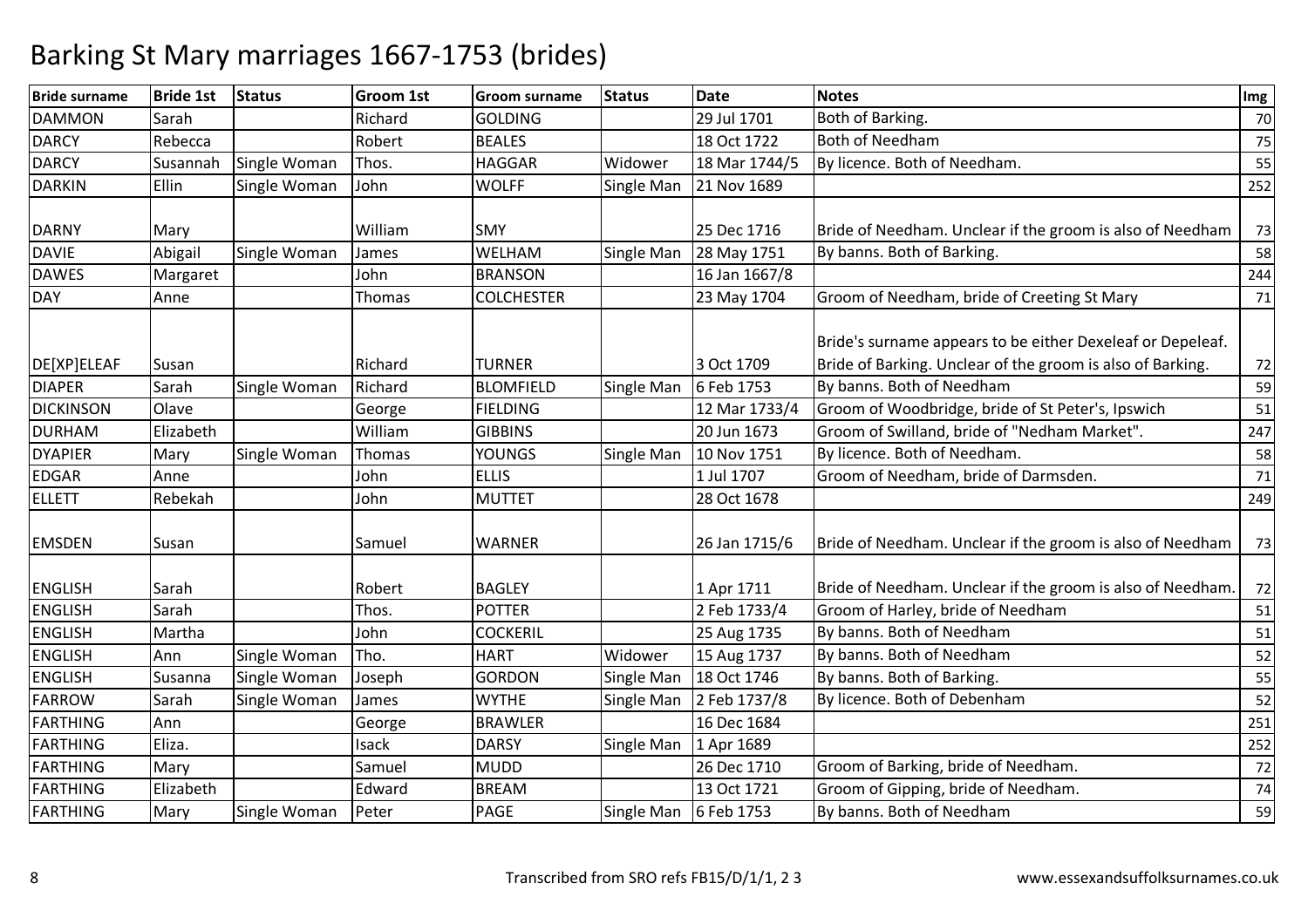| <b>Bride surname</b> | <b>Bride 1st</b> | <b>Status</b> | <b>Groom 1st</b> | <b>Groom surname</b> | <b>Status</b> | <b>Date</b>   | <b>Notes</b>                                                                                                             | Img |
|----------------------|------------------|---------------|------------------|----------------------|---------------|---------------|--------------------------------------------------------------------------------------------------------------------------|-----|
| <b>DAMMON</b>        | Sarah            |               | Richard          | <b>GOLDING</b>       |               | 29 Jul 1701   | Both of Barking.                                                                                                         | 70  |
| <b>DARCY</b>         | Rebecca          |               | Robert           | <b>BEALES</b>        |               | 18 Oct 1722   | <b>Both of Needham</b>                                                                                                   | 75  |
| <b>DARCY</b>         | Susannah         | Single Woman  | Thos.            | <b>HAGGAR</b>        | Widower       | 18 Mar 1744/5 | By licence. Both of Needham.                                                                                             | 55  |
| <b>DARKIN</b>        | Ellin            | Single Woman  | John             | <b>WOLFF</b>         | Single Man    | 21 Nov 1689   |                                                                                                                          | 252 |
| <b>DARNY</b>         | Mary             |               | William          | <b>SMY</b>           |               | 25 Dec 1716   | Bride of Needham. Unclear if the groom is also of Needham                                                                | 73  |
| <b>DAVIE</b>         | Abigail          | Single Woman  | James            | WELHAM               | Single Man    | 28 May 1751   | By banns. Both of Barking.                                                                                               | 58  |
| <b>DAWES</b>         | Margaret         |               | John             | <b>BRANSON</b>       |               | 16 Jan 1667/8 |                                                                                                                          | 244 |
| <b>DAY</b>           | Anne             |               | <b>Thomas</b>    | <b>COLCHESTER</b>    |               | 23 May 1704   | Groom of Needham, bride of Creeting St Mary                                                                              | 71  |
| DE[XP]ELEAF          | Susan            |               | Richard          | <b>TURNER</b>        |               | 3 Oct 1709    | Bride's surname appears to be either Dexeleaf or Depeleaf.<br>Bride of Barking. Unclear of the groom is also of Barking. | 72  |
| <b>DIAPER</b>        | Sarah            | Single Woman  | Richard          | <b>BLOMFIELD</b>     | Single Man    | 6 Feb 1753    | By banns. Both of Needham                                                                                                | 59  |
| <b>DICKINSON</b>     | Olave            |               | George           | <b>FIELDING</b>      |               | 12 Mar 1733/4 | Groom of Woodbridge, bride of St Peter's, Ipswich                                                                        | 51  |
| <b>DURHAM</b>        | Elizabeth        |               | William          | <b>GIBBINS</b>       |               | 20 Jun 1673   | Groom of Swilland, bride of "Nedham Market".                                                                             | 247 |
| <b>DYAPIER</b>       | Mary             | Single Woman  | Thomas           | <b>YOUNGS</b>        | Single Man    | 10 Nov 1751   | By licence. Both of Needham.                                                                                             | 58  |
| <b>EDGAR</b>         | Anne             |               | John             | <b>ELLIS</b>         |               | 1 Jul 1707    | Groom of Needham, bride of Darmsden.                                                                                     | 71  |
| <b>ELLETT</b>        | Rebekah          |               | John             | <b>MUTTET</b>        |               | 28 Oct 1678   |                                                                                                                          | 249 |
| <b>EMSDEN</b>        | Susan            |               | Samuel           | <b>WARNER</b>        |               | 26 Jan 1715/6 | Bride of Needham. Unclear if the groom is also of Needham                                                                | 73  |
| <b>ENGLISH</b>       | Sarah            |               | Robert           | <b>BAGLEY</b>        |               | 1 Apr 1711    | Bride of Needham. Unclear if the groom is also of Needham.                                                               | 72  |
| <b>ENGLISH</b>       | Sarah            |               | Thos.            | <b>POTTER</b>        |               | 2 Feb 1733/4  | Groom of Harley, bride of Needham                                                                                        | 51  |
| <b>ENGLISH</b>       | Martha           |               | John             | <b>COCKERIL</b>      |               | 25 Aug 1735   | By banns. Both of Needham                                                                                                | 51  |
| <b>ENGLISH</b>       | Ann              | Single Woman  | Tho.             | <b>HART</b>          | Widower       | 15 Aug 1737   | By banns. Both of Needham                                                                                                | 52  |
| <b>ENGLISH</b>       | Susanna          | Single Woman  | Joseph           | <b>GORDON</b>        | Single Man    | 18 Oct 1746   | By banns. Both of Barking.                                                                                               | 55  |
| <b>FARROW</b>        | Sarah            | Single Woman  | James            | <b>WYTHE</b>         | Single Man    | 2 Feb 1737/8  | By licence. Both of Debenham                                                                                             | 52  |
| <b>FARTHING</b>      | Ann              |               | George           | <b>BRAWLER</b>       |               | 16 Dec 1684   |                                                                                                                          | 251 |
| <b>FARTHING</b>      | Eliza.           |               | Isack            | <b>DARSY</b>         | Single Man    | 1 Apr 1689    |                                                                                                                          | 252 |
| <b>FARTHING</b>      | Mary             |               | Samuel           | <b>MUDD</b>          |               | 26 Dec 1710   | Groom of Barking, bride of Needham.                                                                                      | 72  |
| <b>FARTHING</b>      | Elizabeth        |               | Edward           | <b>BREAM</b>         |               | 13 Oct 1721   | Groom of Gipping, bride of Needham.                                                                                      | 74  |
| <b>FARTHING</b>      | Mary             | Single Woman  | Peter            | <b>PAGE</b>          | Single Man    | 6 Feb 1753    | By banns. Both of Needham                                                                                                | 59  |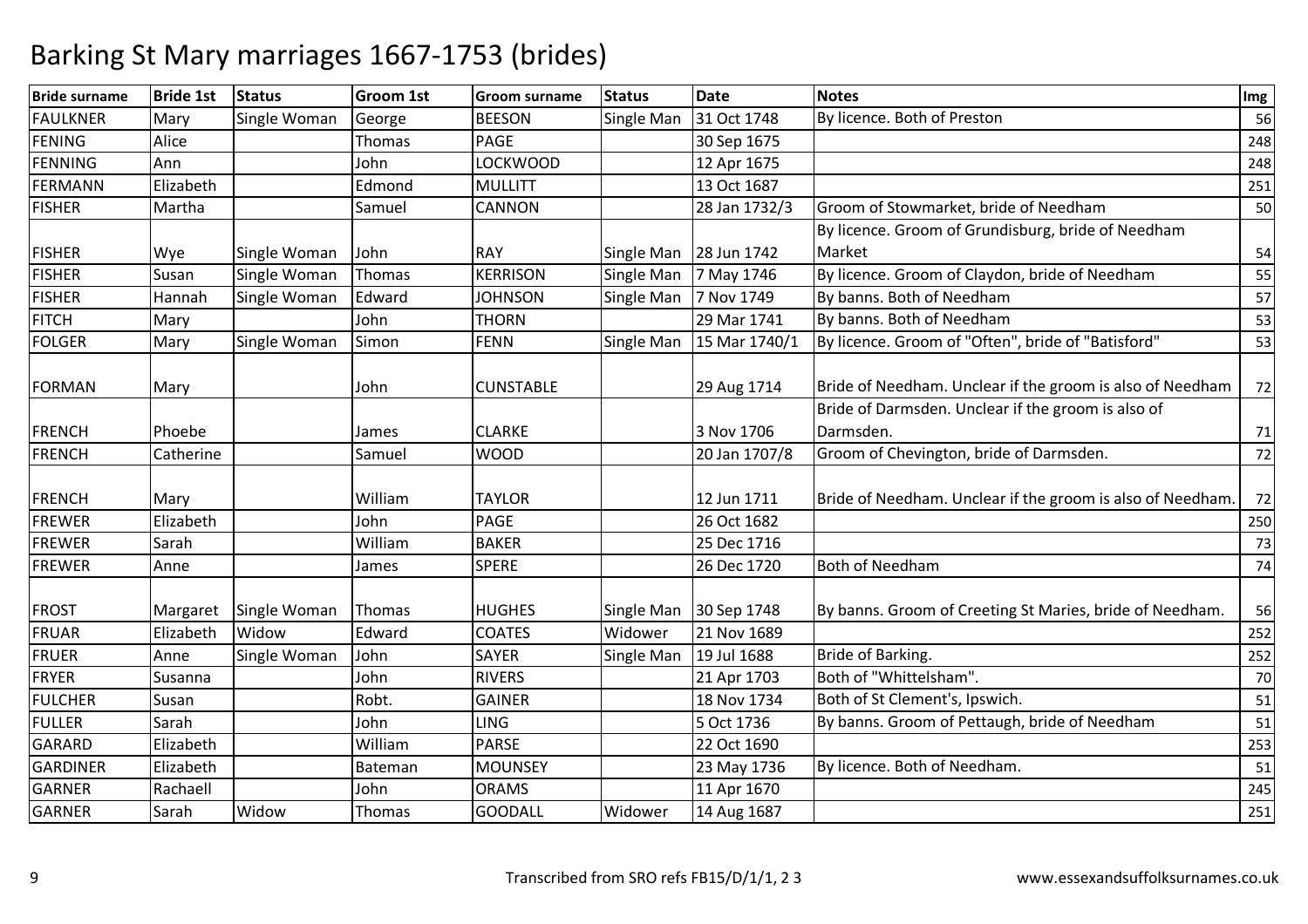| <b>Bride surname</b> | <b>Bride 1st</b> | <b>Status</b> | <b>Groom 1st</b> | <b>Groom surname</b> | <b>Status</b> | <b>Date</b>            | <b>Notes</b>                                                    | Img |
|----------------------|------------------|---------------|------------------|----------------------|---------------|------------------------|-----------------------------------------------------------------|-----|
| <b>FAULKNER</b>      | Mary             | Single Woman  | George           | <b>BEESON</b>        | Single Man    | 31 Oct 1748            | By licence. Both of Preston                                     | 56  |
| <b>FENING</b>        | Alice            |               | Thomas           | <b>PAGE</b>          |               | 30 Sep 1675            |                                                                 | 248 |
| FENNING              | Ann              |               | John             | <b>LOCKWOOD</b>      |               | 12 Apr 1675            |                                                                 | 248 |
| FERMANN              | Elizabeth        |               | Edmond           | <b>MULLITT</b>       |               | 13 Oct 1687            |                                                                 | 251 |
| <b>FISHER</b>        | Martha           |               | Samuel           | <b>CANNON</b>        |               | 28 Jan 1732/3          | Groom of Stowmarket, bride of Needham                           | 50  |
|                      |                  |               |                  |                      |               |                        | By licence. Groom of Grundisburg, bride of Needham              |     |
| <b>FISHER</b>        | Wye              | Single Woman  | John             | <b>RAY</b>           |               | Single Man 28 Jun 1742 | Market                                                          | 54  |
| <b>FISHER</b>        | Susan            | Single Woman  | Thomas           | <b>KERRISON</b>      | Single Man    | 7 May 1746             | By licence. Groom of Claydon, bride of Needham                  | 55  |
| <b>FISHER</b>        | Hannah           | Single Woman  | Edward           | <b>JOHNSON</b>       | Single Man    | 7 Nov 1749             | By banns. Both of Needham                                       | 57  |
| <b>FITCH</b>         | Mary             |               | John             | <b>THORN</b>         |               | 29 Mar 1741            | By banns. Both of Needham                                       | 53  |
| <b>FOLGER</b>        | Mary             | Single Woman  | Simon            | <b>FENN</b>          | Single Man    | 15 Mar 1740/1          | By licence. Groom of "Often", bride of "Batisford"              | 53  |
| <b>FORMAN</b>        | Mary             |               | John             | <b>CUNSTABLE</b>     |               | 29 Aug 1714            | Bride of Needham. Unclear if the groom is also of Needham       | 72  |
| <b>FRENCH</b>        | Phoebe           |               | James            | <b>CLARKE</b>        |               | 3 Nov 1706             | Bride of Darmsden. Unclear if the groom is also of<br>Darmsden. | 71  |
| <b>FRENCH</b>        | Catherine        |               | Samuel           | <b>WOOD</b>          |               | 20 Jan 1707/8          | Groom of Chevington, bride of Darmsden.                         | 72  |
| FRENCH               | Mary             |               | William          | <b>TAYLOR</b>        |               | 12 Jun 1711            | Bride of Needham. Unclear if the groom is also of Needham.      | 72  |
| <b>FREWER</b>        | Elizabeth        |               | John             | <b>PAGE</b>          |               | 26 Oct 1682            |                                                                 | 250 |
| FREWER               | Sarah            |               | William          | <b>BAKER</b>         |               | 25 Dec 1716            |                                                                 | 73  |
| <b>FREWER</b>        | Anne             |               | James            | <b>SPERE</b>         |               | 26 Dec 1720            | <b>Both of Needham</b>                                          | 74  |
| <b>FROST</b>         | Margaret         | Single Woman  | Thomas           | <b>HUGHES</b>        | Single Man    | 30 Sep 1748            | By banns. Groom of Creeting St Maries, bride of Needham.        | 56  |
| FRUAR                | Elizabeth        | Widow         | Edward           | <b>COATES</b>        | Widower       | 21 Nov 1689            |                                                                 | 252 |
| <b>FRUER</b>         | Anne             | Single Woman  | John             | <b>SAYER</b>         | Single Man    | 19 Jul 1688            | Bride of Barking.                                               | 252 |
| <b>FRYER</b>         | Susanna          |               | John             | <b>RIVERS</b>        |               | 21 Apr 1703            | Both of "Whittelsham".                                          | 70  |
| <b>FULCHER</b>       | Susan            |               | Robt.            | <b>GAINER</b>        |               | 18 Nov 1734            | Both of St Clement's, Ipswich.                                  | 51  |
| <b>FULLER</b>        | Sarah            |               | John             | <b>LING</b>          |               | 5 Oct 1736             | By banns. Groom of Pettaugh, bride of Needham                   | 51  |
| <b>GARARD</b>        | Elizabeth        |               | William          | <b>PARSE</b>         |               | 22 Oct 1690            |                                                                 | 253 |
| <b>GARDINER</b>      | Elizabeth        |               | Bateman          | <b>MOUNSEY</b>       |               | 23 May 1736            | By licence. Both of Needham.                                    | 51  |
| <b>GARNER</b>        | Rachaell         |               | John             | <b>ORAMS</b>         |               | 11 Apr 1670            |                                                                 | 245 |
| <b>GARNER</b>        | Sarah            | Widow         | Thomas           | <b>GOODALL</b>       | Widower       | 14 Aug 1687            |                                                                 | 251 |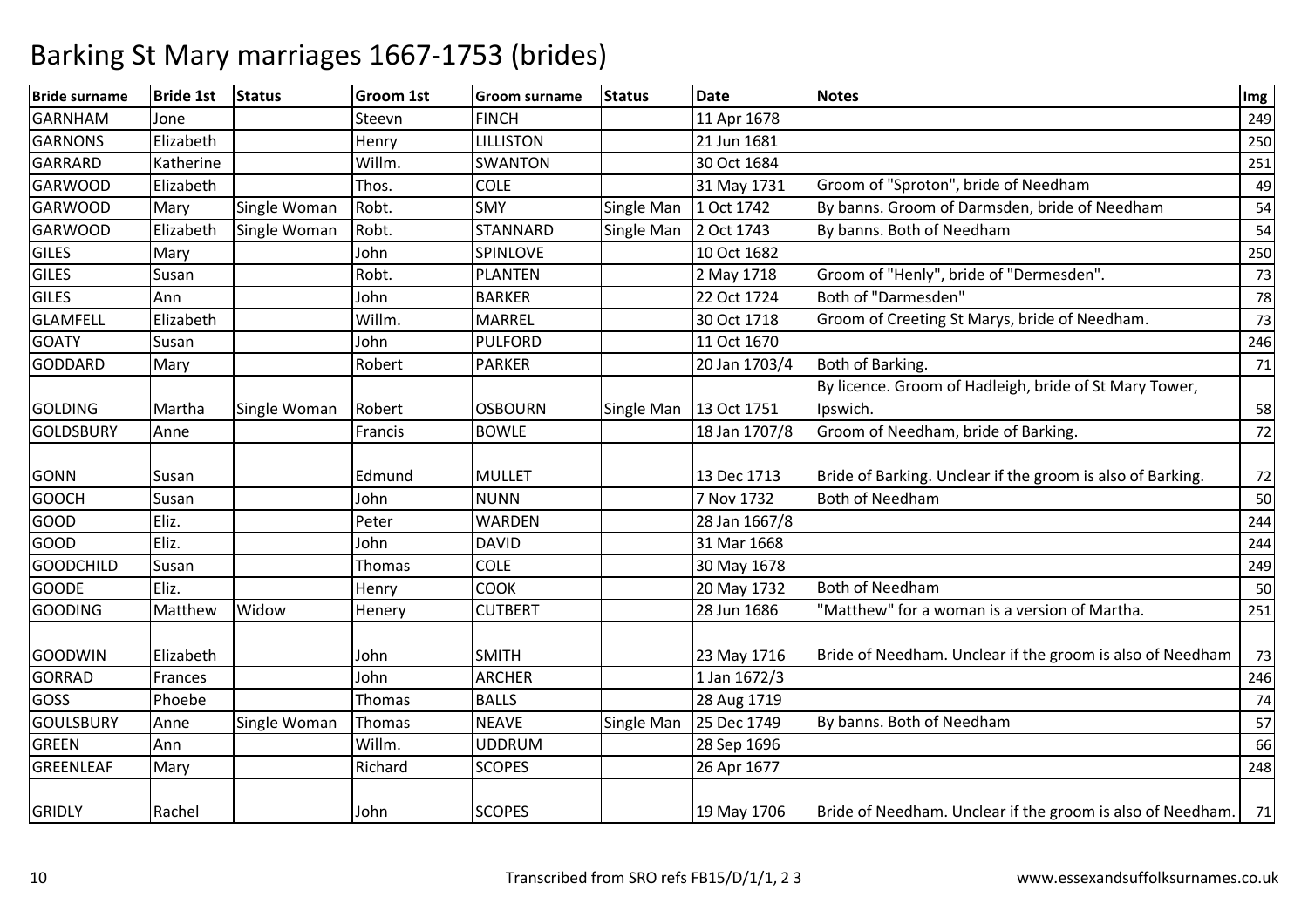| <b>Bride surname</b> | <b>Bride 1st</b> | Status       | <b>Groom 1st</b> | <b>Groom surname</b> | <b>Status</b> | <b>Date</b>   | <b>Notes</b>                                               | Img |
|----------------------|------------------|--------------|------------------|----------------------|---------------|---------------|------------------------------------------------------------|-----|
| <b>GARNHAM</b>       | Jone             |              | Steevn           | <b>FINCH</b>         |               | 11 Apr 1678   |                                                            | 249 |
| <b>GARNONS</b>       | Elizabeth        |              | Henry            | <b>LILLISTON</b>     |               | 21 Jun 1681   |                                                            | 250 |
| GARRARD              | Katherine        |              | Willm.           | <b>SWANTON</b>       |               | 30 Oct 1684   |                                                            | 251 |
| <b>GARWOOD</b>       | Elizabeth        |              | Thos.            | <b>COLE</b>          |               | 31 May 1731   | Groom of "Sproton", bride of Needham                       | 49  |
| <b>GARWOOD</b>       | Mary             | Single Woman | Robt.            | <b>SMY</b>           | Single Man    | 1 Oct 1742    | By banns. Groom of Darmsden, bride of Needham              | 54  |
| <b>GARWOOD</b>       | Elizabeth        | Single Woman | Robt.            | <b>STANNARD</b>      | Single Man    | 2 Oct 1743    | By banns. Both of Needham                                  | 54  |
| <b>GILES</b>         | Mary             |              | John             | SPINLOVE             |               | 10 Oct 1682   |                                                            | 250 |
| GILES                | Susan            |              | Robt.            | <b>PLANTEN</b>       |               | 2 May 1718    | Groom of "Henly", bride of "Dermesden".                    | 73  |
| <b>GILES</b>         | Ann              |              | John             | <b>BARKER</b>        |               | 22 Oct 1724   | Both of "Darmesden"                                        | 78  |
| <b>GLAMFELL</b>      | Elizabeth        |              | Willm.           | <b>MARREL</b>        |               | 30 Oct 1718   | Groom of Creeting St Marys, bride of Needham.              | 73  |
| <b>GOATY</b>         | Susan            |              | John             | <b>PULFORD</b>       |               | 11 Oct 1670   |                                                            | 246 |
| <b>GODDARD</b>       | Mary             |              | Robert           | <b>PARKER</b>        |               | 20 Jan 1703/4 | Both of Barking.                                           | 71  |
|                      |                  |              |                  |                      |               |               | By licence. Groom of Hadleigh, bride of St Mary Tower,     |     |
| <b>GOLDING</b>       | Martha           | Single Woman | Robert           | <b>OSBOURN</b>       | Single Man    | 13 Oct 1751   | Ipswich.                                                   | 58  |
| GOLDSBURY            | Anne             |              | Francis          | <b>BOWLE</b>         |               | 18 Jan 1707/8 | Groom of Needham, bride of Barking.                        | 72  |
| <b>GONN</b>          | Susan            |              | Edmund           | <b>MULLET</b>        |               | 13 Dec 1713   | Bride of Barking. Unclear if the groom is also of Barking. | 72  |
| <b>GOOCH</b>         | Susan            |              | John             | <b>NUNN</b>          |               | 7 Nov 1732    | <b>Both of Needham</b>                                     | 50  |
| GOOD                 | Eliz.            |              | Peter            | <b>WARDEN</b>        |               | 28 Jan 1667/8 |                                                            | 244 |
| <b>GOOD</b>          | Eliz.            |              | John             | <b>DAVID</b>         |               | 31 Mar 1668   |                                                            | 244 |
| <b>GOODCHILD</b>     | Susan            |              | Thomas           | <b>COLE</b>          |               | 30 May 1678   |                                                            | 249 |
| <b>GOODE</b>         | Eliz.            |              | Henry            | <b>COOK</b>          |               | 20 May 1732   | <b>Both of Needham</b>                                     | 50  |
| <b>GOODING</b>       | Matthew          | Widow        | Henery           | <b>CUTBERT</b>       |               | 28 Jun 1686   | "Matthew" for a woman is a version of Martha.              | 251 |
| GOODWIN              | Elizabeth        |              | John             | <b>SMITH</b>         |               | 23 May 1716   | Bride of Needham. Unclear if the groom is also of Needham  | 73  |
| <b>GORRAD</b>        | Frances          |              | John             | <b>ARCHER</b>        |               | 1 Jan 1672/3  |                                                            | 246 |
| <b>GOSS</b>          | Phoebe           |              | Thomas           | <b>BALLS</b>         |               | 28 Aug 1719   |                                                            | 74  |
| <b>GOULSBURY</b>     | Anne             | Single Woman | Thomas           | <b>NEAVE</b>         | Single Man    | 25 Dec 1749   | By banns. Both of Needham                                  | 57  |
| <b>GREEN</b>         | Ann              |              | Willm.           | <b>UDDRUM</b>        |               | 28 Sep 1696   |                                                            | 66  |
| GREENLEAF            | Mary             |              | Richard          | <b>SCOPES</b>        |               | 26 Apr 1677   |                                                            | 248 |
| <b>GRIDLY</b>        | Rachel           |              | John             | <b>SCOPES</b>        |               | 19 May 1706   | Bride of Needham. Unclear if the groom is also of Needham. | 71  |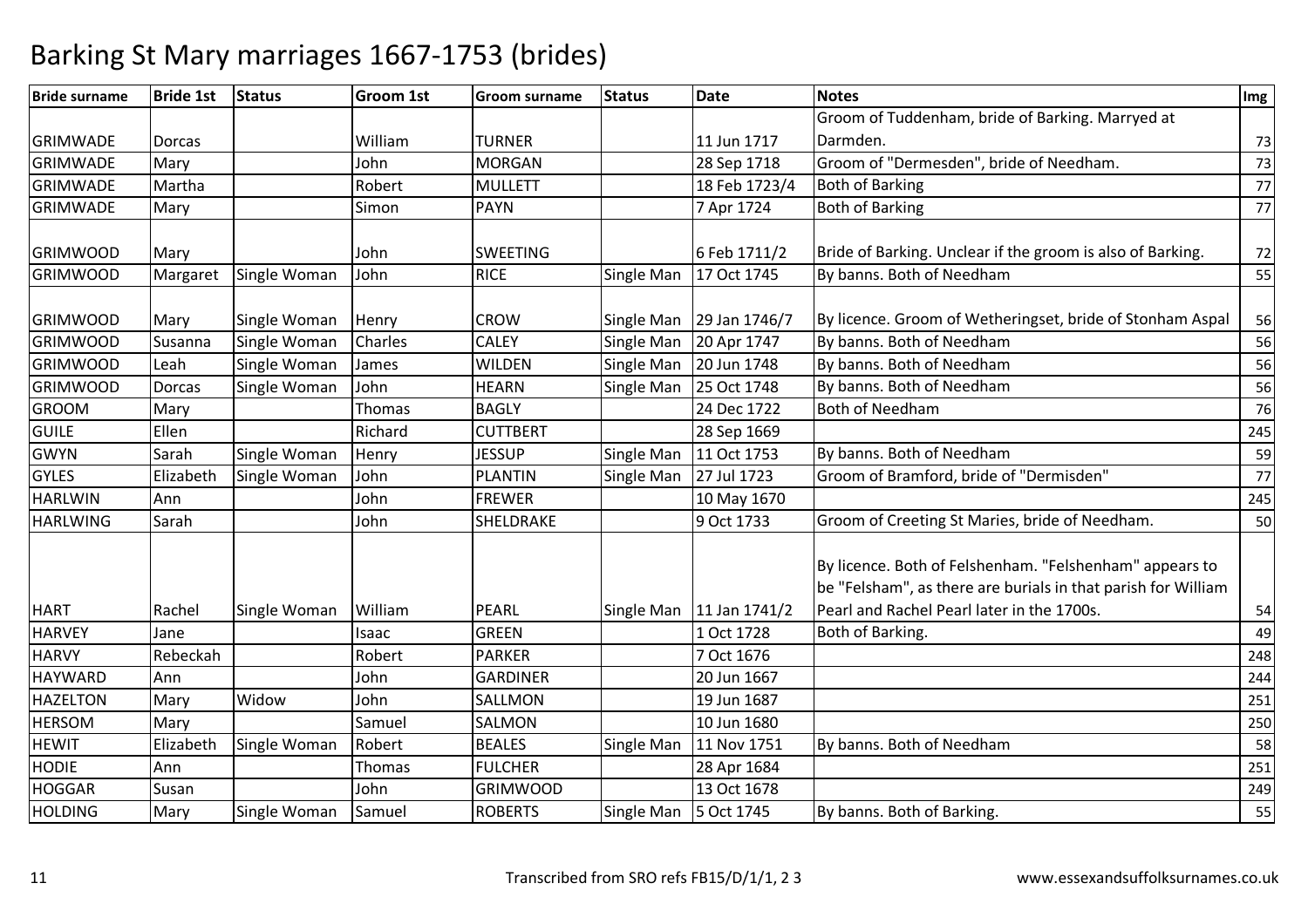| <b>Bride surname</b> | <b>Bride 1st</b> | <b>Status</b> | <b>Groom 1st</b> | <b>Groom surname</b> | <b>Status</b> | <b>Date</b>                | <b>Notes</b>                                                                                                                                                           | Img    |
|----------------------|------------------|---------------|------------------|----------------------|---------------|----------------------------|------------------------------------------------------------------------------------------------------------------------------------------------------------------------|--------|
|                      |                  |               |                  |                      |               |                            | Groom of Tuddenham, bride of Barking. Marryed at                                                                                                                       |        |
| <b>GRIMWADE</b>      | <b>Dorcas</b>    |               | William          | <b>TURNER</b>        |               | 11 Jun 1717                | Darmden.                                                                                                                                                               | 73     |
| <b>GRIMWADE</b>      | Mary             |               | John             | <b>MORGAN</b>        |               | 28 Sep 1718                | Groom of "Dermesden", bride of Needham.                                                                                                                                | 73     |
| <b>GRIMWADE</b>      | Martha           |               | Robert           | <b>MULLETT</b>       |               | 18 Feb 1723/4              | <b>Both of Barking</b>                                                                                                                                                 | 77     |
| <b>GRIMWADE</b>      | Mary             |               | Simon            | <b>PAYN</b>          |               | 7 Apr 1724                 | <b>Both of Barking</b>                                                                                                                                                 | 77     |
| <b>GRIMWOOD</b>      | Mary             |               | John             | <b>SWEETING</b>      |               | 6 Feb 1711/2               | Bride of Barking. Unclear if the groom is also of Barking.                                                                                                             | 72     |
| <b>GRIMWOOD</b>      | Margaret         | Single Woman  | John             | <b>RICE</b>          | Single Man    | 17 Oct 1745                | By banns. Both of Needham                                                                                                                                              | 55     |
| <b>GRIMWOOD</b>      | Mary             | Single Woman  | Henry            | <b>CROW</b>          | Single Man    | 29 Jan 1746/7              | By licence. Groom of Wetheringset, bride of Stonham Aspal                                                                                                              | 56     |
| <b>GRIMWOOD</b>      | Susanna          | Single Woman  | Charles          | <b>CALEY</b>         | Single Man    | 20 Apr 1747                | By banns. Both of Needham                                                                                                                                              | 56     |
| <b>GRIMWOOD</b>      | Leah             | Single Woman  | James            | <b>WILDEN</b>        | Single Man    | 20 Jun 1748                | By banns. Both of Needham                                                                                                                                              | 56     |
| <b>GRIMWOOD</b>      | <b>Dorcas</b>    | Single Woman  | John             | <b>HEARN</b>         | Single Man    | 25 Oct 1748                | By banns. Both of Needham                                                                                                                                              | 56     |
| <b>GROOM</b>         | Mary             |               | Thomas           | <b>BAGLY</b>         |               | 24 Dec 1722                | <b>Both of Needham</b>                                                                                                                                                 | 76     |
| <b>GUILE</b>         | Ellen            |               | Richard          | <b>CUTTBERT</b>      |               | 28 Sep 1669                |                                                                                                                                                                        | 245    |
| <b>GWYN</b>          | Sarah            | Single Woman  | Henry            | <b>JESSUP</b>        | Single Man    | 11 Oct 1753                | By banns. Both of Needham                                                                                                                                              | 59     |
| <b>GYLES</b>         | Elizabeth        | Single Woman  | John             | <b>PLANTIN</b>       | Single Man    | 27 Jul 1723                | Groom of Bramford, bride of "Dermisden"                                                                                                                                | $77\,$ |
| <b>HARLWIN</b>       | Ann              |               | John             | <b>FREWER</b>        |               | 10 May 1670                |                                                                                                                                                                        | 245    |
| <b>HARLWING</b>      | Sarah            |               | John             | <b>SHELDRAKE</b>     |               | 9 Oct 1733                 | Groom of Creeting St Maries, bride of Needham.                                                                                                                         | 50     |
| <b>HART</b>          | Rachel           | Single Woman  | William          | PEARL                |               | Single Man   11 Jan 1741/2 | By licence. Both of Felshenham. "Felshenham" appears to<br>be "Felsham", as there are burials in that parish for William<br>Pearl and Rachel Pearl later in the 1700s. | 54     |
| <b>HARVEY</b>        | Jane             |               | Isaac            | <b>GREEN</b>         |               | 1 Oct 1728                 | Both of Barking.                                                                                                                                                       | 49     |
| <b>HARVY</b>         | Rebeckah         |               | Robert           | <b>PARKER</b>        |               | 7 Oct 1676                 |                                                                                                                                                                        | 248    |
| <b>HAYWARD</b>       | Ann              |               | John             | <b>GARDINER</b>      |               | 20 Jun 1667                |                                                                                                                                                                        | 244    |
| <b>HAZELTON</b>      | Mary             | Widow         | John             | SALLMON              |               | 19 Jun 1687                |                                                                                                                                                                        | 251    |
| <b>HERSOM</b>        | Mary             |               | Samuel           | SALMON               |               | 10 Jun 1680                |                                                                                                                                                                        | 250    |
| <b>HEWIT</b>         | Elizabeth        | Single Woman  | Robert           | <b>BEALES</b>        | Single Man    | 11 Nov 1751                | By banns. Both of Needham                                                                                                                                              | 58     |
| <b>HODIE</b>         | Ann              |               | Thomas           | <b>FULCHER</b>       |               | 28 Apr 1684                |                                                                                                                                                                        | 251    |
| <b>HOGGAR</b>        | Susan            |               | John             | <b>GRIMWOOD</b>      |               | 13 Oct 1678                |                                                                                                                                                                        | 249    |
| <b>HOLDING</b>       | Mary             | Single Woman  | Samuel           | <b>ROBERTS</b>       | Single Man    | 5 Oct 1745                 | By banns. Both of Barking.                                                                                                                                             | 55     |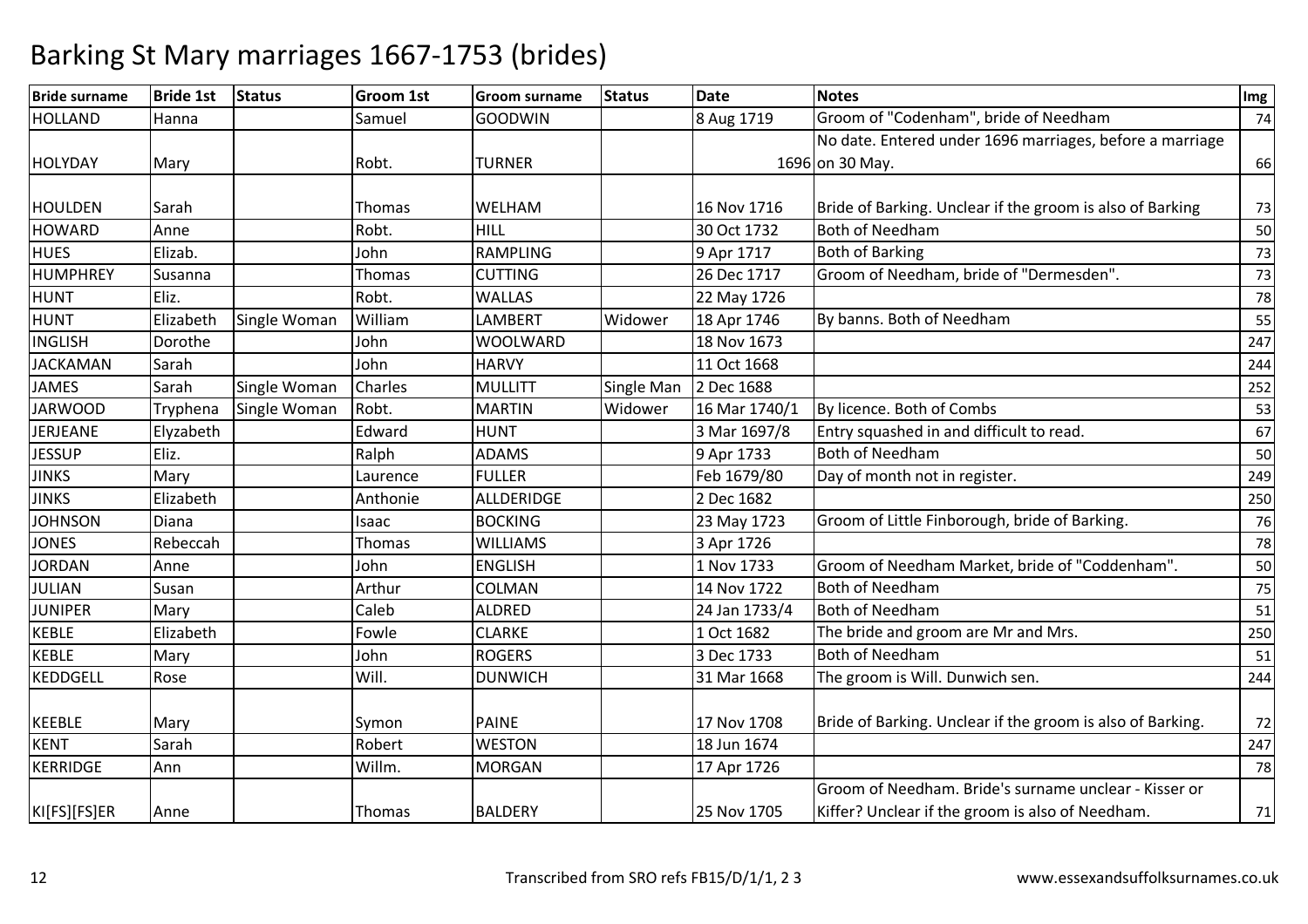| <b>Bride surname</b> | <b>Bride 1st</b> | <b>Status</b> | <b>Groom 1st</b> | <b>Groom surname</b> | <b>Status</b> | <b>Date</b>   | <b>Notes</b>                                               | Img |
|----------------------|------------------|---------------|------------------|----------------------|---------------|---------------|------------------------------------------------------------|-----|
| <b>HOLLAND</b>       | Hanna            |               | Samuel           | <b>GOODWIN</b>       |               | 8 Aug 1719    | Groom of "Codenham", bride of Needham                      | 74  |
|                      |                  |               |                  |                      |               |               | No date. Entered under 1696 marriages, before a marriage   |     |
| <b>HOLYDAY</b>       | Mary             |               | Robt.            | <b>TURNER</b>        |               |               | 1696 on 30 May.                                            | 66  |
|                      |                  |               |                  |                      |               |               |                                                            |     |
| <b>HOULDEN</b>       | Sarah            |               | Thomas           | WELHAM               |               | 16 Nov 1716   | Bride of Barking. Unclear if the groom is also of Barking  | 73  |
| <b>HOWARD</b>        | Anne             |               | Robt.            | HILL                 |               | 30 Oct 1732   | <b>Both of Needham</b>                                     | 50  |
| <b>HUES</b>          | Elizab.          |               | John             | <b>RAMPLING</b>      |               | 9 Apr 1717    | <b>Both of Barking</b>                                     | 73  |
| <b>HUMPHREY</b>      | Susanna          |               | Thomas           | <b>CUTTING</b>       |               | 26 Dec 1717   | Groom of Needham, bride of "Dermesden".                    | 73  |
| <b>HUNT</b>          | Eliz.            |               | Robt.            | <b>WALLAS</b>        |               | 22 May 1726   |                                                            | 78  |
| <b>HUNT</b>          | Elizabeth        | Single Woman  | William          | <b>LAMBERT</b>       | Widower       | 18 Apr 1746   | By banns. Both of Needham                                  | 55  |
| <b>INGLISH</b>       | Dorothe          |               | John             | <b>WOOLWARD</b>      |               | 18 Nov 1673   |                                                            | 247 |
| <b>JACKAMAN</b>      | Sarah            |               | John             | <b>HARVY</b>         |               | 11 Oct 1668   |                                                            | 244 |
| <b>JAMES</b>         | Sarah            | Single Woman  | Charles          | <b>MULLITT</b>       | Single Man    | 2 Dec 1688    |                                                            | 252 |
| <b>JARWOOD</b>       | Tryphena         | Single Woman  | Robt.            | <b>MARTIN</b>        | Widower       | 16 Mar 1740/1 | By licence. Both of Combs                                  | 53  |
| JERJEANE             | Elyzabeth        |               | Edward           | <b>HUNT</b>          |               | 3 Mar 1697/8  | Entry squashed in and difficult to read.                   | 67  |
| <b>JESSUP</b>        | Eliz.            |               | Ralph            | <b>ADAMS</b>         |               | 9 Apr 1733    | <b>Both of Needham</b>                                     | 50  |
| <b>JINKS</b>         | Mary             |               | Laurence         | <b>FULLER</b>        |               | Feb 1679/80   | Day of month not in register.                              | 249 |
| <b>JINKS</b>         | Elizabeth        |               | Anthonie         | ALLDERIDGE           |               | 2 Dec 1682    |                                                            | 250 |
| <b>JOHNSON</b>       | Diana            |               | Isaac            | <b>BOCKING</b>       |               | 23 May 1723   | Groom of Little Finborough, bride of Barking.              | 76  |
| <b>JONES</b>         | Rebeccah         |               | Thomas           | <b>WILLIAMS</b>      |               | 3 Apr 1726    |                                                            | 78  |
| <b>JORDAN</b>        | Anne             |               | John             | <b>ENGLISH</b>       |               | 1 Nov 1733    | Groom of Needham Market, bride of "Coddenham".             | 50  |
| <b>JULIAN</b>        | Susan            |               | Arthur           | COLMAN               |               | 14 Nov 1722   | <b>Both of Needham</b>                                     | 75  |
| <b>JUNIPER</b>       | Mary             |               | Caleb            | ALDRED               |               | 24 Jan 1733/4 | Both of Needham                                            | 51  |
| <b>KEBLE</b>         | Elizabeth        |               | Fowle            | <b>CLARKE</b>        |               | 1 Oct 1682    | The bride and groom are Mr and Mrs.                        | 250 |
| <b>KEBLE</b>         | Mary             |               | John             | <b>ROGERS</b>        |               | 3 Dec 1733    | <b>Both of Needham</b>                                     | 51  |
| <b>KEDDGELL</b>      | Rose             |               | Will.            | <b>DUNWICH</b>       |               | 31 Mar 1668   | The groom is Will. Dunwich sen.                            | 244 |
|                      |                  |               |                  |                      |               |               |                                                            |     |
| <b>KEEBLE</b>        | Mary             |               | Symon            | <b>PAINE</b>         |               | 17 Nov 1708   | Bride of Barking. Unclear if the groom is also of Barking. | 72  |
| <b>KENT</b>          | Sarah            |               | Robert           | <b>WESTON</b>        |               | 18 Jun 1674   |                                                            | 247 |
| <b>KERRIDGE</b>      | Ann              |               | Willm.           | <b>MORGAN</b>        |               | 17 Apr 1726   |                                                            | 78  |
|                      |                  |               |                  |                      |               |               | Groom of Needham. Bride's surname unclear - Kisser or      |     |
| KI[FS][FS]ER         | Anne             |               | Thomas           | <b>BALDERY</b>       |               | 25 Nov 1705   | Kiffer? Unclear if the groom is also of Needham.           | 71  |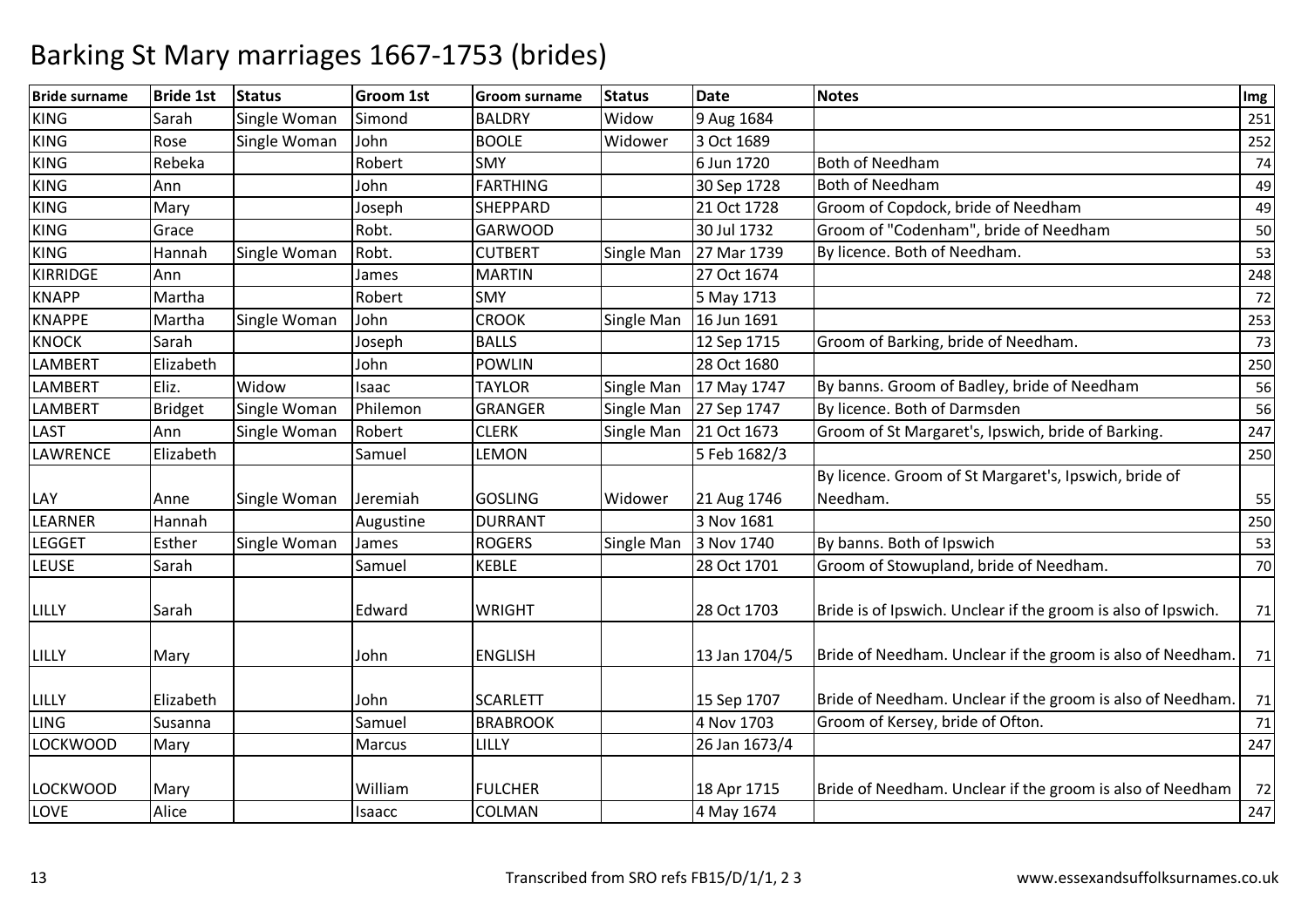| <b>Bride surname</b> | <b>Bride 1st</b> | <b>Status</b> | Groom 1st | <b>Groom surname</b> | <b>Status</b>     | <b>Date</b>   | <b>Notes</b>                                                  | Img |
|----------------------|------------------|---------------|-----------|----------------------|-------------------|---------------|---------------------------------------------------------------|-----|
| <b>KING</b>          | Sarah            | Single Woman  | Simond    | <b>BALDRY</b>        | Widow             | 9 Aug 1684    |                                                               | 251 |
| <b>KING</b>          | Rose             | Single Woman  | John      | <b>BOOLE</b>         | Widower           | 3 Oct 1689    |                                                               | 252 |
| <b>KING</b>          | Rebeka           |               | Robert    | <b>SMY</b>           |                   | 6 Jun 1720    | <b>Both of Needham</b>                                        | 74  |
| <b>KING</b>          | Ann              |               | John      | <b>FARTHING</b>      |                   | 30 Sep 1728   | <b>Both of Needham</b>                                        | 49  |
| <b>KING</b>          | Mary             |               | Joseph    | SHEPPARD             |                   | 21 Oct 1728   | Groom of Copdock, bride of Needham                            | 49  |
| <b>KING</b>          | Grace            |               | Robt.     | <b>GARWOOD</b>       |                   | 30 Jul 1732   | Groom of "Codenham", bride of Needham                         | 50  |
| <b>KING</b>          | Hannah           | Single Woman  | Robt.     | <b>CUTBERT</b>       | <b>Single Man</b> | 27 Mar 1739   | By licence. Both of Needham.                                  | 53  |
| <b>KIRRIDGE</b>      | Ann              |               | James     | <b>MARTIN</b>        |                   | 27 Oct 1674   |                                                               | 248 |
| <b>KNAPP</b>         | Martha           |               | Robert    | <b>SMY</b>           |                   | 5 May 1713    |                                                               | 72  |
| <b>KNAPPE</b>        | Martha           | Single Woman  | John      | <b>CROOK</b>         | Single Man        | 16 Jun 1691   |                                                               | 253 |
| <b>KNOCK</b>         | Sarah            |               | Joseph    | <b>BALLS</b>         |                   | 12 Sep 1715   | Groom of Barking, bride of Needham.                           | 73  |
| <b>LAMBERT</b>       | Elizabeth        |               | John      | <b>POWLIN</b>        |                   | 28 Oct 1680   |                                                               | 250 |
| <b>LAMBERT</b>       | Eliz.            | Widow         | Isaac     | <b>TAYLOR</b>        | Single Man        | 17 May 1747   | By banns. Groom of Badley, bride of Needham                   | 56  |
| <b>LAMBERT</b>       | Bridget          | Single Woman  | Philemon  | <b>GRANGER</b>       | Single Man        | 27 Sep 1747   | By licence. Both of Darmsden                                  | 56  |
| <b>LAST</b>          | Ann              | Single Woman  | Robert    | <b>CLERK</b>         | Single Man        | 21 Oct 1673   | Groom of St Margaret's, Ipswich, bride of Barking.            | 247 |
| LAWRENCE             | Elizabeth        |               | Samuel    | <b>LEMON</b>         |                   | 5 Feb 1682/3  |                                                               | 250 |
|                      |                  |               |           |                      |                   |               | By licence. Groom of St Margaret's, Ipswich, bride of         |     |
| LAY                  | Anne             | Single Woman  | Jeremiah  | <b>GOSLING</b>       | Widower           | 21 Aug 1746   | Needham.                                                      | 55  |
| LEARNER              | Hannah           |               | Augustine | <b>DURRANT</b>       |                   | 3 Nov 1681    |                                                               | 250 |
| <b>LEGGET</b>        | Esther           | Single Woman  | James     | <b>ROGERS</b>        | Single Man        | 3 Nov 1740    | By banns. Both of Ipswich                                     | 53  |
| <b>LEUSE</b>         | Sarah            |               | Samuel    | <b>KEBLE</b>         |                   | 28 Oct 1701   | Groom of Stowupland, bride of Needham.                        | 70  |
| LILLY                | Sarah            |               | Edward    | <b>WRIGHT</b>        |                   | 28 Oct 1703   | Bride is of Ipswich. Unclear if the groom is also of Ipswich. | 71  |
| LILLY                | Mary             |               | John      | <b>ENGLISH</b>       |                   | 13 Jan 1704/5 | Bride of Needham. Unclear if the groom is also of Needham.    | 71  |
| LILLY                | Elizabeth        |               | John      | <b>SCARLETT</b>      |                   | 15 Sep 1707   | Bride of Needham. Unclear if the groom is also of Needham.    | 71  |
| <b>LING</b>          | Susanna          |               | Samuel    | <b>BRABROOK</b>      |                   | 4 Nov 1703    | Groom of Kersey, bride of Ofton.                              | 71  |
| <b>LOCKWOOD</b>      | Mary             |               | Marcus    | LILLY                |                   | 26 Jan 1673/4 |                                                               | 247 |
| <b>LOCKWOOD</b>      | Mary             |               | William   | <b>FULCHER</b>       |                   | 18 Apr 1715   | Bride of Needham. Unclear if the groom is also of Needham     | 72  |
| LOVE                 | Alice            |               | Isaacc    | COLMAN               |                   | 4 May 1674    |                                                               | 247 |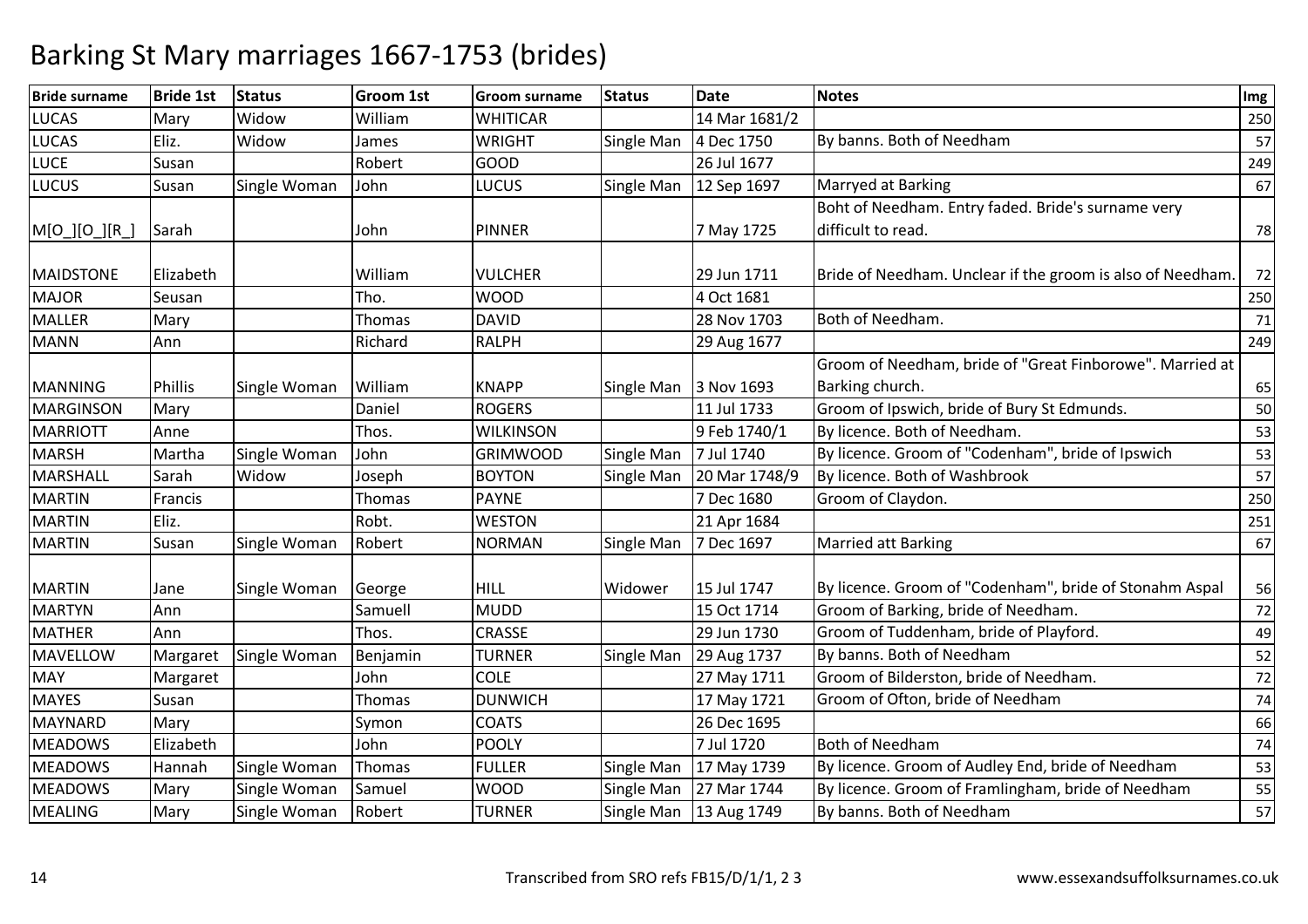| <b>Bride surname</b>        | <b>Bride 1st</b> | Status       | <b>Groom 1st</b> | <b>Groom surname</b>          | <b>Status</b> | <b>Date</b>               | <b>Notes</b>                                               | Img      |
|-----------------------------|------------------|--------------|------------------|-------------------------------|---------------|---------------------------|------------------------------------------------------------|----------|
| <b>LUCAS</b>                | Mary             | Widow        | William          | <b>WHITICAR</b>               |               | 14 Mar 1681/2             |                                                            | 250      |
| <b>LUCAS</b>                | Eliz.            | Widow        | James            | <b>WRIGHT</b>                 | Single Man    | 4 Dec 1750                | By banns. Both of Needham                                  | 57       |
| <b>LUCE</b>                 | Susan            |              | Robert           | <b>GOOD</b>                   |               | 26 Jul 1677               |                                                            | 249      |
| <b>LUCUS</b>                | Susan            | Single Woman | John             | <b>LUCUS</b>                  | Single Man    | 12 Sep 1697               | Marryed at Barking                                         | 67       |
|                             |                  |              |                  |                               |               |                           | Boht of Needham. Entry faded. Bride's surname very         |          |
| M[O_][O_][R_                | Sarah            |              | John             | <b>PINNER</b>                 |               | 7 May 1725                | difficult to read.                                         | 78       |
| <b>MAIDSTONE</b>            | Elizabeth        |              | William          | <b>VULCHER</b>                |               | 29 Jun 1711               | Bride of Needham. Unclear if the groom is also of Needham. | 72       |
| <b>MAJOR</b>                | Seusan           |              | Tho.             | <b>WOOD</b>                   |               | 4 Oct 1681                |                                                            | 250      |
| <b>MALLER</b>               | Mary             |              | Thomas           | <b>DAVID</b>                  |               | 28 Nov 1703               | Both of Needham.                                           | 71       |
| <b>MANN</b>                 | Ann              |              | Richard          | <b>RALPH</b>                  |               |                           |                                                            |          |
|                             |                  |              |                  |                               |               | 29 Aug 1677               | Groom of Needham, bride of "Great Finborowe". Married at   | 249      |
|                             |                  |              | William          |                               |               |                           | Barking church.                                            |          |
| <b>MANNING</b><br>MARGINSON | Phillis          | Single Woman | Daniel           | <b>KNAPP</b><br><b>ROGERS</b> | Single Man    | 3 Nov 1693<br>11 Jul 1733 | Groom of Ipswich, bride of Bury St Edmunds.                | 65<br>50 |
|                             | Mary             |              |                  |                               |               |                           | By licence. Both of Needham.                               |          |
| <b>MARRIOTT</b>             | Anne             |              | Thos.            | <b>WILKINSON</b>              |               | 9 Feb 1740/1              |                                                            | 53       |
| <b>MARSH</b>                | Martha           | Single Woman | John             | <b>GRIMWOOD</b>               | Single Man    | 7 Jul 1740                | By licence. Groom of "Codenham", bride of Ipswich          | 53       |
| <b>MARSHALL</b>             | Sarah            | Widow        | Joseph           | <b>BOYTON</b>                 | Single Man    | 20 Mar 1748/9             | By licence. Both of Washbrook                              | 57       |
| <b>MARTIN</b>               | Francis          |              | Thomas           | <b>PAYNE</b>                  |               | 7 Dec 1680                | Groom of Claydon.                                          | 250      |
| <b>MARTIN</b>               | Eliz.            |              | Robt.            | <b>WESTON</b>                 |               | 21 Apr 1684               |                                                            | 251      |
| <b>MARTIN</b>               | Susan            | Single Woman | Robert           | <b>NORMAN</b>                 | Single Man    | 7 Dec 1697                | <b>Married att Barking</b>                                 | 67       |
| <b>MARTIN</b>               |                  |              |                  | <b>HILL</b>                   | Widower       | 15 Jul 1747               | By licence. Groom of "Codenham", bride of Stonahm Aspal    |          |
| <b>MARTYN</b>               | Jane             | Single Woman | George           | <b>MUDD</b>                   |               | 15 Oct 1714               | Groom of Barking, bride of Needham.                        | 56       |
|                             | Ann              |              | Samuell          |                               |               |                           |                                                            | 72       |
| <b>MATHER</b>               | Ann              |              | Thos.            | CRASSE                        |               | 29 Jun 1730               | Groom of Tuddenham, bride of Playford.                     | 49       |
| <b>MAVELLOW</b>             | Margaret         | Single Woman | Benjamin         | <b>TURNER</b>                 | Single Man    | 29 Aug 1737               | By banns. Both of Needham                                  | 52       |
| <b>MAY</b>                  | Margaret         |              | John             | <b>COLE</b>                   |               | 27 May 1711               | Groom of Bilderston, bride of Needham.                     | 72       |
| <b>MAYES</b>                | Susan            |              | Thomas           | <b>DUNWICH</b>                |               | 17 May 1721               | Groom of Ofton, bride of Needham                           | 74       |
| MAYNARD                     | Mary             |              | Symon            | <b>COATS</b>                  |               | 26 Dec 1695               |                                                            | 66       |
| <b>MEADOWS</b>              | Elizabeth        |              | John             | <b>POOLY</b>                  |               | 7 Jul 1720                | <b>Both of Needham</b>                                     | 74       |
| <b>MEADOWS</b>              | Hannah           | Single Woman | Thomas           | <b>FULLER</b>                 | Single Man    | 17 May 1739               | By licence. Groom of Audley End, bride of Needham          | 53       |
| <b>MEADOWS</b>              | Mary             | Single Woman | Samuel           | <b>WOOD</b>                   | Single Man    | 27 Mar 1744               | By licence. Groom of Framlingham, bride of Needham         | 55       |
| <b>MEALING</b>              | Mary             | Single Woman | Robert           | <b>TURNER</b>                 | Single Man    | 13 Aug 1749               | By banns. Both of Needham                                  | 57       |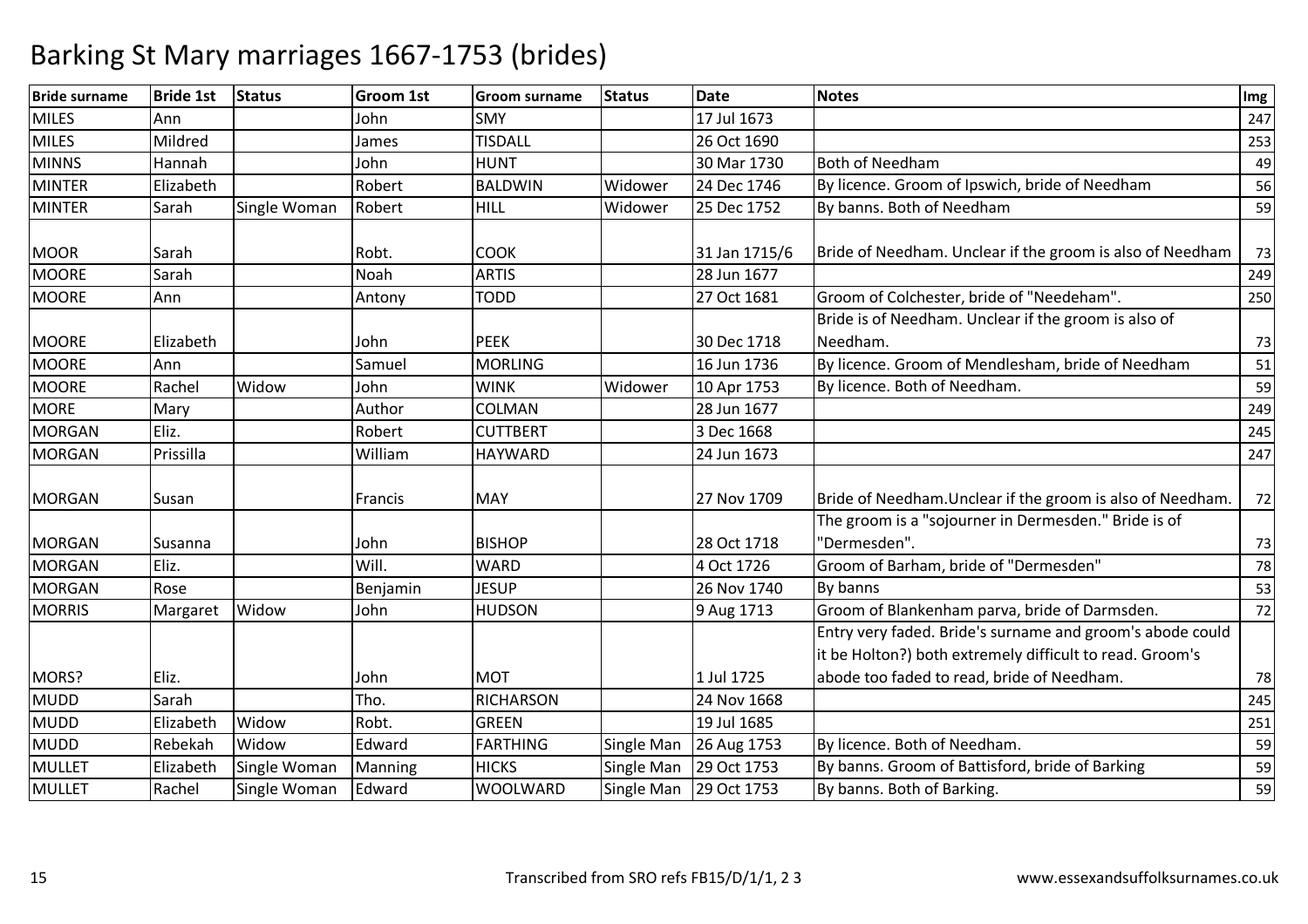| <b>Bride surname</b> | <b>Bride 1st</b> | <b>Status</b> | Groom 1st | <b>Groom surname</b> | <b>Status</b> | <b>Date</b>   | <b>Notes</b>                                                         | Img |
|----------------------|------------------|---------------|-----------|----------------------|---------------|---------------|----------------------------------------------------------------------|-----|
| <b>MILES</b>         | Ann              |               | John      | <b>SMY</b>           |               | 17 Jul 1673   |                                                                      | 247 |
| <b>MILES</b>         | Mildred          |               | James     | <b>TISDALL</b>       |               | 26 Oct 1690   |                                                                      | 253 |
| <b>MINNS</b>         | Hannah           |               | John      | <b>HUNT</b>          |               | 30 Mar 1730   | <b>Both of Needham</b>                                               | 49  |
| <b>MINTER</b>        | Elizabeth        |               | Robert    | <b>BALDWIN</b>       | Widower       | 24 Dec 1746   | By licence. Groom of Ipswich, bride of Needham                       | 56  |
| <b>MINTER</b>        | Sarah            | Single Woman  | Robert    | <b>HILL</b>          | Widower       | 25 Dec 1752   | By banns. Both of Needham                                            | 59  |
| <b>MOOR</b>          | Sarah            |               | Robt.     | <b>COOK</b>          |               | 31 Jan 1715/6 | Bride of Needham. Unclear if the groom is also of Needham            | 73  |
| <b>MOORE</b>         | Sarah            |               | Noah      | <b>ARTIS</b>         |               | 28 Jun 1677   |                                                                      | 249 |
| <b>MOORE</b>         | Ann              |               | Antony    | <b>TODD</b>          |               | 27 Oct 1681   | Groom of Colchester, bride of "Needeham".                            | 250 |
|                      |                  |               |           |                      |               |               | Bride is of Needham. Unclear if the groom is also of                 |     |
| <b>MOORE</b>         | Elizabeth        |               | John      | <b>PEEK</b>          |               | 30 Dec 1718   | Needham.                                                             | 73  |
| <b>MOORE</b>         | Ann              |               | Samuel    | <b>MORLING</b>       |               | 16 Jun 1736   | By licence. Groom of Mendlesham, bride of Needham                    | 51  |
| <b>MOORE</b>         | Rachel           | Widow         | John      | <b>WINK</b>          | Widower       | 10 Apr 1753   | By licence. Both of Needham.                                         | 59  |
| <b>MORE</b>          | Mary             |               | Author    | COLMAN               |               | 28 Jun 1677   |                                                                      | 249 |
| <b>MORGAN</b>        | Eliz.            |               | Robert    | <b>CUTTBERT</b>      |               | 3 Dec 1668    |                                                                      | 245 |
| <b>MORGAN</b>        | Prissilla        |               | William   | <b>HAYWARD</b>       |               | 24 Jun 1673   |                                                                      | 247 |
| <b>MORGAN</b>        | Susan            |               | Francis   | <b>MAY</b>           |               | 27 Nov 1709   | Bride of Needham. Unclear if the groom is also of Needham.           | 72  |
|                      |                  |               |           |                      |               |               | The groom is a "sojourner in Dermesden." Bride is of<br>"Dermesden". |     |
| <b>MORGAN</b>        | Susanna          |               | John      | <b>BISHOP</b>        |               | 28 Oct 1718   |                                                                      | 73  |
| <b>MORGAN</b>        | Eliz.            |               | Will.     | <b>WARD</b>          |               | 4 Oct 1726    | Groom of Barham, bride of "Dermesden"                                | 78  |
| <b>MORGAN</b>        | Rose             |               | Benjamin  | <b>JESUP</b>         |               | 26 Nov 1740   | By banns                                                             | 53  |
| <b>MORRIS</b>        | Margaret         | Widow         | John      | <b>HUDSON</b>        |               | 9 Aug 1713    | Groom of Blankenham parva, bride of Darmsden.                        | 72  |
|                      |                  |               |           |                      |               |               | Entry very faded. Bride's surname and groom's abode could            |     |
|                      |                  |               |           |                      |               |               | it be Holton?) both extremely difficult to read. Groom's             |     |
| MORS?                | Eliz.            |               | John      | <b>MOT</b>           |               | 1 Jul 1725    | abode too faded to read, bride of Needham.                           | 78  |
| <b>MUDD</b>          | Sarah            |               | Tho.      | <b>RICHARSON</b>     |               | 24 Nov 1668   |                                                                      | 245 |
| <b>MUDD</b>          | Elizabeth        | Widow         | Robt.     | <b>GREEN</b>         |               | 19 Jul 1685   |                                                                      | 251 |
| <b>MUDD</b>          | Rebekah          | Widow         | Edward    | <b>FARTHING</b>      | Single Man    | 26 Aug 1753   | By licence. Both of Needham.                                         | 59  |
| <b>MULLET</b>        | Elizabeth        | Single Woman  | Manning   | <b>HICKS</b>         | Single Man    | 29 Oct 1753   | By banns. Groom of Battisford, bride of Barking                      | 59  |
| <b>MULLET</b>        | Rachel           | Single Woman  | Edward    | <b>WOOLWARD</b>      | Single Man    | 29 Oct 1753   | By banns. Both of Barking.                                           | 59  |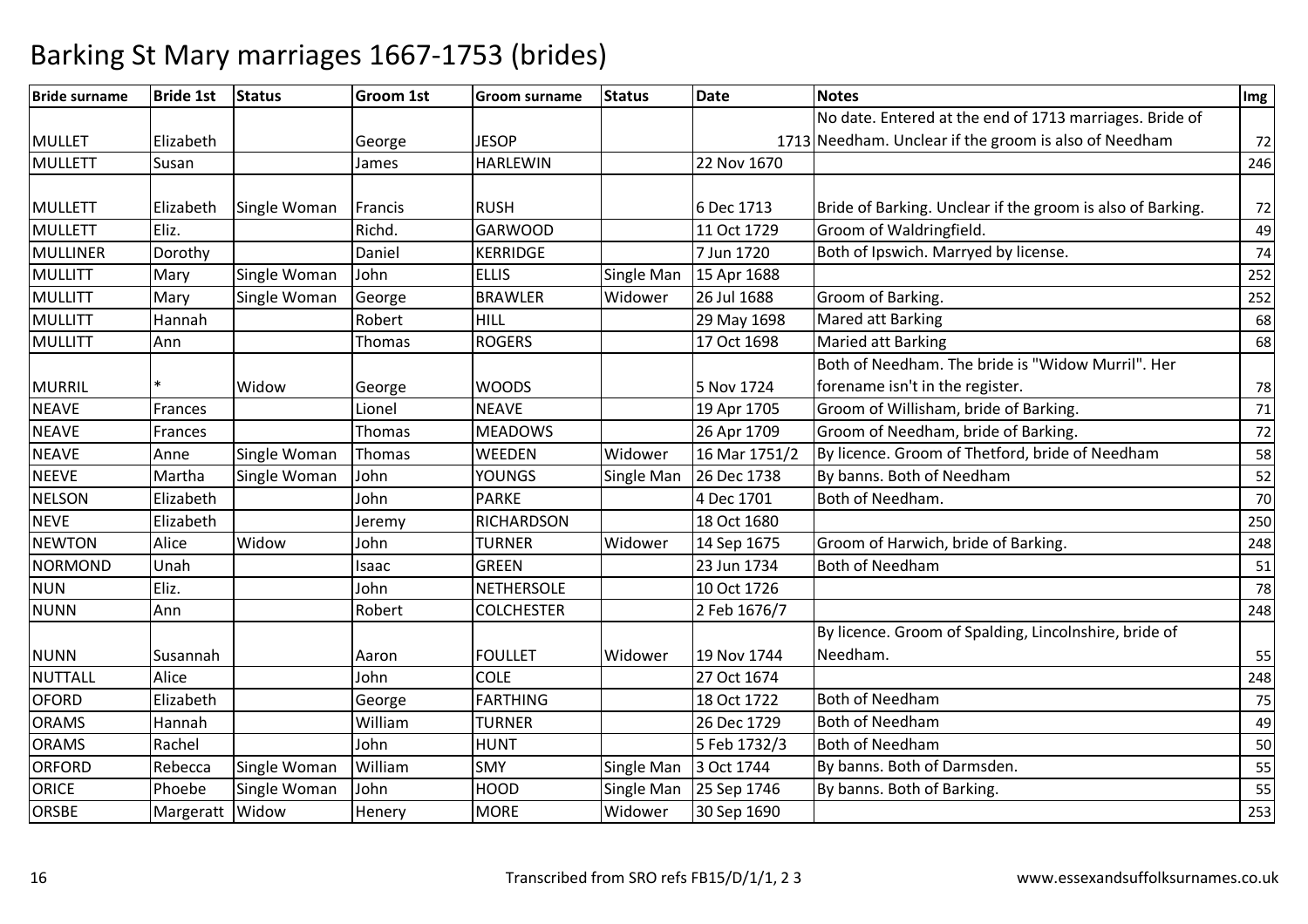| <b>Bride surname</b> | <b>Bride 1st</b> | <b>Status</b> | <b>Groom 1st</b> | <b>Groom surname</b> | <b>Status</b> | <b>Date</b>   | <b>Notes</b>                                               | Img |
|----------------------|------------------|---------------|------------------|----------------------|---------------|---------------|------------------------------------------------------------|-----|
|                      |                  |               |                  |                      |               |               | No date. Entered at the end of 1713 marriages. Bride of    |     |
| <b>MULLET</b>        | Elizabeth        |               | George           | <b>JESOP</b>         |               |               | 1713 Needham. Unclear if the groom is also of Needham      | 72  |
| <b>MULLETT</b>       | Susan            |               | James            | <b>HARLEWIN</b>      |               | 22 Nov 1670   |                                                            | 246 |
|                      |                  |               |                  |                      |               |               |                                                            |     |
| <b>MULLETT</b>       | Elizabeth        | Single Woman  | Francis          | <b>RUSH</b>          |               | 6 Dec 1713    | Bride of Barking. Unclear if the groom is also of Barking. | 72  |
| <b>MULLETT</b>       | Eliz.            |               | Richd.           | <b>GARWOOD</b>       |               | 11 Oct 1729   | Groom of Waldringfield.                                    | 49  |
| <b>MULLINER</b>      | Dorothy          |               | Daniel           | <b>KERRIDGE</b>      |               | 7 Jun 1720    | Both of Ipswich. Marryed by license.                       | 74  |
| MULLITT              | Mary             | Single Woman  | John             | <b>ELLIS</b>         | Single Man    | 15 Apr 1688   |                                                            | 252 |
| <b>MULLITT</b>       | Mary             | Single Woman  | George           | <b>BRAWLER</b>       | Widower       | 26 Jul 1688   | Groom of Barking.                                          | 252 |
| <b>MULLITT</b>       | Hannah           |               | Robert           | HILL                 |               | 29 May 1698   | Mared att Barking                                          | 68  |
| <b>MULLITT</b>       | Ann              |               | Thomas           | <b>ROGERS</b>        |               | 17 Oct 1698   | <b>Maried att Barking</b>                                  | 68  |
|                      |                  |               |                  |                      |               |               | Both of Needham. The bride is "Widow Murril". Her          |     |
| <b>MURRIL</b>        |                  | Widow         | George           | <b>WOODS</b>         |               | 5 Nov 1724    | forename isn't in the register.                            | 78  |
| <b>NEAVE</b>         | Frances          |               | Lionel           | <b>NEAVE</b>         |               | 19 Apr 1705   | Groom of Willisham, bride of Barking.                      | 71  |
| <b>NEAVE</b>         | Frances          |               | Thomas           | <b>MEADOWS</b>       |               | 26 Apr 1709   | Groom of Needham, bride of Barking.                        | 72  |
| <b>NEAVE</b>         | Anne             | Single Woman  | Thomas           | WEEDEN               | Widower       | 16 Mar 1751/2 | By licence. Groom of Thetford, bride of Needham            | 58  |
| <b>NEEVE</b>         | Martha           | Single Woman  | John             | <b>YOUNGS</b>        | Single Man    | 26 Dec 1738   | By banns. Both of Needham                                  | 52  |
| <b>NELSON</b>        | Elizabeth        |               | John             | <b>PARKE</b>         |               | 4 Dec 1701    | Both of Needham.                                           | 70  |
| <b>NEVE</b>          | Elizabeth        |               | Jeremy           | <b>RICHARDSON</b>    |               | 18 Oct 1680   |                                                            | 250 |
| <b>NEWTON</b>        | Alice            | Widow         | John             | <b>TURNER</b>        | Widower       | 14 Sep 1675   | Groom of Harwich, bride of Barking.                        | 248 |
| <b>NORMOND</b>       | Unah             |               | Isaac            | <b>GREEN</b>         |               | 23 Jun 1734   | <b>Both of Needham</b>                                     | 51  |
| <b>NUN</b>           | Eliz.            |               | John             | <b>NETHERSOLE</b>    |               | 10 Oct 1726   |                                                            | 78  |
| <b>NUNN</b>          | Ann              |               | Robert           | <b>COLCHESTER</b>    |               | 2 Feb 1676/7  |                                                            | 248 |
|                      |                  |               |                  |                      |               |               | By licence. Groom of Spalding, Lincolnshire, bride of      |     |
| <b>NUNN</b>          | Susannah         |               | Aaron            | <b>FOULLET</b>       | Widower       | 19 Nov 1744   | Needham.                                                   | 55  |
| <b>NUTTALL</b>       | Alice            |               | John             | <b>COLE</b>          |               | 27 Oct 1674   |                                                            | 248 |
| <b>OFORD</b>         | Elizabeth        |               | George           | <b>FARTHING</b>      |               | 18 Oct 1722   | <b>Both of Needham</b>                                     | 75  |
| <b>ORAMS</b>         | Hannah           |               | William          | <b>TURNER</b>        |               | 26 Dec 1729   | <b>Both of Needham</b>                                     | 49  |
| <b>ORAMS</b>         | Rachel           |               | John             | <b>HUNT</b>          |               | 5 Feb 1732/3  | <b>Both of Needham</b>                                     | 50  |
| <b>ORFORD</b>        | Rebecca          | Single Woman  | William          | <b>SMY</b>           | Single Man    | 3 Oct 1744    | By banns. Both of Darmsden.                                | 55  |
| <b>ORICE</b>         | Phoebe           | Single Woman  | John             | <b>HOOD</b>          | Single Man    | 25 Sep 1746   | By banns. Both of Barking.                                 | 55  |
| <b>ORSBE</b>         | Margeratt        | Widow         | Henery           | <b>MORE</b>          | Widower       | 30 Sep 1690   |                                                            | 253 |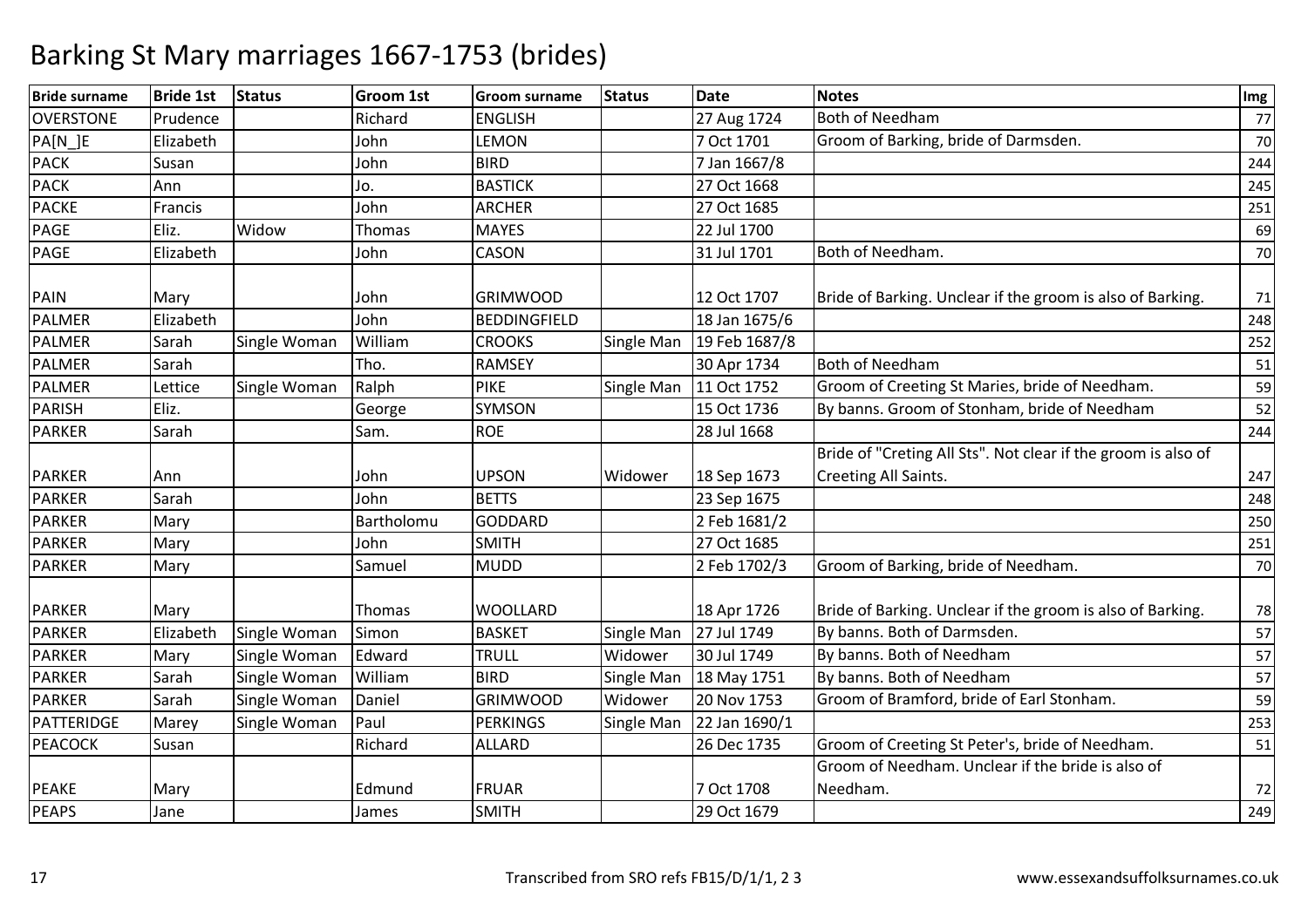| <b>Bride surname</b> | <b>Bride 1st</b> | <b>Status</b> | <b>Groom 1st</b> | <b>Groom surname</b> | <b>Status</b> | <b>Date</b>   | <b>Notes</b>                                                  | Img |
|----------------------|------------------|---------------|------------------|----------------------|---------------|---------------|---------------------------------------------------------------|-----|
| <b>OVERSTONE</b>     | Prudence         |               | Richard          | <b>ENGLISH</b>       |               | 27 Aug 1724   | <b>Both of Needham</b>                                        | 77  |
| PA[N_]E              | Elizabeth        |               | John             | <b>LEMON</b>         |               | 7 Oct 1701    | Groom of Barking, bride of Darmsden.                          | 70  |
| <b>PACK</b>          | Susan            |               | John             | <b>BIRD</b>          |               | 7 Jan 1667/8  |                                                               | 244 |
| <b>PACK</b>          | Ann              |               | Jo.              | <b>BASTICK</b>       |               | 27 Oct 1668   |                                                               | 245 |
| <b>PACKE</b>         | Francis          |               | John             | <b>ARCHER</b>        |               | 27 Oct 1685   |                                                               | 251 |
| PAGE                 | Eliz.            | Widow         | <b>Thomas</b>    | <b>MAYES</b>         |               | 22 Jul 1700   |                                                               | 69  |
| <b>PAGE</b>          | Elizabeth        |               | John             | <b>CASON</b>         |               | 31 Jul 1701   | Both of Needham.                                              | 70  |
| <b>PAIN</b>          | Mary             |               | John             | <b>GRIMWOOD</b>      |               | 12 Oct 1707   | Bride of Barking. Unclear if the groom is also of Barking.    | 71  |
| PALMER               | Elizabeth        |               | John             | <b>BEDDINGFIELD</b>  |               | 18 Jan 1675/6 |                                                               | 248 |
| PALMER               | Sarah            | Single Woman  | William          | <b>CROOKS</b>        | Single Man    | 19 Feb 1687/8 |                                                               | 252 |
| <b>PALMER</b>        | Sarah            |               | Tho.             | <b>RAMSEY</b>        |               | 30 Apr 1734   | <b>Both of Needham</b>                                        | 51  |
| <b>PALMER</b>        | Lettice          | Single Woman  | Ralph            | <b>PIKE</b>          | Single Man    | 11 Oct 1752   | Groom of Creeting St Maries, bride of Needham.                | 59  |
| PARISH               | Eliz.            |               | George           | <b>SYMSON</b>        |               | 15 Oct 1736   | By banns. Groom of Stonham, bride of Needham                  | 52  |
| <b>PARKER</b>        | Sarah            |               | Sam.             | <b>ROE</b>           |               | 28 Jul 1668   |                                                               | 244 |
|                      |                  |               |                  |                      |               |               | Bride of "Creting All Sts". Not clear if the groom is also of |     |
| <b>PARKER</b>        | Ann              |               | John             | <b>UPSON</b>         | Widower       | 18 Sep 1673   | Creeting All Saints.                                          | 247 |
| <b>PARKER</b>        | Sarah            |               | John             | <b>BETTS</b>         |               | 23 Sep 1675   |                                                               | 248 |
| <b>PARKER</b>        | Mary             |               | Bartholomu       | <b>GODDARD</b>       |               | 2 Feb 1681/2  |                                                               | 250 |
| <b>PARKER</b>        | Mary             |               | John             | <b>SMITH</b>         |               | 27 Oct 1685   |                                                               | 251 |
| <b>PARKER</b>        | Mary             |               | Samuel           | <b>MUDD</b>          |               | 2 Feb 1702/3  | Groom of Barking, bride of Needham.                           | 70  |
| <b>PARKER</b>        | Mary             |               | Thomas           | <b>WOOLLARD</b>      |               | 18 Apr 1726   | Bride of Barking. Unclear if the groom is also of Barking.    | 78  |
| <b>PARKER</b>        | Elizabeth        | Single Woman  | Simon            | <b>BASKET</b>        | Single Man    | 27 Jul 1749   | By banns. Both of Darmsden.                                   | 57  |
| <b>PARKER</b>        | Mary             | Single Woman  | Edward           | <b>TRULL</b>         | Widower       | 30 Jul 1749   | By banns. Both of Needham                                     | 57  |
| <b>PARKER</b>        | Sarah            | Single Woman  | William          | <b>BIRD</b>          | Single Man    | 18 May 1751   | By banns. Both of Needham                                     | 57  |
| <b>PARKER</b>        | Sarah            | Single Woman  | Daniel           | <b>GRIMWOOD</b>      | Widower       | 20 Nov 1753   | Groom of Bramford, bride of Earl Stonham.                     | 59  |
| PATTERIDGE           | Marey            | Single Woman  | Paul             | <b>PERKINGS</b>      | Single Man    | 22 Jan 1690/1 |                                                               | 253 |
| <b>PEACOCK</b>       | Susan            |               | Richard          | <b>ALLARD</b>        |               | 26 Dec 1735   | Groom of Creeting St Peter's, bride of Needham.               | 51  |
|                      |                  |               |                  |                      |               |               | Groom of Needham. Unclear if the bride is also of             |     |
| <b>PEAKE</b>         | Mary             |               | Edmund           | <b>FRUAR</b>         |               | 7 Oct 1708    | Needham.                                                      | 72  |
| <b>PEAPS</b>         | Jane             |               | James            | <b>SMITH</b>         |               | 29 Oct 1679   |                                                               | 249 |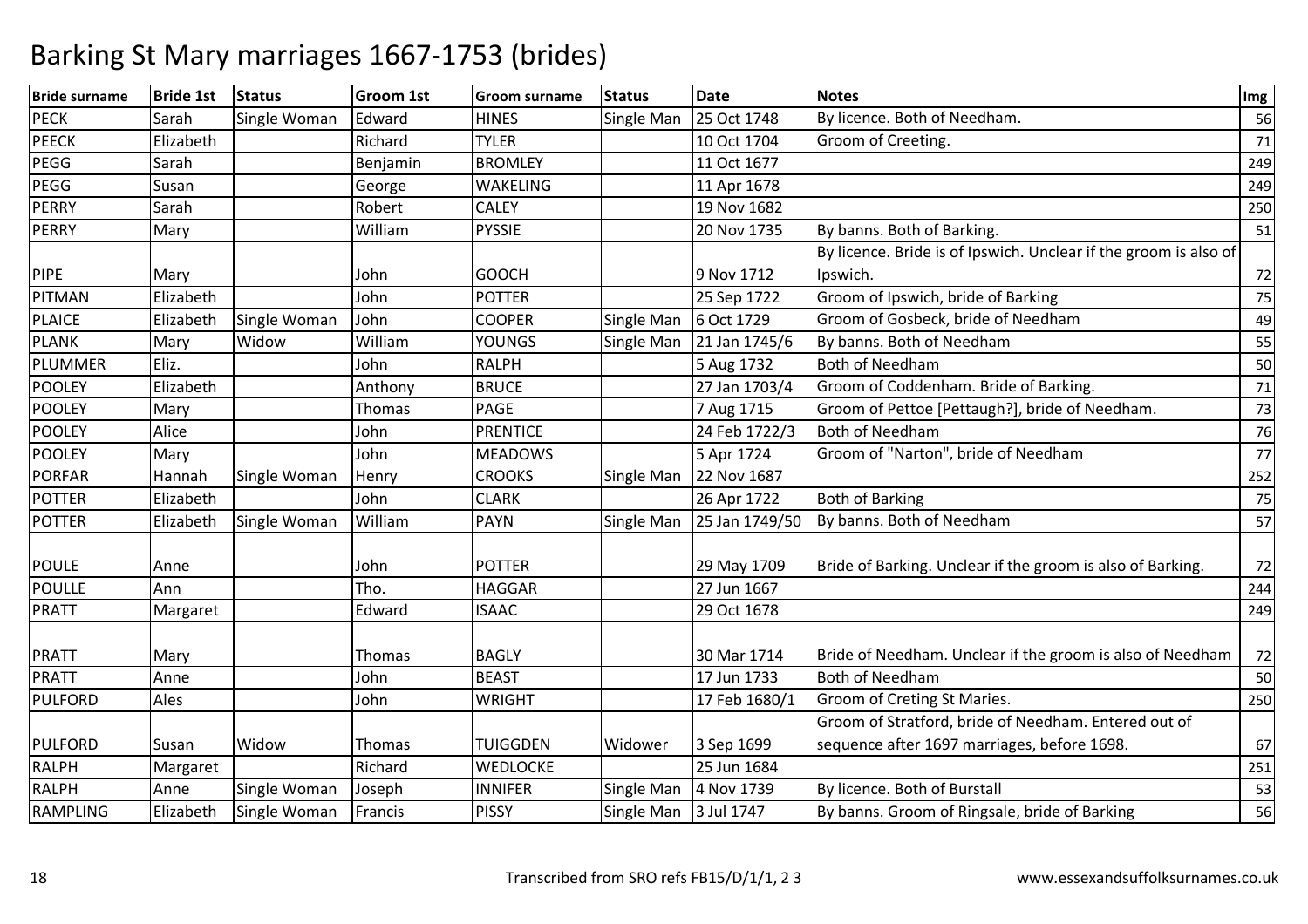| <b>Bride surname</b> | <b>Bride 1st</b> | <b>Status</b> | <b>Groom 1st</b> | Groom surname   | <b>Status</b> | <b>Date</b>    | <b>Notes</b>                                                     | Img |
|----------------------|------------------|---------------|------------------|-----------------|---------------|----------------|------------------------------------------------------------------|-----|
| <b>PECK</b>          | Sarah            | Single Woman  | Edward           | <b>HINES</b>    | Single Man    | 25 Oct 1748    | By licence. Both of Needham.                                     | 56  |
| <b>PEECK</b>         | Elizabeth        |               | Richard          | <b>TYLER</b>    |               | 10 Oct 1704    | Groom of Creeting.                                               | 71  |
| PEGG                 | Sarah            |               | Benjamin         | <b>BROMLEY</b>  |               | 11 Oct 1677    |                                                                  | 249 |
| PEGG                 | Susan            |               | George           | <b>WAKELING</b> |               | 11 Apr 1678    |                                                                  | 249 |
| PERRY                | Sarah            |               | Robert           | <b>CALEY</b>    |               | 19 Nov 1682    |                                                                  | 250 |
| <b>PERRY</b>         | Mary             |               | William          | <b>PYSSIE</b>   |               | 20 Nov 1735    | By banns. Both of Barking.                                       | 51  |
|                      |                  |               |                  |                 |               |                | By licence. Bride is of Ipswich. Unclear if the groom is also of |     |
| <b>PIPE</b>          | Mary             |               | John             | <b>GOOCH</b>    |               | 9 Nov 1712     | Ipswich.                                                         | 72  |
| <b>PITMAN</b>        | Elizabeth        |               | John             | <b>POTTER</b>   |               | 25 Sep 1722    | Groom of Ipswich, bride of Barking                               | 75  |
| <b>PLAICE</b>        | Elizabeth        | Single Woman  | John             | <b>COOPER</b>   | Single Man    | 6 Oct 1729     | Groom of Gosbeck, bride of Needham                               | 49  |
| <b>PLANK</b>         | Mary             | Widow         | William          | <b>YOUNGS</b>   | Single Man    | 21 Jan 1745/6  | By banns. Both of Needham                                        | 55  |
| <b>PLUMMER</b>       | Eliz.            |               | John             | <b>RALPH</b>    |               | 5 Aug 1732     | <b>Both of Needham</b>                                           | 50  |
| <b>POOLEY</b>        | Elizabeth        |               | Anthony          | <b>BRUCE</b>    |               | 27 Jan 1703/4  | Groom of Coddenham. Bride of Barking.                            | 71  |
| <b>POOLEY</b>        | Mary             |               | Thomas           | PAGE            |               | 7 Aug 1715     | Groom of Pettoe [Pettaugh?], bride of Needham.                   | 73  |
| <b>POOLEY</b>        | Alice            |               | John             | <b>PRENTICE</b> |               | 24 Feb 1722/3  | <b>Both of Needham</b>                                           | 76  |
| <b>POOLEY</b>        | Mary             |               | John             | <b>MEADOWS</b>  |               | 5 Apr 1724     | Groom of "Narton", bride of Needham                              | 77  |
| <b>PORFAR</b>        | Hannah           | Single Woman  | Henry            | <b>CROOKS</b>   | Single Man    | 22 Nov 1687    |                                                                  | 252 |
| <b>POTTER</b>        | Elizabeth        |               | John             | <b>CLARK</b>    |               | 26 Apr 1722    | <b>Both of Barking</b>                                           | 75  |
| <b>POTTER</b>        | Elizabeth        | Single Woman  | William          | PAYN            | Single Man    | 25 Jan 1749/50 | By banns. Both of Needham                                        | 57  |
| <b>POULE</b>         | Anne             |               | John             | <b>POTTER</b>   |               | 29 May 1709    | Bride of Barking. Unclear if the groom is also of Barking.       | 72  |
| <b>POULLE</b>        | Ann              |               | Tho.             | <b>HAGGAR</b>   |               | 27 Jun 1667    |                                                                  | 244 |
| <b>PRATT</b>         | Margaret         |               | Edward           | <b>ISAAC</b>    |               | 29 Oct 1678    |                                                                  | 249 |
| <b>PRATT</b>         | Mary             |               | Thomas           | <b>BAGLY</b>    |               | 30 Mar 1714    | Bride of Needham. Unclear if the groom is also of Needham        | 72  |
| <b>PRATT</b>         | Anne             |               | John             | <b>BEAST</b>    |               | 17 Jun 1733    | <b>Both of Needham</b>                                           | 50  |
| PULFORD              | Ales             |               | John             | <b>WRIGHT</b>   |               | 17 Feb 1680/1  | Groom of Creting St Maries.                                      | 250 |
|                      |                  |               |                  |                 |               |                | Groom of Stratford, bride of Needham. Entered out of             |     |
| <b>PULFORD</b>       | Susan            | Widow         | Thomas           | <b>TUIGGDEN</b> | Widower       | 3 Sep 1699     | sequence after 1697 marriages, before 1698.                      | 67  |
| RALPH                | Margaret         |               | Richard          | WEDLOCKE        |               | 25 Jun 1684    |                                                                  | 251 |
| RALPH                | Anne             | Single Woman  | Joseph           | <b>INNIFER</b>  | Single Man    | 4 Nov 1739     | By licence. Both of Burstall                                     | 53  |
| <b>RAMPLING</b>      | Elizabeth        | Single Woman  | Francis          | <b>PISSY</b>    | Single Man    | 3 Jul 1747     | By banns. Groom of Ringsale, bride of Barking                    | 56  |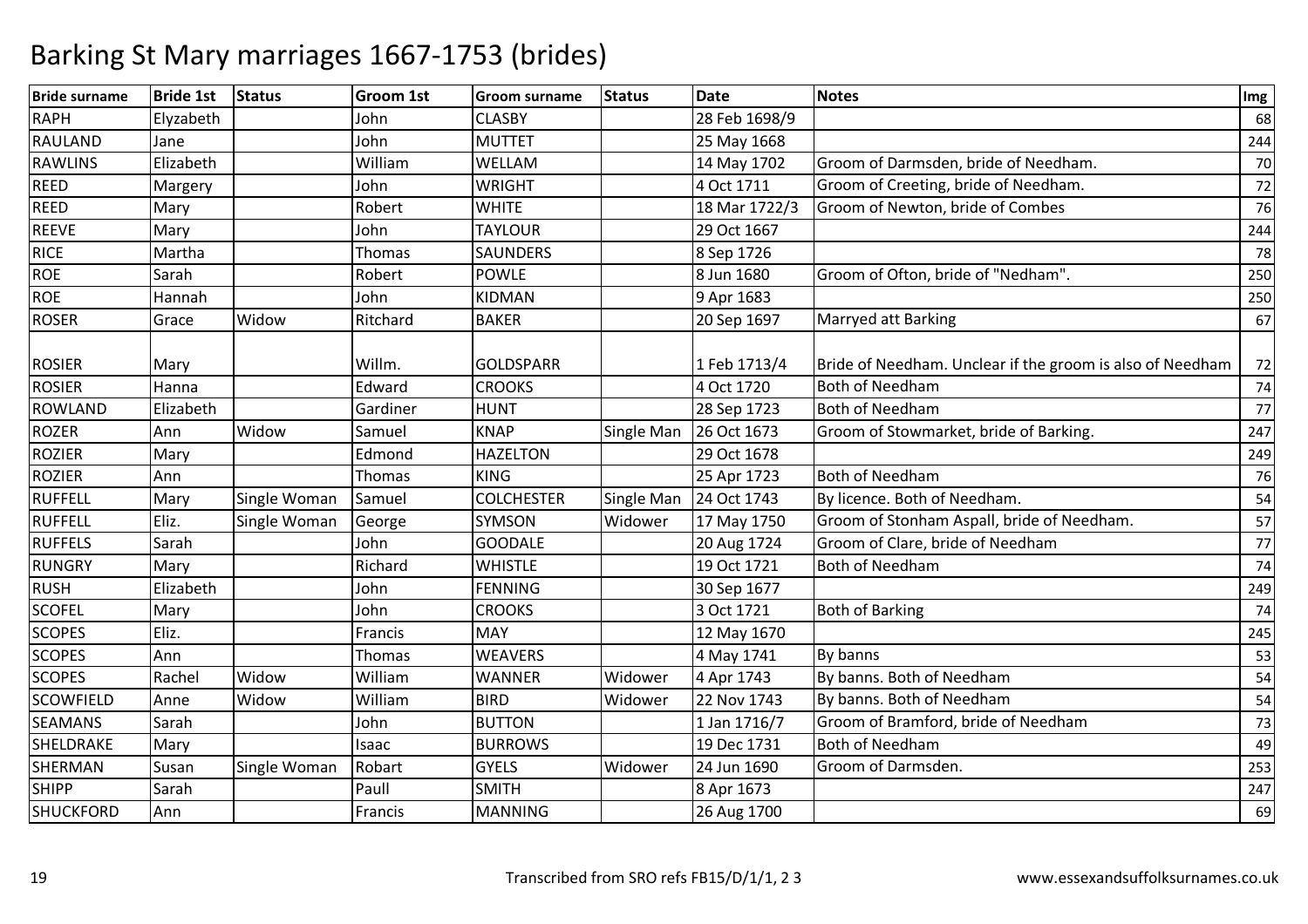| <b>Bride surname</b> | <b>Bride 1st</b> | <b>Status</b> | <b>Groom 1st</b> | Groom surname     | <b>Status</b> | <b>Date</b>   | <b>Notes</b>                                              | Img |
|----------------------|------------------|---------------|------------------|-------------------|---------------|---------------|-----------------------------------------------------------|-----|
| <b>RAPH</b>          | Elyzabeth        |               | John             | <b>CLASBY</b>     |               | 28 Feb 1698/9 |                                                           | 68  |
| RAULAND              | Jane             |               | John             | <b>MUTTET</b>     |               | 25 May 1668   |                                                           | 244 |
| <b>RAWLINS</b>       | Elizabeth        |               | William          | WELLAM            |               | 14 May 1702   | Groom of Darmsden, bride of Needham.                      | 70  |
| <b>REED</b>          | Margery          |               | John             | <b>WRIGHT</b>     |               | 4 Oct 1711    | Groom of Creeting, bride of Needham.                      | 72  |
| <b>REED</b>          | Mary             |               | Robert           | <b>WHITE</b>      |               | 18 Mar 1722/3 | Groom of Newton, bride of Combes                          | 76  |
| <b>REEVE</b>         | Mary             |               | John             | <b>TAYLOUR</b>    |               | 29 Oct 1667   |                                                           | 244 |
| <b>RICE</b>          | Martha           |               | Thomas           | <b>SAUNDERS</b>   |               | 8 Sep 1726    |                                                           | 78  |
| <b>ROE</b>           | Sarah            |               | Robert           | <b>POWLE</b>      |               | 8 Jun 1680    | Groom of Ofton, bride of "Nedham".                        | 250 |
| <b>ROE</b>           | Hannah           |               | John             | KIDMAN            |               | 9 Apr 1683    |                                                           | 250 |
| <b>ROSER</b>         | Grace            | Widow         | Ritchard         | <b>BAKER</b>      |               | 20 Sep 1697   | Marryed att Barking                                       | 67  |
| <b>ROSIER</b>        | Mary             |               | Willm.           | <b>GOLDSPARR</b>  |               | 1 Feb 1713/4  | Bride of Needham. Unclear if the groom is also of Needham | 72  |
| <b>ROSIER</b>        | Hanna            |               | Edward           | <b>CROOKS</b>     |               | 4 Oct 1720    | <b>Both of Needham</b>                                    | 74  |
| <b>ROWLAND</b>       | Elizabeth        |               | Gardiner         | <b>HUNT</b>       |               | 28 Sep 1723   | <b>Both of Needham</b>                                    | 77  |
| <b>ROZER</b>         | Ann              | Widow         | Samuel           | <b>KNAP</b>       | Single Man    | 26 Oct 1673   | Groom of Stowmarket, bride of Barking.                    | 247 |
| <b>ROZIER</b>        | Mary             |               | Edmond           | <b>HAZELTON</b>   |               | 29 Oct 1678   |                                                           | 249 |
| <b>ROZIER</b>        | Ann              |               | Thomas           | <b>KING</b>       |               | 25 Apr 1723   | <b>Both of Needham</b>                                    | 76  |
| <b>RUFFELL</b>       | Mary             | Single Woman  | Samuel           | <b>COLCHESTER</b> | Single Man    | 24 Oct 1743   | By licence. Both of Needham.                              | 54  |
| <b>RUFFELL</b>       | Eliz.            | Single Woman  | George           | SYMSON            | Widower       | 17 May 1750   | Groom of Stonham Aspall, bride of Needham.                | 57  |
| <b>RUFFELS</b>       | Sarah            |               | John             | <b>GOODALE</b>    |               | 20 Aug 1724   | Groom of Clare, bride of Needham                          | 77  |
| <b>RUNGRY</b>        | Mary             |               | Richard          | <b>WHISTLE</b>    |               | 19 Oct 1721   | <b>Both of Needham</b>                                    | 74  |
| <b>RUSH</b>          | Elizabeth        |               | John             | <b>FENNING</b>    |               | 30 Sep 1677   |                                                           | 249 |
| <b>SCOFEL</b>        | Mary             |               | John             | <b>CROOKS</b>     |               | 3 Oct 1721    | <b>Both of Barking</b>                                    | 74  |
| <b>SCOPES</b>        | Eliz.            |               | Francis          | <b>MAY</b>        |               | 12 May 1670   |                                                           | 245 |
| <b>SCOPES</b>        | Ann              |               | Thomas           | <b>WEAVERS</b>    |               | 4 May 1741    | By banns                                                  | 53  |
| <b>SCOPES</b>        | Rachel           | Widow         | William          | <b>WANNER</b>     | Widower       | 4 Apr 1743    | By banns. Both of Needham                                 | 54  |
| <b>SCOWFIELD</b>     | Anne             | Widow         | William          | <b>BIRD</b>       | Widower       | 22 Nov 1743   | By banns. Both of Needham                                 | 54  |
| <b>SEAMANS</b>       | Sarah            |               | John             | <b>BUTTON</b>     |               | 1 Jan 1716/7  | Groom of Bramford, bride of Needham                       | 73  |
| SHELDRAKE            | Mary             |               | Isaac            | <b>BURROWS</b>    |               | 19 Dec 1731   | <b>Both of Needham</b>                                    | 49  |
| SHERMAN              | Susan            | Single Woman  | Robart           | <b>GYELS</b>      | Widower       | 24 Jun 1690   | Groom of Darmsden.                                        | 253 |
| <b>SHIPP</b>         | Sarah            |               | Paull            | <b>SMITH</b>      |               | 8 Apr 1673    |                                                           | 247 |
| <b>SHUCKFORD</b>     | Ann              |               | Francis          | <b>MANNING</b>    |               | 26 Aug 1700   |                                                           | 69  |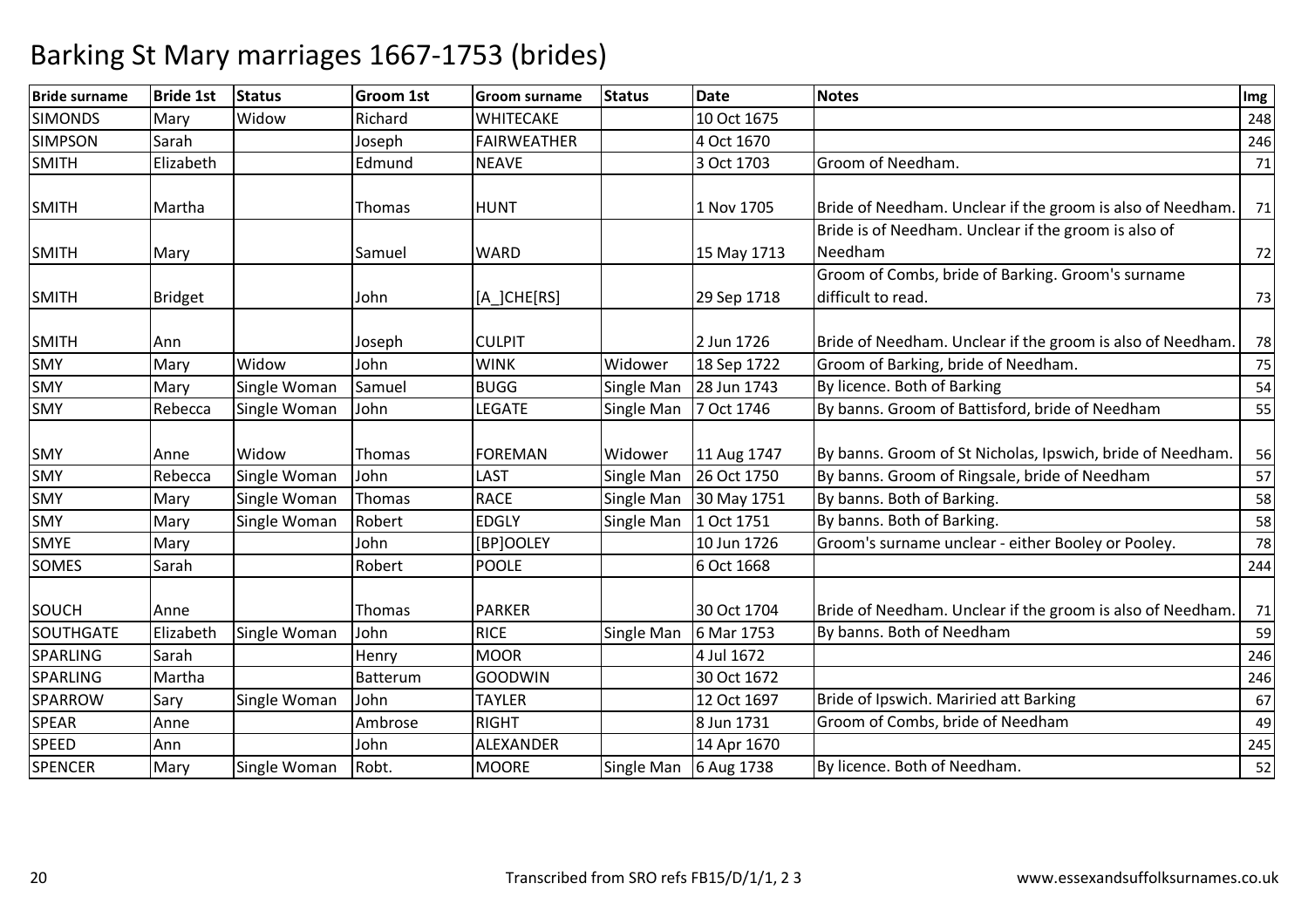| <b>Bride surname</b> | <b>Bride 1st</b> | <b>Status</b> | <b>Groom 1st</b> | <b>Groom surname</b> | <b>Status</b> | <b>Date</b> | <b>Notes</b>                                               | Img |
|----------------------|------------------|---------------|------------------|----------------------|---------------|-------------|------------------------------------------------------------|-----|
| <b>SIMONDS</b>       | Mary             | Widow         | Richard          | <b>WHITECAKE</b>     |               | 10 Oct 1675 |                                                            | 248 |
| <b>SIMPSON</b>       | Sarah            |               | Joseph           | <b>FAIRWEATHER</b>   |               | 4 Oct 1670  |                                                            | 246 |
| <b>SMITH</b>         | Elizabeth        |               | Edmund           | <b>NEAVE</b>         |               | 3 Oct 1703  | Groom of Needham.                                          | 71  |
|                      |                  |               |                  |                      |               |             |                                                            |     |
| <b>SMITH</b>         | Martha           |               | <b>Thomas</b>    | <b>HUNT</b>          |               | 1 Nov 1705  | Bride of Needham. Unclear if the groom is also of Needham. | 71  |
|                      |                  |               |                  |                      |               |             | Bride is of Needham. Unclear if the groom is also of       |     |
| <b>SMITH</b>         | Mary             |               | Samuel           | <b>WARD</b>          |               | 15 May 1713 | Needham                                                    | 72  |
|                      |                  |               |                  |                      |               |             | Groom of Combs, bride of Barking. Groom's surname          |     |
| <b>SMITH</b>         | <b>Bridget</b>   |               | John             | [A_]CHE[RS]          |               | 29 Sep 1718 | difficult to read.                                         | 73  |
|                      |                  |               |                  |                      |               |             |                                                            |     |
| <b>SMITH</b>         | Ann              |               | Joseph           | <b>CULPIT</b>        |               | 2 Jun 1726  | Bride of Needham. Unclear if the groom is also of Needham. | 78  |
| SMY                  | Mary             | Widow         | John             | <b>WINK</b>          | Widower       | 18 Sep 1722 | Groom of Barking, bride of Needham.                        | 75  |
| <b>SMY</b>           | Mary             | Single Woman  | Samuel           | <b>BUGG</b>          | Single Man    | 28 Jun 1743 | By licence. Both of Barking                                | 54  |
| <b>SMY</b>           | Rebecca          | Single Woman  | John             | LEGATE               | Single Man    | 7 Oct 1746  | By banns. Groom of Battisford, bride of Needham            | 55  |
|                      |                  |               |                  |                      |               |             |                                                            |     |
| <b>SMY</b>           | Anne             | Widow         | Thomas           | <b>FOREMAN</b>       | Widower       | 11 Aug 1747 | By banns. Groom of St Nicholas, Ipswich, bride of Needham. | 56  |
| SMY                  | Rebecca          | Single Woman  | John             | <b>LAST</b>          | Single Man    | 26 Oct 1750 | By banns. Groom of Ringsale, bride of Needham              | 57  |
| <b>SMY</b>           | Mary             | Single Woman  | Thomas           | <b>RACE</b>          | Single Man    | 30 May 1751 | By banns. Both of Barking.                                 | 58  |
| SMY                  | Mary             | Single Woman  | Robert           | <b>EDGLY</b>         | Single Man    | 1 Oct 1751  | By banns. Both of Barking.                                 | 58  |
| <b>SMYE</b>          | Mary             |               | John             | [BP]OOLEY            |               | 10 Jun 1726 | Groom's surname unclear - either Booley or Pooley.         | 78  |
| SOMES                | Sarah            |               | Robert           | <b>POOLE</b>         |               | 6 Oct 1668  |                                                            | 244 |
|                      |                  |               |                  |                      |               |             |                                                            |     |
| <b>SOUCH</b>         | Anne             |               | Thomas           | <b>PARKER</b>        |               | 30 Oct 1704 | Bride of Needham. Unclear if the groom is also of Needham  | 71  |
| <b>SOUTHGATE</b>     | Elizabeth        | Single Woman  | John             | <b>RICE</b>          | Single Man    | 6 Mar 1753  | By banns. Both of Needham                                  | 59  |
| <b>SPARLING</b>      | Sarah            |               | Henry            | <b>MOOR</b>          |               | 4 Jul 1672  |                                                            | 246 |
| SPARLING             | Martha           |               | Batterum         | <b>GOODWIN</b>       |               | 30 Oct 1672 |                                                            | 246 |
| <b>SPARROW</b>       | Sary             | Single Woman  | John             | <b>TAYLER</b>        |               | 12 Oct 1697 | Bride of Ipswich. Mariried att Barking                     | 67  |
| <b>SPEAR</b>         | Anne             |               | Ambrose          | <b>RIGHT</b>         |               | 8 Jun 1731  | Groom of Combs, bride of Needham                           | 49  |
| <b>SPEED</b>         | Ann              |               | John             | <b>ALEXANDER</b>     |               | 14 Apr 1670 |                                                            | 245 |
| <b>SPENCER</b>       | Mary             | Single Woman  | Robt.            | <b>MOORE</b>         | Single Man    | 6 Aug 1738  | By licence. Both of Needham.                               | 52  |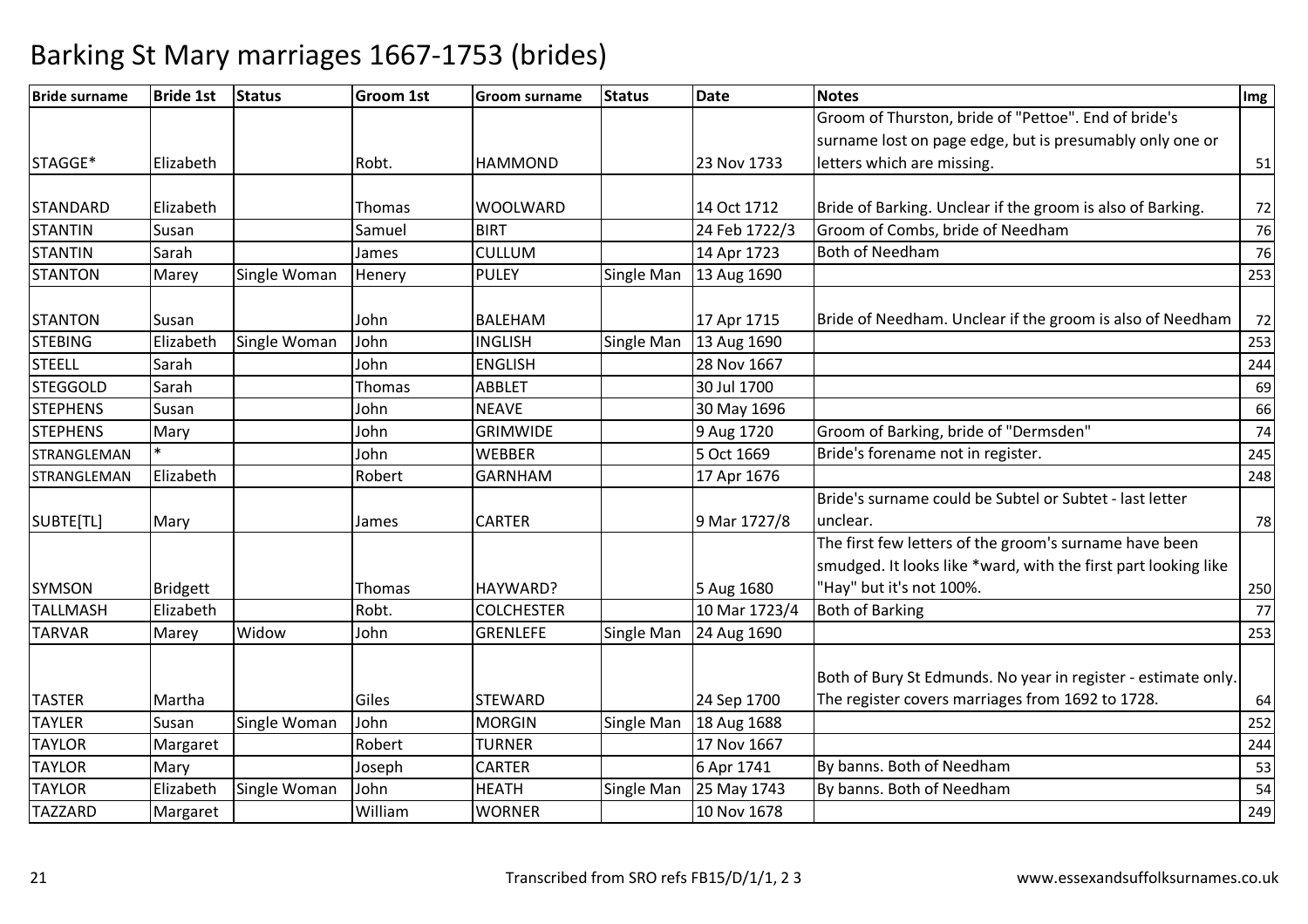| <b>Bride surname</b> | <b>Bride 1st</b> | <b>Status</b> | <b>Groom 1st</b> | <b>Groom surname</b> | <b>Status</b> | <b>Date</b>   | <b>Notes</b>                                                   | Img |
|----------------------|------------------|---------------|------------------|----------------------|---------------|---------------|----------------------------------------------------------------|-----|
|                      |                  |               |                  |                      |               |               | Groom of Thurston, bride of "Pettoe". End of bride's           |     |
|                      |                  |               |                  |                      |               |               | surname lost on page edge, but is presumably only one or       |     |
| STAGGE*              | Elizabeth        |               | Robt.            | <b>HAMMOND</b>       |               | 23 Nov 1733   | letters which are missing.                                     | 51  |
|                      |                  |               |                  |                      |               |               |                                                                |     |
| <b>STANDARD</b>      | Elizabeth        |               | Thomas           | <b>WOOLWARD</b>      |               | 14 Oct 1712   | Bride of Barking. Unclear if the groom is also of Barking.     | 72  |
| <b>STANTIN</b>       | Susan            |               | Samuel           | <b>BIRT</b>          |               | 24 Feb 1722/3 | Groom of Combs, bride of Needham                               | 76  |
| <b>STANTIN</b>       | Sarah            |               | James            | <b>CULLUM</b>        |               | 14 Apr 1723   | <b>Both of Needham</b>                                         | 76  |
| <b>STANTON</b>       | Marey            | Single Woman  | Henery           | <b>PULEY</b>         | Single Man    | 13 Aug 1690   |                                                                | 253 |
| <b>STANTON</b>       | Susan            |               | John             | <b>BALEHAM</b>       |               | 17 Apr 1715   | Bride of Needham. Unclear if the groom is also of Needham      | 72  |
| <b>STEBING</b>       | Elizabeth        | Single Woman  | John             | <b>INGLISH</b>       | Single Man    | 13 Aug 1690   |                                                                | 253 |
| <b>STEELL</b>        | Sarah            |               | John             | <b>ENGLISH</b>       |               | 28 Nov 1667   |                                                                | 244 |
| <b>STEGGOLD</b>      | Sarah            |               | Thomas           | <b>ABBLET</b>        |               | 30 Jul 1700   |                                                                | 69  |
| <b>STEPHENS</b>      | Susan            |               | John             | <b>NEAVE</b>         |               | 30 May 1696   |                                                                | 66  |
| <b>STEPHENS</b>      | Mary             |               | John             | <b>GRIMWIDE</b>      |               | 9 Aug 1720    | Groom of Barking, bride of "Dermsden"                          | 74  |
| STRANGLEMAN          |                  |               | John             | <b>WEBBER</b>        |               | 5 Oct 1669    | Bride's forename not in register.                              | 245 |
| STRANGLEMAN          | Elizabeth        |               | Robert           | <b>GARNHAM</b>       |               | 17 Apr 1676   |                                                                | 248 |
|                      |                  |               |                  |                      |               |               | Bride's surname could be Subtel or Subtet - last letter        |     |
| SUBTE[TL]            | Mary             |               | James            | <b>CARTER</b>        |               | 9 Mar 1727/8  | unclear.                                                       | 78  |
|                      |                  |               |                  |                      |               |               | The first few letters of the groom's surname have been         |     |
|                      |                  |               |                  |                      |               |               | smudged. It looks like *ward, with the first part looking like |     |
| <b>SYMSON</b>        | <b>Bridgett</b>  |               | Thomas           | HAYWARD?             |               | 5 Aug 1680    | 'Hay" but it's not 100%.                                       | 250 |
| <b>TALLMASH</b>      | Elizabeth        |               | Robt.            | <b>COLCHESTER</b>    |               | 10 Mar 1723/4 | <b>Both of Barking</b>                                         | 77  |
| <b>TARVAR</b>        | Marey            | Widow         | John             | <b>GRENLEFE</b>      | Single Man    | 24 Aug 1690   |                                                                | 253 |
|                      |                  |               |                  |                      |               |               |                                                                |     |
|                      |                  |               |                  |                      |               |               | Both of Bury St Edmunds. No year in register - estimate only.  |     |
| <b>TASTER</b>        | Martha           |               | Giles            | <b>STEWARD</b>       |               | 24 Sep 1700   | The register covers marriages from 1692 to 1728.               | 64  |
| <b>TAYLER</b>        | Susan            | Single Woman  | John             | <b>MORGIN</b>        | Single Man    | 18 Aug 1688   |                                                                | 252 |
| <b>TAYLOR</b>        | Margaret         |               | Robert           | <b>TURNER</b>        |               | 17 Nov 1667   |                                                                | 244 |
| <b>TAYLOR</b>        | Mary             |               | Joseph           | <b>CARTER</b>        |               | 6 Apr 1741    | By banns. Both of Needham                                      | 53  |
| <b>TAYLOR</b>        | Elizabeth        | Single Woman  | John             | <b>HEATH</b>         | Single Man    | 25 May 1743   | By banns. Both of Needham                                      | 54  |
| <b>TAZZARD</b>       | Margaret         |               | William          | <b>WORNER</b>        |               | 10 Nov 1678   |                                                                | 249 |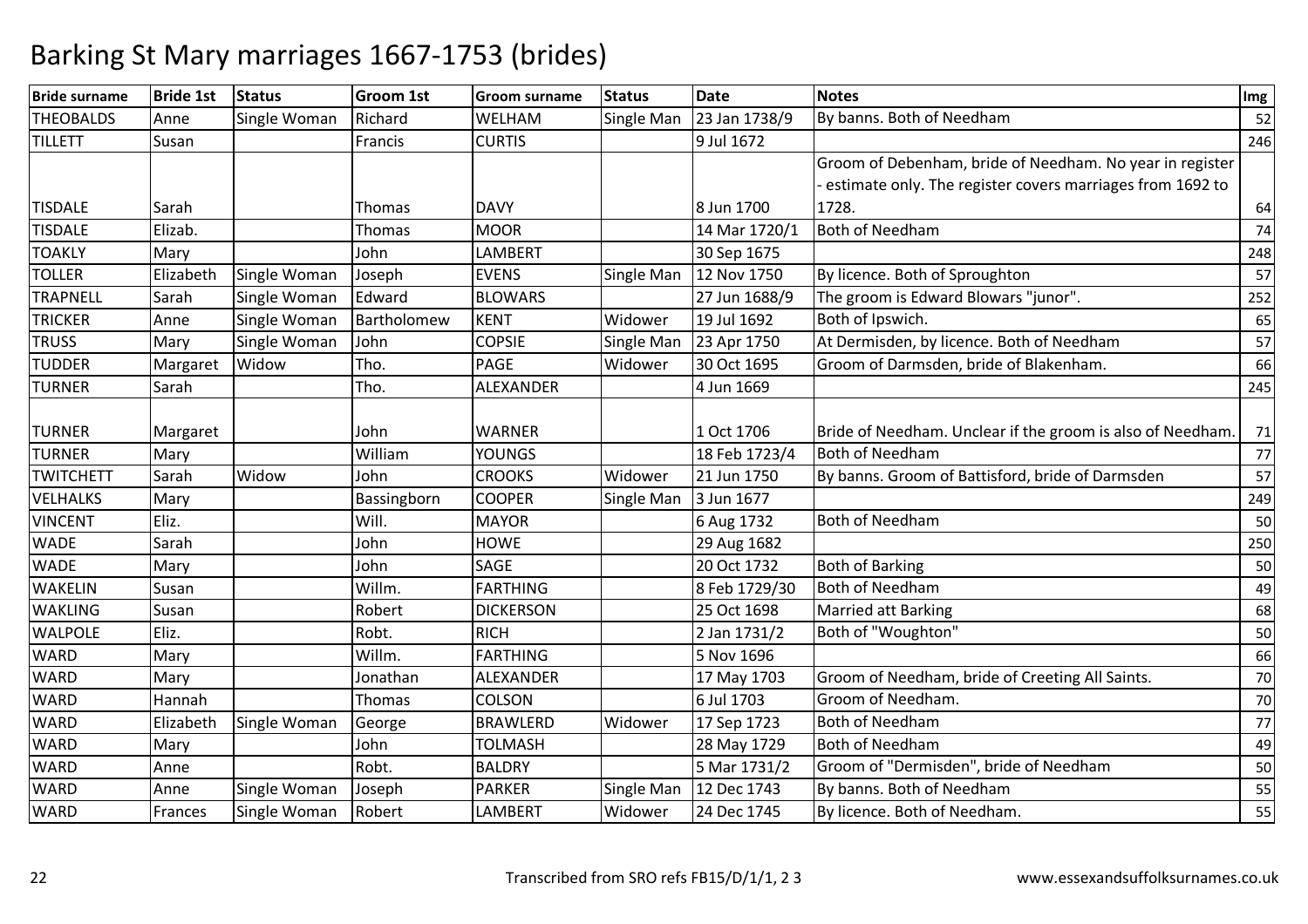| <b>Bride surname</b> | <b>Bride 1st</b> | <b>Status</b> | <b>Groom 1st</b> | <b>Groom surname</b> | <b>Status</b> | <b>Date</b>   | <b>Notes</b>                                               | Img |
|----------------------|------------------|---------------|------------------|----------------------|---------------|---------------|------------------------------------------------------------|-----|
| <b>THEOBALDS</b>     | Anne             | Single Woman  | Richard          | <b>WELHAM</b>        | Single Man    | 23 Jan 1738/9 | By banns. Both of Needham                                  | 52  |
| <b>TILLETT</b>       | Susan            |               | Francis          | <b>CURTIS</b>        |               | 9 Jul 1672    |                                                            | 246 |
|                      |                  |               |                  |                      |               |               | Groom of Debenham, bride of Needham. No year in register   |     |
|                      |                  |               |                  |                      |               |               | estimate only. The register covers marriages from 1692 to  |     |
| <b>TISDALE</b>       | Sarah            |               | Thomas           | <b>DAVY</b>          |               | 8 Jun 1700    | 1728.                                                      | 64  |
| <b>TISDALE</b>       | Elizab.          |               | Thomas           | <b>MOOR</b>          |               | 14 Mar 1720/1 | <b>Both of Needham</b>                                     | 74  |
| <b>TOAKLY</b>        | Mary             |               | John             | <b>LAMBERT</b>       |               | 30 Sep 1675   |                                                            | 248 |
| <b>TOLLER</b>        | Elizabeth        | Single Woman  | Joseph           | <b>EVENS</b>         | Single Man    | 12 Nov 1750   | By licence. Both of Sproughton                             | 57  |
| <b>TRAPNELL</b>      | Sarah            | Single Woman  | Edward           | <b>BLOWARS</b>       |               | 27 Jun 1688/9 | The groom is Edward Blowars "junor".                       | 252 |
| <b>TRICKER</b>       | Anne             | Single Woman  | Bartholomew      | <b>KENT</b>          | Widower       | 19 Jul 1692   | Both of Ipswich.                                           | 65  |
| <b>TRUSS</b>         | Mary             | Single Woman  | John             | <b>COPSIE</b>        | Single Man    | 23 Apr 1750   | At Dermisden, by licence. Both of Needham                  | 57  |
| <b>TUDDER</b>        | Margaret         | Widow         | Tho.             | <b>PAGE</b>          | Widower       | 30 Oct 1695   | Groom of Darmsden, bride of Blakenham.                     | 66  |
| <b>TURNER</b>        | Sarah            |               | Tho.             | <b>ALEXANDER</b>     |               | 4 Jun 1669    |                                                            | 245 |
|                      |                  |               |                  |                      |               |               |                                                            |     |
| <b>TURNER</b>        | Margaret         |               | John             | <b>WARNER</b>        |               | 1 Oct 1706    | Bride of Needham. Unclear if the groom is also of Needham. | 71  |
| <b>TURNER</b>        | Mary             |               | William          | <b>YOUNGS</b>        |               | 18 Feb 1723/4 | <b>Both of Needham</b>                                     | 77  |
| <b>TWITCHETT</b>     | Sarah            | Widow         | John             | <b>CROOKS</b>        | Widower       | 21 Jun 1750   | By banns. Groom of Battisford, bride of Darmsden           | 57  |
| <b>VELHALKS</b>      | Mary             |               | Bassingborn      | <b>COOPER</b>        | Single Man    | 3 Jun 1677    |                                                            | 249 |
| <b>VINCENT</b>       | Eliz.            |               | Will.            | <b>MAYOR</b>         |               | 6 Aug 1732    | <b>Both of Needham</b>                                     | 50  |
| <b>WADE</b>          | Sarah            |               | John             | <b>HOWE</b>          |               | 29 Aug 1682   |                                                            | 250 |
| <b>WADE</b>          | Mary             |               | John             | <b>SAGE</b>          |               | 20 Oct 1732   | <b>Both of Barking</b>                                     | 50  |
| <b>WAKELIN</b>       | Susan            |               | Willm.           | <b>FARTHING</b>      |               | 8 Feb 1729/30 | Both of Needham                                            | 49  |
| <b>WAKLING</b>       | Susan            |               | Robert           | <b>DICKERSON</b>     |               | 25 Oct 1698   | <b>Married att Barking</b>                                 | 68  |
| <b>WALPOLE</b>       | Eliz.            |               | Robt.            | <b>RICH</b>          |               | 2 Jan 1731/2  | Both of "Woughton"                                         | 50  |
| <b>WARD</b>          | Mary             |               | Willm.           | <b>FARTHING</b>      |               | 5 Nov 1696    |                                                            | 66  |
| <b>WARD</b>          | Mary             |               | Jonathan         | ALEXANDER            |               | 17 May 1703   | Groom of Needham, bride of Creeting All Saints.            | 70  |
| <b>WARD</b>          | Hannah           |               | Thomas           | COLSON               |               | 6 Jul 1703    | Groom of Needham.                                          | 70  |
| <b>WARD</b>          | Elizabeth        | Single Woman  | George           | <b>BRAWLERD</b>      | Widower       | 17 Sep 1723   | <b>Both of Needham</b>                                     | 77  |
| <b>WARD</b>          | Mary             |               | John             | <b>TOLMASH</b>       |               | 28 May 1729   | <b>Both of Needham</b>                                     | 49  |
| <b>WARD</b>          | Anne             |               | Robt.            | <b>BALDRY</b>        |               | 5 Mar 1731/2  | Groom of "Dermisden", bride of Needham                     | 50  |
| <b>WARD</b>          | Anne             | Single Woman  | Joseph           | <b>PARKER</b>        | Single Man    | 12 Dec 1743   | By banns. Both of Needham                                  | 55  |
| <b>WARD</b>          | Frances          | Single Woman  | Robert           | LAMBERT              | Widower       | 24 Dec 1745   | By licence. Both of Needham.                               | 55  |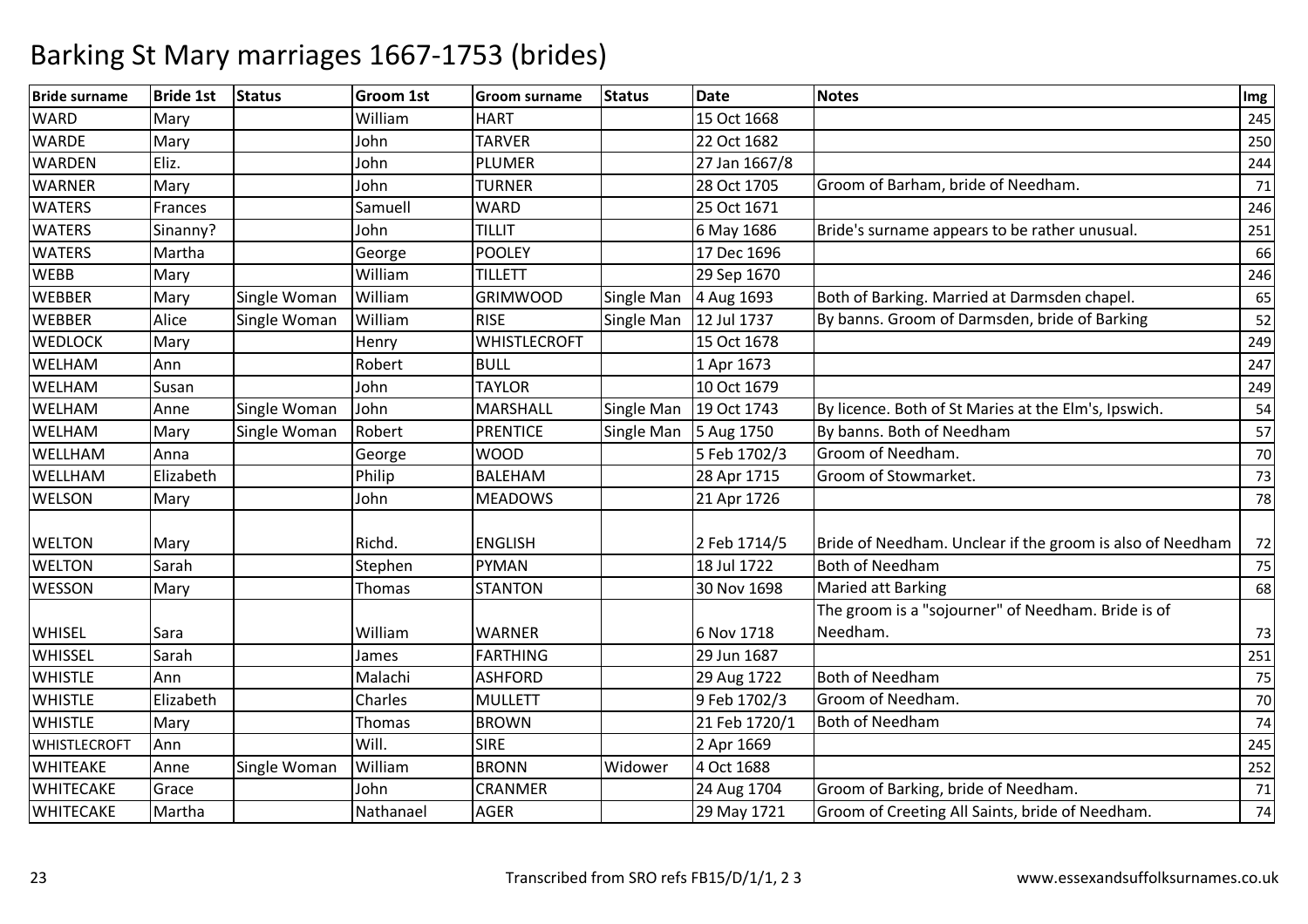| <b>Bride surname</b> | <b>Bride 1st</b> | <b>Status</b> | <b>Groom 1st</b> | <b>Groom surname</b> | <b>Status</b> | <b>Date</b>   | <b>Notes</b>                                              | Img |
|----------------------|------------------|---------------|------------------|----------------------|---------------|---------------|-----------------------------------------------------------|-----|
| <b>WARD</b>          | Mary             |               | William          | <b>HART</b>          |               | 15 Oct 1668   |                                                           | 245 |
| <b>WARDE</b>         | Mary             |               | John             | <b>TARVER</b>        |               | 22 Oct 1682   |                                                           | 250 |
| <b>WARDEN</b>        | Eliz.            |               | John             | <b>PLUMER</b>        |               | 27 Jan 1667/8 |                                                           | 244 |
| <b>WARNER</b>        | Mary             |               | John             | <b>TURNER</b>        |               | 28 Oct 1705   | Groom of Barham, bride of Needham.                        | 71  |
| <b>WATERS</b>        | Frances          |               | Samuell          | WARD                 |               | 25 Oct 1671   |                                                           | 246 |
| <b>WATERS</b>        | Sinanny?         |               | John             | <b>TILLIT</b>        |               | 6 May 1686    | Bride's surname appears to be rather unusual.             | 251 |
| <b>WATERS</b>        | Martha           |               | George           | <b>POOLEY</b>        |               | 17 Dec 1696   |                                                           | 66  |
| <b>WEBB</b>          | Mary             |               | William          | <b>TILLETT</b>       |               | 29 Sep 1670   |                                                           | 246 |
| <b>WEBBER</b>        | Mary             | Single Woman  | William          | <b>GRIMWOOD</b>      | Single Man    | 4 Aug 1693    | Both of Barking. Married at Darmsden chapel.              | 65  |
| <b>WEBBER</b>        | Alice            | Single Woman  | William          | <b>RISE</b>          | Single Man    | 12 Jul 1737   | By banns. Groom of Darmsden, bride of Barking             | 52  |
| <b>WEDLOCK</b>       | Mary             |               | Henry            | <b>WHISTLECROFT</b>  |               | 15 Oct 1678   |                                                           | 249 |
| <b>WELHAM</b>        | Ann              |               | Robert           | <b>BULL</b>          |               | 1 Apr 1673    |                                                           | 247 |
| <b>WELHAM</b>        | Susan            |               | John             | <b>TAYLOR</b>        |               | 10 Oct 1679   |                                                           | 249 |
| <b>WELHAM</b>        | Anne             | Single Woman  | John             | MARSHALL             | Single Man    | 19 Oct 1743   | By licence. Both of St Maries at the Elm's, Ipswich.      | 54  |
| <b>WELHAM</b>        | Mary             | Single Woman  | Robert           | <b>PRENTICE</b>      | Single Man    | 5 Aug 1750    | By banns. Both of Needham                                 | 57  |
| WELLHAM              | Anna             |               | George           | <b>WOOD</b>          |               | 5 Feb 1702/3  | Groom of Needham.                                         | 70  |
| WELLHAM              | Elizabeth        |               | Philip           | <b>BALEHAM</b>       |               | 28 Apr 1715   | Groom of Stowmarket.                                      | 73  |
| <b>WELSON</b>        | Mary             |               | John             | <b>MEADOWS</b>       |               | 21 Apr 1726   |                                                           | 78  |
|                      |                  |               |                  |                      |               |               |                                                           |     |
| <b>WELTON</b>        | Mary             |               | Richd.           | <b>ENGLISH</b>       |               | 2 Feb 1714/5  | Bride of Needham. Unclear if the groom is also of Needham | 72  |
| <b>WELTON</b>        | Sarah            |               | Stephen          | PYMAN                |               | 18 Jul 1722   | <b>Both of Needham</b>                                    | 75  |
| <b>WESSON</b>        | Mary             |               | Thomas           | <b>STANTON</b>       |               | 30 Nov 1698   | <b>Maried att Barking</b>                                 | 68  |
|                      |                  |               |                  |                      |               |               | The groom is a "sojourner" of Needham. Bride is of        |     |
| <b>WHISEL</b>        | Sara             |               | William          | <b>WARNER</b>        |               | 6 Nov 1718    | Needham.                                                  | 73  |
| WHISSEL              | Sarah            |               | James            | FARTHING             |               | 29 Jun 1687   |                                                           | 251 |
| <b>WHISTLE</b>       | Ann              |               | Malachi          | <b>ASHFORD</b>       |               | 29 Aug 1722   | <b>Both of Needham</b>                                    | 75  |
| <b>WHISTLE</b>       | Elizabeth        |               | Charles          | <b>MULLETT</b>       |               | 9 Feb 1702/3  | Groom of Needham.                                         | 70  |
| <b>WHISTLE</b>       | Mary             |               | Thomas           | <b>BROWN</b>         |               | 21 Feb 1720/1 | <b>Both of Needham</b>                                    | 74  |
| WHISTLECROFT         | Ann              |               | Will.            | <b>SIRE</b>          |               | 2 Apr 1669    |                                                           | 245 |
| <b>WHITEAKE</b>      | Anne             | Single Woman  | William          | <b>BRONN</b>         | Widower       | 4 Oct 1688    |                                                           | 252 |
| <b>WHITECAKE</b>     | Grace            |               | John             | CRANMER              |               | 24 Aug 1704   | Groom of Barking, bride of Needham.                       | 71  |
| <b>WHITECAKE</b>     | Martha           |               | Nathanael        | <b>AGER</b>          |               | 29 May 1721   | Groom of Creeting All Saints, bride of Needham.           | 74  |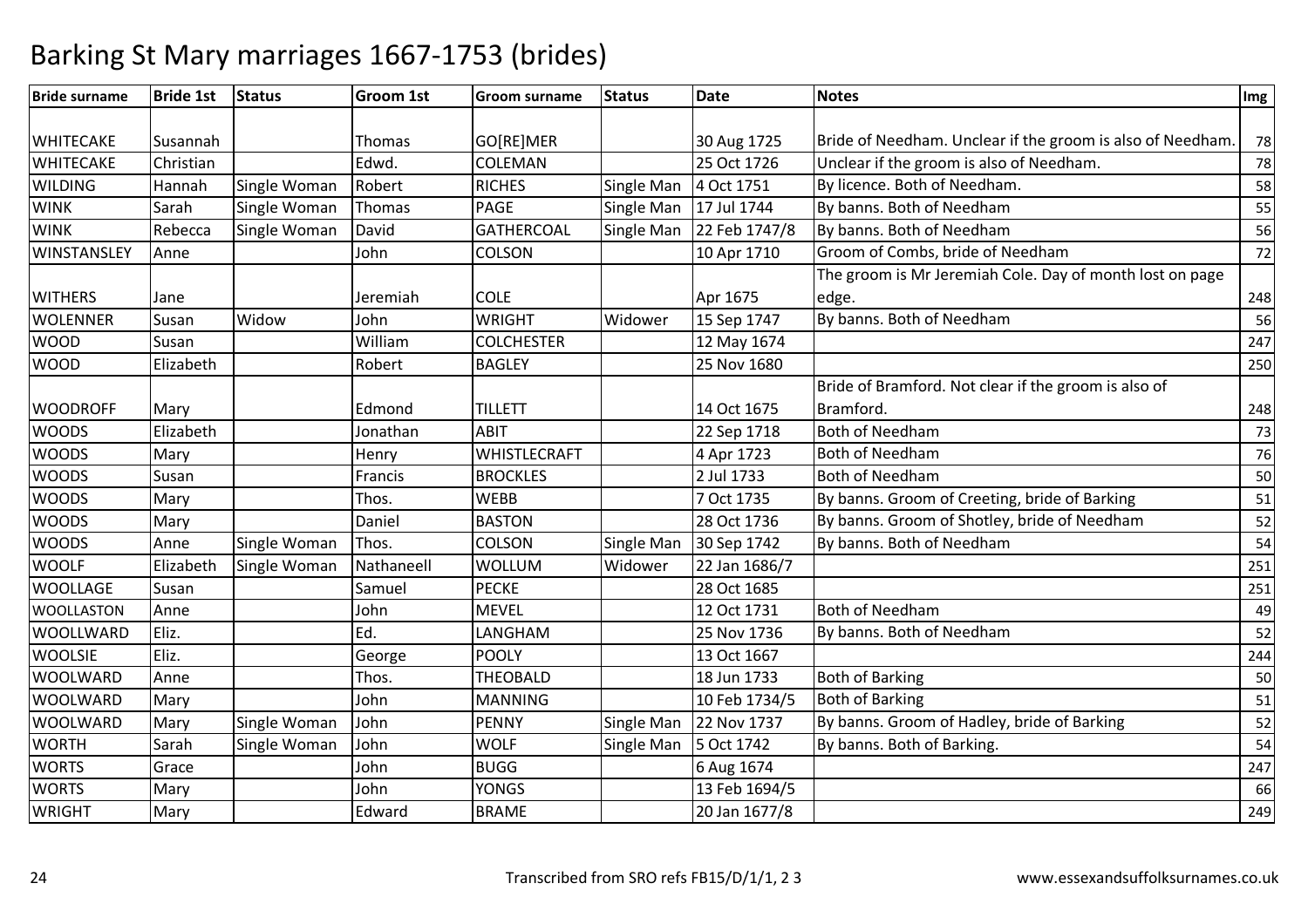| <b>Bride surname</b> | <b>Bride 1st</b> | <b>Status</b> | <b>Groom 1st</b> | <b>Groom surname</b> | <b>Status</b>     | <b>Date</b>   | <b>Notes</b>                                               | Img |
|----------------------|------------------|---------------|------------------|----------------------|-------------------|---------------|------------------------------------------------------------|-----|
|                      |                  |               |                  |                      |                   |               |                                                            |     |
| <b>WHITECAKE</b>     | Susannah         |               | Thomas           | GO[RE]MER            |                   | 30 Aug 1725   | Bride of Needham. Unclear if the groom is also of Needham. | 78  |
| <b>WHITECAKE</b>     | Christian        |               | Edwd.            | COLEMAN              |                   | 25 Oct 1726   | Unclear if the groom is also of Needham.                   | 78  |
| <b>WILDING</b>       | Hannah           | Single Woman  | Robert           | <b>RICHES</b>        | Single Man        | 4 Oct 1751    | By licence. Both of Needham.                               | 58  |
| <b>WINK</b>          | Sarah            | Single Woman  | Thomas           | <b>PAGE</b>          | Single Man        | 17 Jul 1744   | By banns. Both of Needham                                  | 55  |
| <b>WINK</b>          | Rebecca          | Single Woman  | David            | <b>GATHERCOAL</b>    | Single Man        | 22 Feb 1747/8 | By banns. Both of Needham                                  | 56  |
| WINSTANSLEY          | Anne             |               | John             | <b>COLSON</b>        |                   | 10 Apr 1710   | Groom of Combs, bride of Needham                           | 72  |
|                      |                  |               |                  |                      |                   |               | The groom is Mr Jeremiah Cole. Day of month lost on page   |     |
| <b>WITHERS</b>       | Jane             |               | Jeremiah         | <b>COLE</b>          |                   | Apr 1675      | edge.                                                      | 248 |
| <b>WOLENNER</b>      | Susan            | Widow         | John             | <b>WRIGHT</b>        | Widower           | 15 Sep 1747   | By banns. Both of Needham                                  | 56  |
| <b>WOOD</b>          | Susan            |               | William          | <b>COLCHESTER</b>    |                   | 12 May 1674   |                                                            | 247 |
| <b>WOOD</b>          | Elizabeth        |               | Robert           | <b>BAGLEY</b>        |                   | 25 Nov 1680   |                                                            | 250 |
|                      |                  |               |                  |                      |                   |               | Bride of Bramford. Not clear if the groom is also of       |     |
| <b>WOODROFF</b>      | Mary             |               | Edmond           | <b>TILLETT</b>       |                   | 14 Oct 1675   | Bramford.                                                  | 248 |
| <b>WOODS</b>         | Elizabeth        |               | Jonathan         | <b>ABIT</b>          |                   | 22 Sep 1718   | <b>Both of Needham</b>                                     | 73  |
| <b>WOODS</b>         | Mary             |               | Henry            | <b>WHISTLECRAFT</b>  |                   | 4 Apr 1723    | <b>Both of Needham</b>                                     | 76  |
| <b>WOODS</b>         | Susan            |               | Francis          | <b>BROCKLES</b>      |                   | 2 Jul 1733    | <b>Both of Needham</b>                                     | 50  |
| <b>WOODS</b>         | Mary             |               | Thos.            | <b>WEBB</b>          |                   | 7 Oct 1735    | By banns. Groom of Creeting, bride of Barking              | 51  |
| <b>WOODS</b>         | Mary             |               | Daniel           | <b>BASTON</b>        |                   | 28 Oct 1736   | By banns. Groom of Shotley, bride of Needham               | 52  |
| <b>WOODS</b>         | Anne             | Single Woman  | Thos.            | <b>COLSON</b>        | Single Man        | 30 Sep 1742   | By banns. Both of Needham                                  | 54  |
| <b>WOOLF</b>         | Elizabeth        | Single Woman  | Nathaneell       | <b>WOLLUM</b>        | Widower           | 22 Jan 1686/7 |                                                            | 251 |
| <b>WOOLLAGE</b>      | Susan            |               | Samuel           | <b>PECKE</b>         |                   | 28 Oct 1685   |                                                            | 251 |
| <b>WOOLLASTON</b>    | Anne             |               | John             | <b>MEVEL</b>         |                   | 12 Oct 1731   | <b>Both of Needham</b>                                     | 49  |
| <b>WOOLLWARD</b>     | Eliz.            |               | Ed.              | LANGHAM              |                   | 25 Nov 1736   | By banns. Both of Needham                                  | 52  |
| <b>WOOLSIE</b>       | Eliz.            |               | George           | <b>POOLY</b>         |                   | 13 Oct 1667   |                                                            | 244 |
| <b>WOOLWARD</b>      | Anne             |               | Thos.            | <b>THEOBALD</b>      |                   | 18 Jun 1733   | <b>Both of Barking</b>                                     | 50  |
| <b>WOOLWARD</b>      | Mary             |               | John             | <b>MANNING</b>       |                   | 10 Feb 1734/5 | <b>Both of Barking</b>                                     | 51  |
| <b>WOOLWARD</b>      | Mary             | Single Woman  | John             | <b>PENNY</b>         | <b>Single Man</b> | 22 Nov 1737   | By banns. Groom of Hadley, bride of Barking                | 52  |
| <b>WORTH</b>         | Sarah            | Single Woman  | John             | <b>WOLF</b>          | <b>Single Man</b> | 5 Oct 1742    | By banns. Both of Barking.                                 | 54  |
| <b>WORTS</b>         | Grace            |               | John             | <b>BUGG</b>          |                   | 6 Aug 1674    |                                                            | 247 |
| <b>WORTS</b>         | Mary             |               | John             | <b>YONGS</b>         |                   | 13 Feb 1694/5 |                                                            | 66  |
| <b>WRIGHT</b>        | Mary             |               | Edward           | <b>BRAME</b>         |                   | 20 Jan 1677/8 |                                                            | 249 |